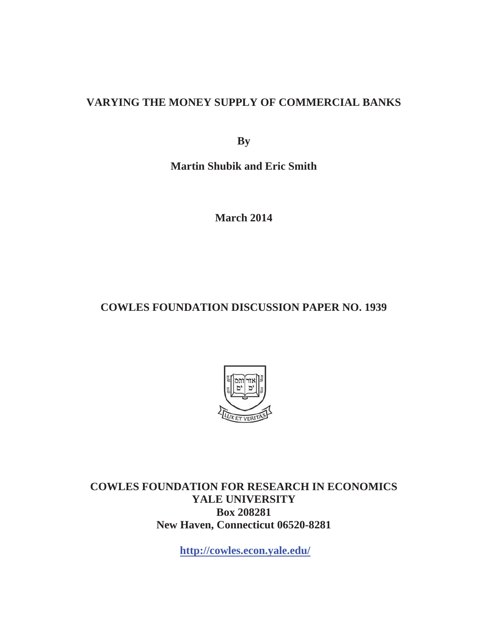## **VARYING THE MONEY SUPPLY OF COMMERCIAL BANKS**

**By**

**Martin Shubik and Eric Smith** 

**March 2014** 

## **COWLES FOUNDATION DISCUSSION PAPER NO. 1939**



**COWLES FOUNDATION FOR RESEARCH IN ECONOMICS YALE UNIVERSITY Box 208281 New Haven, Connecticut 06520-8281** 

**http://cowles.econ.yale.edu/**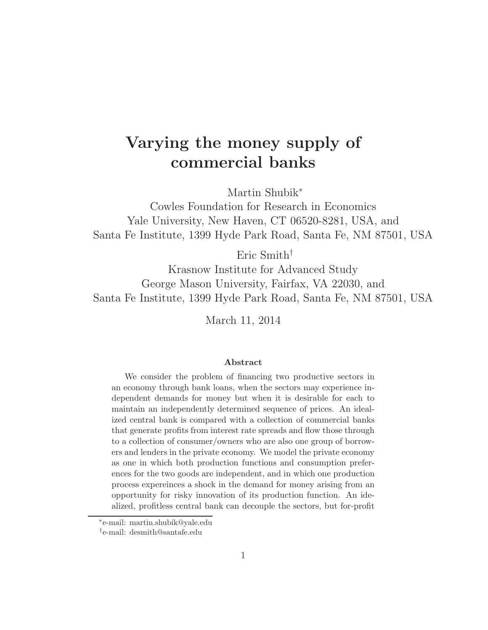# **Varying the money supply of commercial banks**

Martin Shubik<sup>∗</sup>

Cowles Foundation for Research in Economics Yale University, New Haven, CT 06520-8281, USA, and Santa Fe Institute, 1399 Hyde Park Road, Santa Fe, NM 87501, USA

Eric Smith†

Krasnow Institute for Advanced Study George Mason University, Fairfax, VA 22030, and Santa Fe Institute, 1399 Hyde Park Road, Santa Fe, NM 87501, USA

March 11, 2014

### **Abstract**

We consider the problem of financing two productive sectors in an economy through bank loans, when the sectors may experience independent demands for money but when it is desirable for each to maintain an independently determined sequence of prices. An idealized central bank is compared with a collection of commercial banks that generate profits from interest rate spreads and flow those through to a collection of consumer/owners who are also one group of borrowers and lenders in the private economy. We model the private economy as one in which both production functions and consumption preferences for the two goods are independent, and in which one production process expereinces a shock in the demand for money arising from an opportunity for risky innovation of its production function. An idealized, profitless central bank can decouple the sectors, but for-profit

<sup>∗</sup>e-mail: martin.shubik@yale.edu

<sup>†</sup>e-mail: desmith@santafe.edu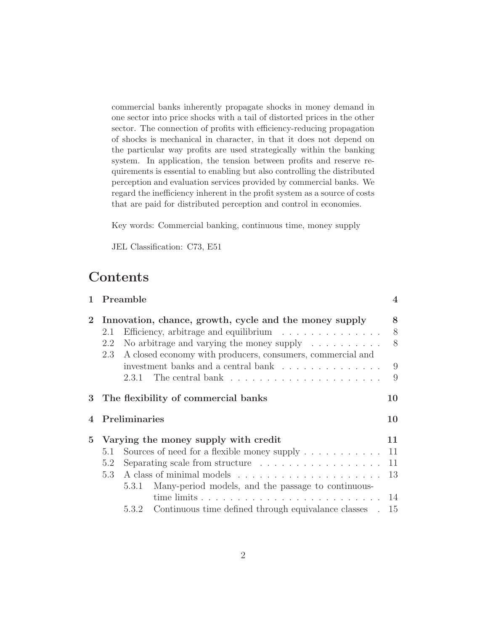commercial banks inherently propagate shocks in money demand in one sector into price shocks with a tail of distorted prices in the other sector. The connection of profits with efficiency-reducing propagation of shocks is mechanical in character, in that it does not depend on the particular way profits are used strategically within the banking system. In application, the tension between profits and reserve requirements is essential to enabling but also controlling the distributed perception and evaluation services provided by commercial banks. We regard the inefficiency inherent in the profit system as a source of costs that are paid for distributed perception and control in economies.

Key words: Commercial banking, continuous time, money supply

JEL Classification: C73, E51

## **Contents**

|                | Preamble                            | 4                                                                                                                                                                                                                                                                                                            |                       |  |  |  |
|----------------|-------------------------------------|--------------------------------------------------------------------------------------------------------------------------------------------------------------------------------------------------------------------------------------------------------------------------------------------------------------|-----------------------|--|--|--|
| $\overline{2}$ | 2.1<br>2.2<br>2.3                   | Innovation, chance, growth, cycle and the money supply<br>Efficiency, arbitrage and equilibrium $\ldots \ldots \ldots \ldots$<br>No arbitrage and varying the money supply $\dots \dots \dots$<br>A closed economy with producers, consumers, commercial and<br>investment banks and a central bank<br>2.3.1 | 8<br>8<br>8<br>9<br>9 |  |  |  |
| 3              | The flexibility of commercial banks |                                                                                                                                                                                                                                                                                                              |                       |  |  |  |
| 4              | Preliminaries                       |                                                                                                                                                                                                                                                                                                              |                       |  |  |  |
| $5^{\circ}$    |                                     | Varying the money supply with credit                                                                                                                                                                                                                                                                         | 11                    |  |  |  |
|                | 5.1                                 | Sources of need for a flexible money supply $\dots \dots \dots$                                                                                                                                                                                                                                              | 11                    |  |  |  |
|                | 5.2                                 | Separating scale from structure $\dots \dots \dots \dots \dots \dots$                                                                                                                                                                                                                                        | 11                    |  |  |  |
|                | 5.3                                 |                                                                                                                                                                                                                                                                                                              | 13                    |  |  |  |
|                |                                     | Many-period models, and the passage to continuous-<br>5.3.1                                                                                                                                                                                                                                                  |                       |  |  |  |
|                |                                     |                                                                                                                                                                                                                                                                                                              | 14                    |  |  |  |
|                |                                     | 5.3.2 Continuous time defined through equivalance classes.                                                                                                                                                                                                                                                   | 15                    |  |  |  |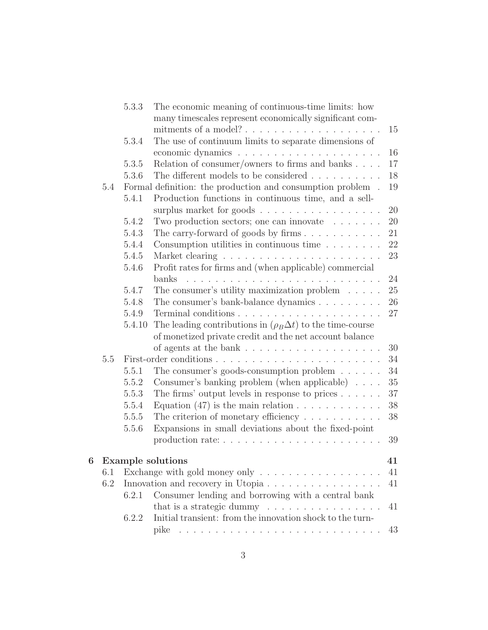|   |         | 5.3.3  | The economic meaning of continuous-time limits: how<br>many timescales represent economically significant com- |    |
|---|---------|--------|----------------------------------------------------------------------------------------------------------------|----|
|   |         |        |                                                                                                                | 15 |
|   |         | 5.3.4  | The use of continuum limits to separate dimensions of                                                          |    |
|   |         |        |                                                                                                                | 16 |
|   |         | 5.3.5  | Relation of consumer/owners to firms and banks                                                                 | 17 |
|   |         | 5.3.6  | The different models to be considered                                                                          | 18 |
|   | 5.4     |        | Formal definition: the production and consumption problem.                                                     | 19 |
|   |         | 5.4.1  | Production functions in continuous time, and a sell-                                                           |    |
|   |         |        | surplus market for goods                                                                                       | 20 |
|   |         | 5.4.2  | Two production sectors; one can innovate $\ldots \ldots$                                                       | 20 |
|   |         | 5.4.3  | The carry-forward of goods by firms                                                                            | 21 |
|   |         | 5.4.4  | Consumption utilities in continuous time                                                                       | 22 |
|   |         | 5.4.5  |                                                                                                                | 23 |
|   |         | 5.4.6  | Profit rates for firms and (when applicable) commercial                                                        |    |
|   |         |        |                                                                                                                | 24 |
|   |         | 5.4.7  | The consumer's utility maximization problem $\ldots$ .                                                         | 25 |
|   |         | 5.4.8  | The consumer's bank-balance dynamics                                                                           | 26 |
|   |         | 5.4.9  |                                                                                                                | 27 |
|   |         | 5.4.10 | The leading contributions in $(\rho_B \Delta t)$ to the time-course                                            |    |
|   |         |        | of monetized private credit and the net account balance                                                        |    |
|   |         |        |                                                                                                                | 30 |
|   | $5.5\,$ |        |                                                                                                                | 34 |
|   |         | 5.5.1  | The consumer's goods-consumption problem $\ldots \ldots$                                                       | 34 |
|   |         | 5.5.2  | Consumer's banking problem (when applicable)                                                                   | 35 |
|   |         | 5.5.3  | The firms' output levels in response to prices                                                                 | 37 |
|   |         | 5.5.4  | Equation $(47)$ is the main relation                                                                           | 38 |
|   |         | 5.5.5  | The criterion of monetary efficiency                                                                           | 38 |
|   |         | 5.5.6  | Expansions in small deviations about the fixed-point                                                           |    |
|   |         |        |                                                                                                                | 39 |
| 6 |         |        | <b>Example solutions</b>                                                                                       | 41 |
|   | 6.1     |        | Exchange with gold money only $\dots \dots \dots \dots \dots \dots$                                            | 41 |
|   | 6.2     |        |                                                                                                                | 41 |
|   |         | 6.2.1  | Consumer lending and borrowing with a central bank                                                             |    |
|   |         |        | that is a strategic dummy                                                                                      | 41 |
|   |         | 6.2.2  | Initial transient: from the innovation shock to the turn-                                                      |    |
|   |         |        |                                                                                                                | 43 |
|   |         |        |                                                                                                                |    |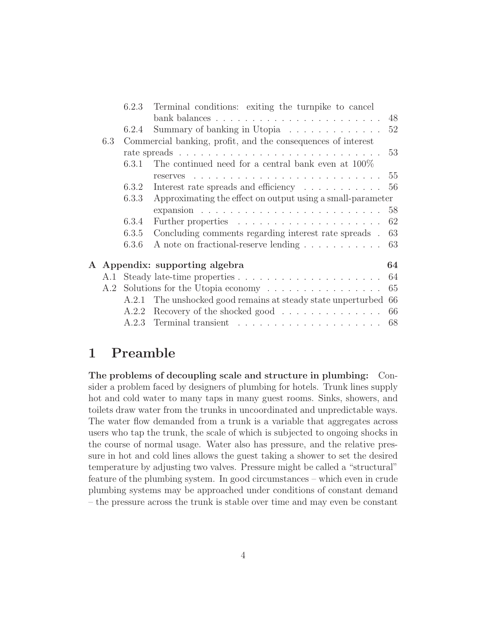|                                      |       | 6.2.3 Terminal conditions: exiting the turnpike to cancel                     |    |  |  |  |  |  |
|--------------------------------------|-------|-------------------------------------------------------------------------------|----|--|--|--|--|--|
|                                      |       |                                                                               | 48 |  |  |  |  |  |
|                                      |       | 6.2.4 Summary of banking in Utopia                                            | 52 |  |  |  |  |  |
| 6.3                                  |       | Commercial banking, profit, and the consequences of interest                  |    |  |  |  |  |  |
|                                      |       | rate spreads $\ldots \ldots \ldots \ldots \ldots \ldots \ldots \ldots \ldots$ | 53 |  |  |  |  |  |
|                                      | 6.3.1 | The continued need for a central bank even at $100\%$                         |    |  |  |  |  |  |
|                                      |       |                                                                               |    |  |  |  |  |  |
|                                      | 6.3.2 | Interest rate spreads and efficiency $\dots \dots \dots \dots$ 56             |    |  |  |  |  |  |
|                                      | 6.3.3 | Approximating the effect on output using a small-parameter                    |    |  |  |  |  |  |
|                                      |       |                                                                               | 58 |  |  |  |  |  |
|                                      | 6.3.4 |                                                                               | 62 |  |  |  |  |  |
|                                      | 6.3.5 | Concluding comments regarding interest rate spreads.                          | 63 |  |  |  |  |  |
|                                      | 6.3.6 | A note on fractional-reserve lending                                          | 63 |  |  |  |  |  |
| A Appendix: supporting algebra<br>64 |       |                                                                               |    |  |  |  |  |  |
|                                      |       |                                                                               | 64 |  |  |  |  |  |
|                                      |       |                                                                               | 65 |  |  |  |  |  |
|                                      |       | A.2.1 The unshocked good remains at steady state unperturbed                  | 66 |  |  |  |  |  |
|                                      |       | A.2.2 Recovery of the shocked good $\ldots$                                   | 66 |  |  |  |  |  |
|                                      | A.2.3 |                                                                               |    |  |  |  |  |  |
|                                      |       |                                                                               |    |  |  |  |  |  |

## **1 Preamble**

**The problems of decoupling scale and structure in plumbing:** Consider a problem faced by designers of plumbing for hotels. Trunk lines supply hot and cold water to many taps in many guest rooms. Sinks, showers, and toilets draw water from the trunks in uncoordinated and unpredictable ways. The water flow demanded from a trunk is a variable that aggregates across users who tap the trunk, the scale of which is subjected to ongoing shocks in the course of normal usage. Water also has pressure, and the relative pressure in hot and cold lines allows the guest taking a shower to set the desired temperature by adjusting two valves. Pressure might be called a "structural" feature of the plumbing system. In good circumstances – which even in crude plumbing systems may be approached under conditions of constant demand – the pressure across the trunk is stable over time and may even be constant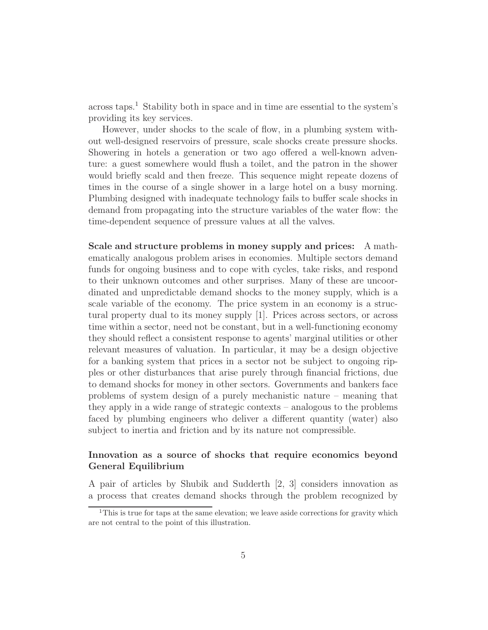$\alpha$  across taps.<sup>1</sup> Stability both in space and in time are essential to the system's providing its key services.

However, under shocks to the scale of flow, in a plumbing system without well-designed reservoirs of pressure, scale shocks create pressure shocks. Showering in hotels a generation or two ago offered a well-known adventure: a guest somewhere would flush a toilet, and the patron in the shower would briefly scald and then freeze. This sequence might repeate dozens of times in the course of a single shower in a large hotel on a busy morning. Plumbing designed with inadequate technology fails to buffer scale shocks in demand from propagating into the structure variables of the water flow: the time-dependent sequence of pressure values at all the valves.

**Scale and structure problems in money supply and prices:** A mathematically analogous problem arises in economies. Multiple sectors demand funds for ongoing business and to cope with cycles, take risks, and respond to their unknown outcomes and other surprises. Many of these are uncoordinated and unpredictable demand shocks to the money supply, which is a scale variable of the economy. The price system in an economy is a structural property dual to its money supply [1]. Prices across sectors, or across time within a sector, need not be constant, but in a well-functioning economy they should reflect a consistent response to agents' marginal utilities or other relevant measures of valuation. In particular, it may be a design objective for a banking system that prices in a sector not be subject to ongoing ripples or other disturbances that arise purely through financial frictions, due to demand shocks for money in other sectors. Governments and bankers face problems of system design of a purely mechanistic nature – meaning that they apply in a wide range of strategic contexts – analogous to the problems faced by plumbing engineers who deliver a different quantity (water) also subject to inertia and friction and by its nature not compressible.

### **Innovation as a source of shocks that require economics beyond General Equilibrium**

A pair of articles by Shubik and Sudderth [2, 3] considers innovation as a process that creates demand shocks through the problem recognized by

<sup>&</sup>lt;sup>1</sup>This is true for taps at the same elevation; we leave aside corrections for gravity which are not central to the point of this illustration.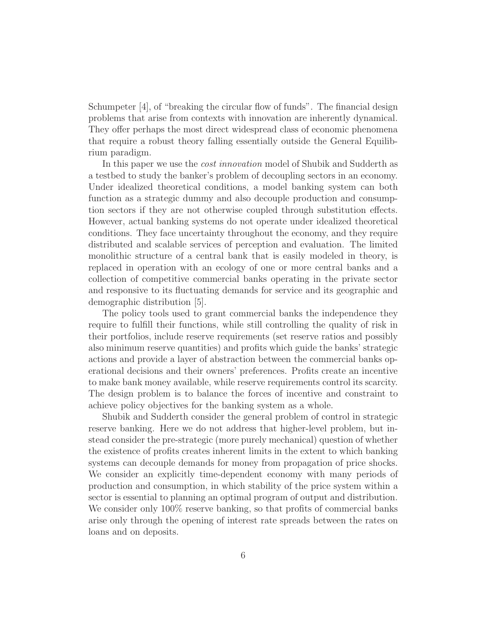Schumpeter [4], of "breaking the circular flow of funds". The financial design problems that arise from contexts with innovation are inherently dynamical. They offer perhaps the most direct widespread class of economic phenomena that require a robust theory falling essentially outside the General Equilibrium paradigm.

In this paper we use the *cost innovation* model of Shubik and Sudderth as a testbed to study the banker's problem of decoupling sectors in an economy. Under idealized theoretical conditions, a model banking system can both function as a strategic dummy and also decouple production and consumption sectors if they are not otherwise coupled through substitution effects. However, actual banking systems do not operate under idealized theoretical conditions. They face uncertainty throughout the economy, and they require distributed and scalable services of perception and evaluation. The limited monolithic structure of a central bank that is easily modeled in theory, is replaced in operation with an ecology of one or more central banks and a collection of competitive commercial banks operating in the private sector and responsive to its fluctuating demands for service and its geographic and demographic distribution [5].

The policy tools used to grant commercial banks the independence they require to fulfill their functions, while still controlling the quality of risk in their portfolios, include reserve requirements (set reserve ratios and possibly also minimum reserve quantities) and profits which guide the banks' strategic actions and provide a layer of abstraction between the commercial banks operational decisions and their owners' preferences. Profits create an incentive to make bank money available, while reserve requirements control its scarcity. The design problem is to balance the forces of incentive and constraint to achieve policy objectives for the banking system as a whole.

Shubik and Sudderth consider the general problem of control in strategic reserve banking. Here we do not address that higher-level problem, but instead consider the pre-strategic (more purely mechanical) question of whether the existence of profits creates inherent limits in the extent to which banking systems can decouple demands for money from propagation of price shocks. We consider an explicitly time-dependent economy with many periods of production and consumption, in which stability of the price system within a sector is essential to planning an optimal program of output and distribution. We consider only  $100\%$  reserve banking, so that profits of commercial banks arise only through the opening of interest rate spreads between the rates on loans and on deposits.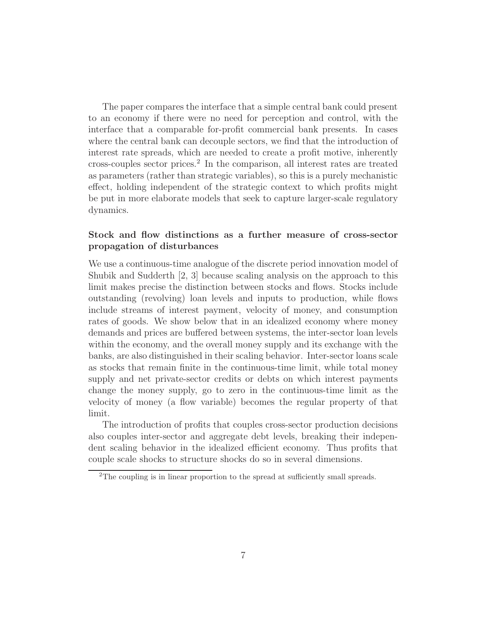The paper compares the interface that a simple central bank could present to an economy if there were no need for perception and control, with the interface that a comparable for-profit commercial bank presents. In cases where the central bank can decouple sectors, we find that the introduction of interest rate spreads, which are needed to create a profit motive, inherently cross-couples sector prices.<sup>2</sup> In the comparison, all interest rates are treated as parameters (rather than strategic variables), so this is a purely mechanistic effect, holding independent of the strategic context to which profits might be put in more elaborate models that seek to capture larger-scale regulatory dynamics.

### **Stock and flow distinctions as a further measure of cross-sector propagation of disturbances**

We use a continuous-time analogue of the discrete period innovation model of Shubik and Sudderth [2, 3] because scaling analysis on the approach to this limit makes precise the distinction between stocks and flows. Stocks include outstanding (revolving) loan levels and inputs to production, while flows include streams of interest payment, velocity of money, and consumption rates of goods. We show below that in an idealized economy where money demands and prices are buffered between systems, the inter-sector loan levels within the economy, and the overall money supply and its exchange with the banks, are also distinguished in their scaling behavior. Inter-sector loans scale as stocks that remain finite in the continuous-time limit, while total money supply and net private-sector credits or debts on which interest payments change the money supply, go to zero in the continuous-time limit as the velocity of money (a flow variable) becomes the regular property of that limit.

The introduction of profits that couples cross-sector production decisions also couples inter-sector and aggregate debt levels, breaking their independent scaling behavior in the idealized efficient economy. Thus profits that couple scale shocks to structure shocks do so in several dimensions.

<sup>&</sup>lt;sup>2</sup>The coupling is in linear proportion to the spread at sufficiently small spreads.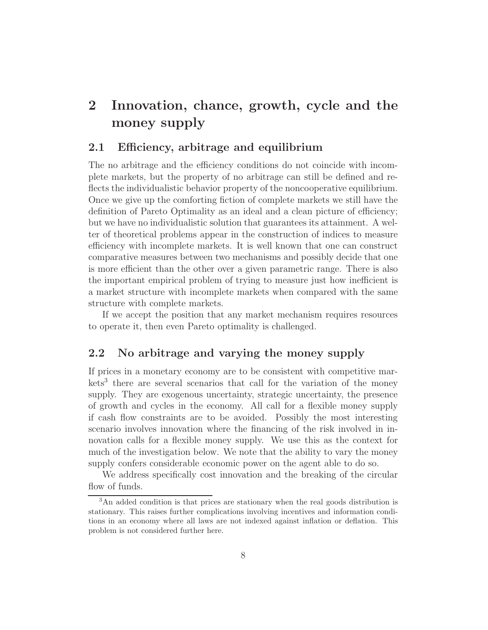# **2 Innovation, chance, growth, cycle and the money supply**

## **2.1 Efficiency, arbitrage and equilibrium**

The no arbitrage and the efficiency conditions do not coincide with incomplete markets, but the property of no arbitrage can still be defined and reflects the individualistic behavior property of the noncooperative equilibrium. Once we give up the comforting fiction of complete markets we still have the definition of Pareto Optimality as an ideal and a clean picture of efficiency; but we have no individualistic solution that guarantees its attainment. A welter of theoretical problems appear in the construction of indices to measure efficiency with incomplete markets. It is well known that one can construct comparative measures between two mechanisms and possibly decide that one is more efficient than the other over a given parametric range. There is also the important empirical problem of trying to measure just how inefficient is a market structure with incomplete markets when compared with the same structure with complete markets.

If we accept the position that any market mechanism requires resources to operate it, then even Pareto optimality is challenged.

## **2.2 No arbitrage and varying the money supply**

If prices in a monetary economy are to be consistent with competitive markets<sup>3</sup> there are several scenarios that call for the variation of the money supply. They are exogenous uncertainty, strategic uncertainty, the presence of growth and cycles in the economy. All call for a flexible money supply if cash flow constraints are to be avoided. Possibly the most interesting scenario involves innovation where the financing of the risk involved in innovation calls for a flexible money supply. We use this as the context for much of the investigation below. We note that the ability to vary the money supply confers considerable economic power on the agent able to do so.

We address specifically cost innovation and the breaking of the circular flow of funds.

<sup>3</sup>An added condition is that prices are stationary when the real goods distribution is stationary. This raises further complications involving incentives and information conditions in an economy where all laws are not indexed against inflation or deflation. This problem is not considered further here.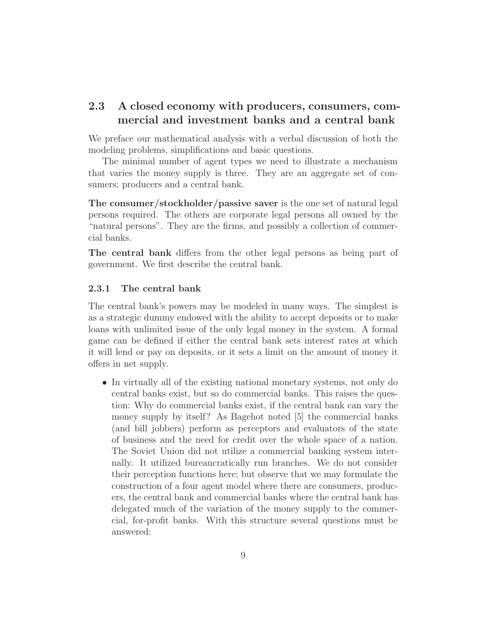## **2.3 A closed economy with producers, consumers, commercial and investment banks and a central bank**

We preface our mathematical analysis with a verbal discussion of both the modeling problems, simplifications and basic questions.

The minimal number of agent types we need to illustrate a mechanism that varies the money supply is three. They are an aggregate set of consumers; producers and a central bank.

**The consumer/stockholder/passive saver** is the one set of natural legal persons required. The others are corporate legal persons all owned by the "natural persons". They are the firms, and possibly a collection of commercial banks.

**The central bank** differs from the other legal persons as being part of government. We first describe the central bank.

### **2.3.1 The central bank**

The central bank's powers may be modeled in many ways. The simplest is as a strategic dummy endowed with the ability to accept deposits or to make loans with unlimited issue of the only legal money in the system. A formal game can be defined if either the central bank sets interest rates at which it will lend or pay on deposits, or it sets a limit on the amount of money it offers in net supply.

• In virtually all of the existing national monetary systems, not only do central banks exist, but so do commercial banks. This raises the question: Why do commercial banks exist, if the central bank can vary the money supply by itself? As Bagehot noted [5] the commercial banks (and bill jobbers) perform as perceptors and evaluators of the state of business and the need for credit over the whole space of a nation. The Soviet Union did not utilize a commercial banking system internally. It utilized bureaucratically run branches. We do not consider their perception functions here; but observe that we may formulate the construction of a four agent model where there are consumers, producers, the central bank and commercial banks where the central bank has delegated much of the variation of the money supply to the commercial, for-profit banks. With this structure several questions must be answered: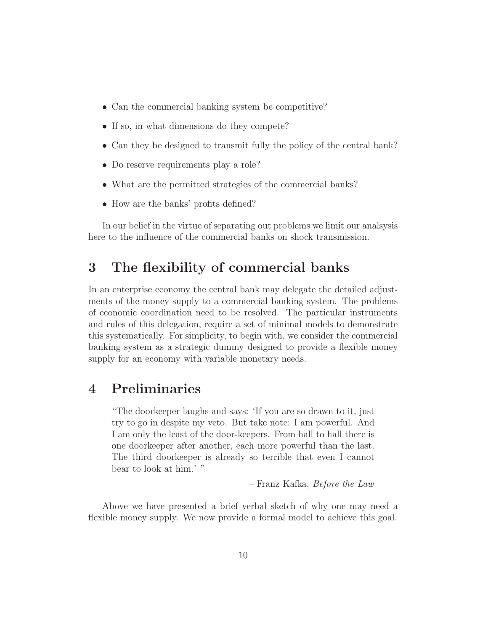- Can the commercial banking system be competitive?
- If so, in what dimensions do they compete?
- Can they be designed to transmit fully the policy of the central bank?
- Do reserve requirements play a role?
- What are the permitted strategies of the commercial banks?
- How are the banks' profits defined?

In our belief in the virtue of separating out problems we limit our analsysis here to the influence of the commercial banks on shock transmission.

## **3 The flexibility of commercial banks**

In an enterprise economy the central bank may delegate the detailed adjustments of the money supply to a commercial banking system. The problems of economic coordination need to be resolved. The particular instruments and rules of this delegation, require a set of minimal models to demonstrate this systematically. For simplicity, to begin with, we consider the commercial banking system as a strategic dummy designed to provide a flexible money supply for an economy with variable monetary needs.

## **4 Preliminaries**

"The doorkeeper laughs and says: 'If you are so drawn to it, just try to go in despite my veto. But take note: I am powerful. And I am only the least of the door-keepers. From hall to hall there is one doorkeeper after another, each more powerful than the last. The third doorkeeper is already so terrible that even I cannot bear to look at him.' "

– Franz Kafka, Before the Law

Above we have presented a brief verbal sketch of why one may need a flexible money supply. We now provide a formal model to achieve this goal.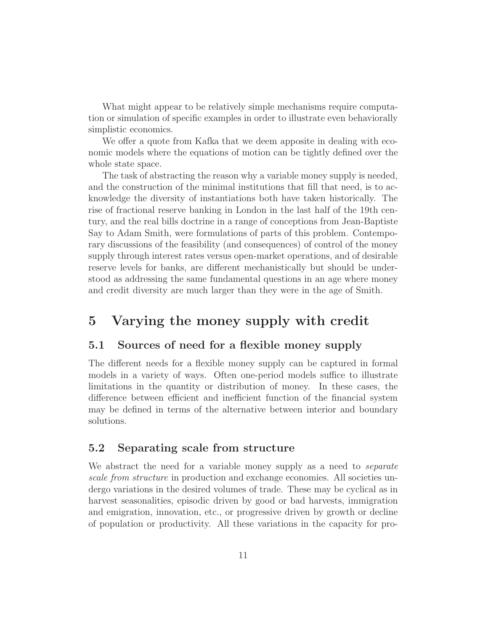What might appear to be relatively simple mechanisms require computation or simulation of specific examples in order to illustrate even behaviorally simplistic economics.

We offer a quote from Kafka that we deem apposite in dealing with economic models where the equations of motion can be tightly defined over the whole state space.

The task of abstracting the reason why a variable money supply is needed, and the construction of the minimal institutions that fill that need, is to acknowledge the diversity of instantiations both have taken historically. The rise of fractional reserve banking in London in the last half of the 19th century, and the real bills doctrine in a range of conceptions from Jean-Baptiste Say to Adam Smith, were formulations of parts of this problem. Contemporary discussions of the feasibility (and consequences) of control of the money supply through interest rates versus open-market operations, and of desirable reserve levels for banks, are different mechanistically but should be understood as addressing the same fundamental questions in an age where money and credit diversity are much larger than they were in the age of Smith.

## **5 Varying the money supply with credit**

## **5.1 Sources of need for a flexible money supply**

The different needs for a flexible money supply can be captured in formal models in a variety of ways. Often one-period models suffice to illustrate limitations in the quantity or distribution of money. In these cases, the difference between efficient and inefficient function of the financial system may be defined in terms of the alternative between interior and boundary solutions.

## **5.2 Separating scale from structure**

We abstract the need for a variable money supply as a need to *separate* scale from structure in production and exchange economies. All societies undergo variations in the desired volumes of trade. These may be cyclical as in harvest seasonalities, episodic driven by good or bad harvests, immigration and emigration, innovation, etc., or progressive driven by growth or decline of population or productivity. All these variations in the capacity for pro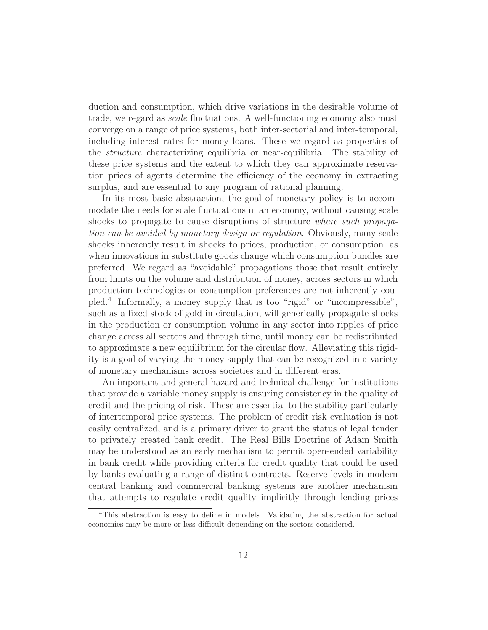duction and consumption, which drive variations in the desirable volume of trade, we regard as scale fluctuations. A well-functioning economy also must converge on a range of price systems, both inter-sectorial and inter-temporal, including interest rates for money loans. These we regard as properties of the structure characterizing equilibria or near-equilibria. The stability of these price systems and the extent to which they can approximate reservation prices of agents determine the efficiency of the economy in extracting surplus, and are essential to any program of rational planning.

In its most basic abstraction, the goal of monetary policy is to accommodate the needs for scale fluctuations in an economy, without causing scale shocks to propagate to cause disruptions of structure where such propagation can be avoided by monetary design or regulation. Obviously, many scale shocks inherently result in shocks to prices, production, or consumption, as when innovations in substitute goods change which consumption bundles are preferred. We regard as "avoidable" propagations those that result entirely from limits on the volume and distribution of money, across sectors in which production technologies or consumption preferences are not inherently coupled.<sup>4</sup> Informally, a money supply that is too "rigid" or "incompressible", such as a fixed stock of gold in circulation, will generically propagate shocks in the production or consumption volume in any sector into ripples of price change across all sectors and through time, until money can be redistributed to approximate a new equilibrium for the circular flow. Alleviating this rigidity is a goal of varying the money supply that can be recognized in a variety of monetary mechanisms across societies and in different eras.

An important and general hazard and technical challenge for institutions that provide a variable money supply is ensuring consistency in the quality of credit and the pricing of risk. These are essential to the stability particularly of intertemporal price systems. The problem of credit risk evaluation is not easily centralized, and is a primary driver to grant the status of legal tender to privately created bank credit. The Real Bills Doctrine of Adam Smith may be understood as an early mechanism to permit open-ended variability in bank credit while providing criteria for credit quality that could be used by banks evaluating a range of distinct contracts. Reserve levels in modern central banking and commercial banking systems are another mechanism that attempts to regulate credit quality implicitly through lending prices

<sup>4</sup>This abstraction is easy to define in models. Validating the abstraction for actual economies may be more or less difficult depending on the sectors considered.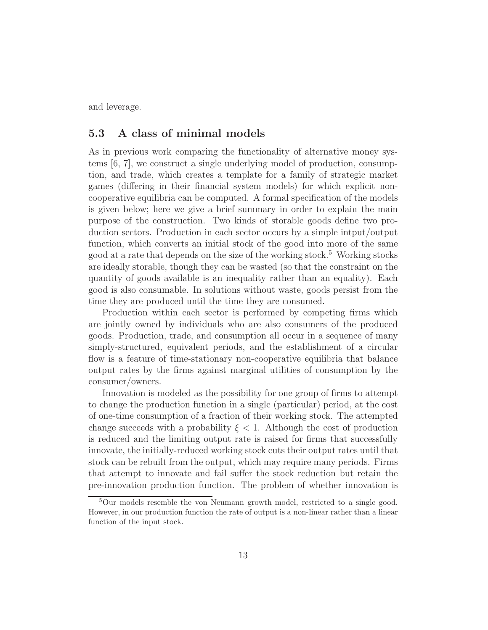and leverage.

## **5.3 A class of minimal models**

As in previous work comparing the functionality of alternative money systems [6, 7], we construct a single underlying model of production, consumption, and trade, which creates a template for a family of strategic market games (differing in their financial system models) for which explicit noncooperative equilibria can be computed. A formal specification of the models is given below; here we give a brief summary in order to explain the main purpose of the construction. Two kinds of storable goods define two production sectors. Production in each sector occurs by a simple intput/output function, which converts an initial stock of the good into more of the same good at a rate that depends on the size of the working stock.<sup>5</sup> Working stocks are ideally storable, though they can be wasted (so that the constraint on the quantity of goods available is an inequality rather than an equality). Each good is also consumable. In solutions without waste, goods persist from the time they are produced until the time they are consumed.

Production within each sector is performed by competing firms which are jointly owned by individuals who are also consumers of the produced goods. Production, trade, and consumption all occur in a sequence of many simply-structured, equivalent periods, and the establishment of a circular flow is a feature of time-stationary non-cooperative equilibria that balance output rates by the firms against marginal utilities of consumption by the consumer/owners.

Innovation is modeled as the possibility for one group of firms to attempt to change the production function in a single (particular) period, at the cost of one-time consumption of a fraction of their working stock. The attempted change succeeds with a probability  $\xi < 1$ . Although the cost of production is reduced and the limiting output rate is raised for firms that successfully innovate, the initially-reduced working stock cuts their output rates until that stock can be rebuilt from the output, which may require many periods. Firms that attempt to innovate and fail suffer the stock reduction but retain the pre-innovation production function. The problem of whether innovation is

<sup>5</sup>Our models resemble the von Neumann growth model, restricted to a single good. However, in our production function the rate of output is a non-linear rather than a linear function of the input stock.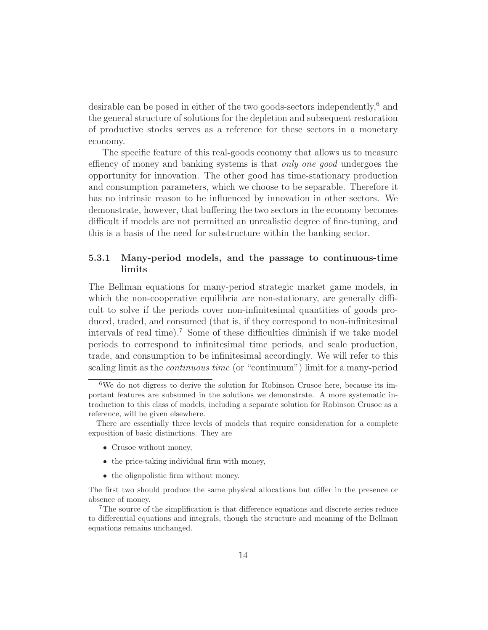desirable can be posed in either of the two goods-sectors independently,<sup>6</sup> and the general structure of solutions for the depletion and subsequent restoration of productive stocks serves as a reference for these sectors in a monetary economy.

The specific feature of this real-goods economy that allows us to measure effiency of money and banking systems is that only one good undergoes the opportunity for innovation. The other good has time-stationary production and consumption parameters, which we choose to be separable. Therefore it has no intrinsic reason to be influenced by innovation in other sectors. We demonstrate, however, that buffering the two sectors in the economy becomes difficult if models are not permitted an unrealistic degree of fine-tuning, and this is a basis of the need for substructure within the banking sector.

### **5.3.1 Many-period models, and the passage to continuous-time limits**

The Bellman equations for many-period strategic market game models, in which the non-cooperative equilibria are non-stationary, are generally difficult to solve if the periods cover non-infinitesimal quantities of goods produced, traded, and consumed (that is, if they correspond to non-infinitesimal intervals of real time).<sup>7</sup> Some of these difficulties diminish if we take model periods to correspond to infinitesimal time periods, and scale production, trade, and consumption to be infinitesimal accordingly. We will refer to this scaling limit as the *continuous time* (or "continuum") limit for a many-period

- Crusoe without money,
- the price-taking individual firm with money,
- the oligopolistic firm without money.

 $6$ We do not digress to derive the solution for Robinson Crusoe here, because its important features are subsumed in the solutions we demonstrate. A more systematic introduction to this class of models, including a separate solution for Robinson Crusoe as a reference, will be given elsewhere.

There are essentially three levels of models that require consideration for a complete exposition of basic distinctions. They are

The first two should produce the same physical allocations but differ in the presence or absence of money.

<sup>7</sup>The source of the simplification is that difference equations and discrete series reduce to differential equations and integrals, though the structure and meaning of the Bellman equations remains unchanged.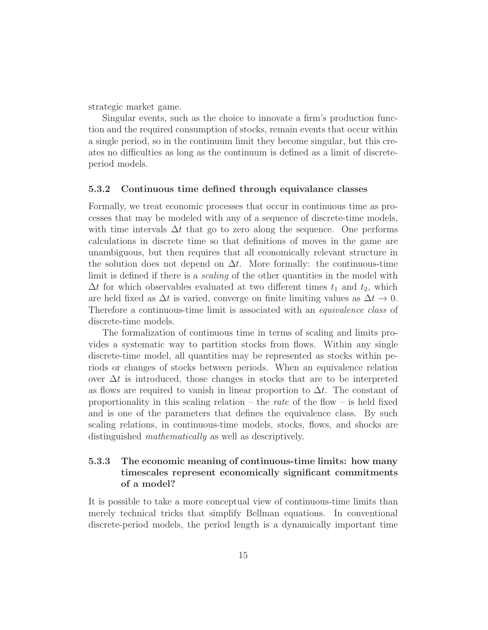strategic market game.

Singular events, such as the choice to innovate a firm's production function and the required consumption of stocks, remain events that occur within a single period, so in the continuum limit they become singular, but this creates no difficulties as long as the continuum is defined as a limit of discreteperiod models.

#### **5.3.2 Continuous time defined through equivalance classes**

Formally, we treat economic processes that occur in continuous time as processes that may be modeled with any of a sequence of discrete-time models, with time intervals  $\Delta t$  that go to zero along the sequence. One performs calculations in discrete time so that definitions of moves in the game are unambiguous, but then requires that all economically relevant structure in the solution does not depend on  $\Delta t$ . More formally: the continuous-time limit is defined if there is a *scaling* of the other quantities in the model with  $\Delta t$  for which observables evaluated at two different times  $t_1$  and  $t_2$ , which are held fixed as  $\Delta t$  is varied, converge on finite limiting values as  $\Delta t \rightarrow 0$ . Therefore a continuous-time limit is associated with an equivalence class of discrete-time models.

The formalization of continuous time in terms of scaling and limits provides a systematic way to partition stocks from flows. Within any single discrete-time model, all quantities may be represented as stocks within periods or changes of stocks between periods. When an equivalence relation over  $\Delta t$  is introduced, those changes in stocks that are to be interpreted as flows are required to vanish in linear proportion to  $\Delta t$ . The constant of proportionality in this scaling relation – the *rate* of the flow – is held fixed and is one of the parameters that defines the equivalence class. By such scaling relations, in continuous-time models, stocks, flows, and shocks are distinguished mathematically as well as descriptively.

## **5.3.3 The economic meaning of continuous-time limits: how many timescales represent economically significant commitments of a model?**

It is possible to take a more conceptual view of continuous-time limits than merely technical tricks that simplify Bellman equations. In conventional discrete-period models, the period length is a dynamically important time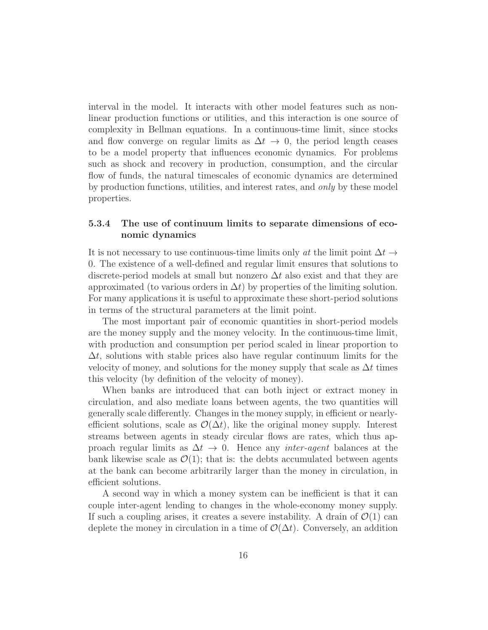interval in the model. It interacts with other model features such as nonlinear production functions or utilities, and this interaction is one source of complexity in Bellman equations. In a continuous-time limit, since stocks and flow converge on regular limits as  $\Delta t \rightarrow 0$ , the period length ceases to be a model property that influences economic dynamics. For problems such as shock and recovery in production, consumption, and the circular flow of funds, the natural timescales of economic dynamics are determined by production functions, utilities, and interest rates, and only by these model properties.

## **5.3.4 The use of continuum limits to separate dimensions of economic dynamics**

It is not necessary to use continuous-time limits only at the limit point  $\Delta t \rightarrow$ 0. The existence of a well-defined and regular limit ensures that solutions to discrete-period models at small but nonzero  $\Delta t$  also exist and that they are approximated (to various orders in  $\Delta t$ ) by properties of the limiting solution. For many applications it is useful to approximate these short-period solutions in terms of the structural parameters at the limit point.

The most important pair of economic quantities in short-period models are the money supply and the money velocity. In the continuous-time limit, with production and consumption per period scaled in linear proportion to  $\Delta t$ , solutions with stable prices also have regular continuum limits for the velocity of money, and solutions for the money supply that scale as  $\Delta t$  times this velocity (by definition of the velocity of money).

When banks are introduced that can both inject or extract money in circulation, and also mediate loans between agents, the two quantities will generally scale differently. Changes in the money supply, in efficient or nearlyefficient solutions, scale as  $\mathcal{O}(\Delta t)$ , like the original money supply. Interest streams between agents in steady circular flows are rates, which thus approach regular limits as  $\Delta t \rightarrow 0$ . Hence any *inter-agent* balances at the bank likewise scale as  $\mathcal{O}(1)$ ; that is: the debts accumulated between agents at the bank can become arbitrarily larger than the money in circulation, in efficient solutions.

A second way in which a money system can be inefficient is that it can couple inter-agent lending to changes in the whole-economy money supply. If such a coupling arises, it creates a severe instability. A drain of  $\mathcal{O}(1)$  can deplete the money in circulation in a time of  $\mathcal{O}(\Delta t)$ . Conversely, an addition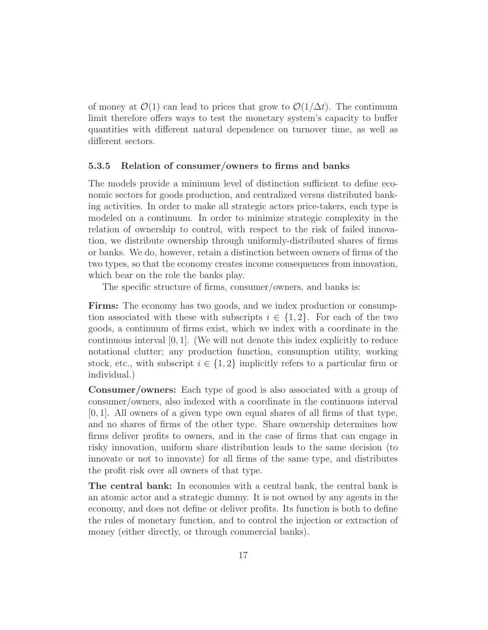of money at  $\mathcal{O}(1)$  can lead to prices that grow to  $\mathcal{O}(1/\Delta t)$ . The continuum limit therefore offers ways to test the monetary system's capacity to buffer quantities with different natural dependence on turnover time, as well as different sectors.

#### **5.3.5 Relation of consumer/owners to firms and banks**

The models provide a minimum level of distinction sufficient to define economic sectors for goods production, and centralized versus distributed banking activities. In order to make all strategic actors price-takers, each type is modeled on a continuum. In order to minimize strategic complexity in the relation of ownership to control, with respect to the risk of failed innovation, we distribute ownership through uniformly-distributed shares of firms or banks. We do, however, retain a distinction between owners of firms of the two types, so that the economy creates income consequences from innovation, which bear on the role the banks play.

The specific structure of firms, consumer/owners, and banks is:

**Firms:** The economy has two goods, and we index production or consumption associated with these with subscripts  $i \in \{1,2\}$ . For each of the two goods, a continuum of firms exist, which we index with a coordinate in the continuous interval [0, 1]. (We will not denote this index explicitly to reduce notational clutter; any production function, consumption utility, working stock, etc., with subscript  $i \in \{1,2\}$  implicitly refers to a particular firm or individual.)

**Consumer/owners:** Each type of good is also associated with a group of consumer/owners, also indexed with a coordinate in the continuous interval  $[0, 1]$ . All owners of a given type own equal shares of all firms of that type, and no shares of firms of the other type. Share ownership determines how firms deliver profits to owners, and in the case of firms that can engage in risky innovation, uniform share distribution leads to the same decision (to innovate or not to innovate) for all firms of the same type, and distributes the profit risk over all owners of that type.

**The central bank:** In economies with a central bank, the central bank is an atomic actor and a strategic dummy. It is not owned by any agents in the economy, and does not define or deliver profits. Its function is both to define the rules of monetary function, and to control the injection or extraction of money (either directly, or through commercial banks).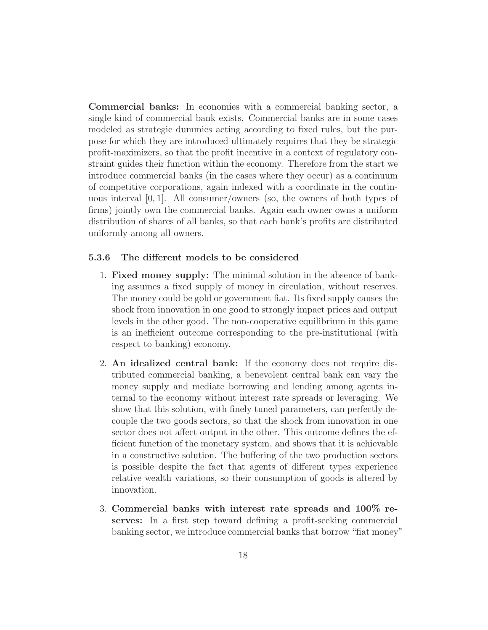**Commercial banks:** In economies with a commercial banking sector, a single kind of commercial bank exists. Commercial banks are in some cases modeled as strategic dummies acting according to fixed rules, but the purpose for which they are introduced ultimately requires that they be strategic profit-maximizers, so that the profit incentive in a context of regulatory constraint guides their function within the economy. Therefore from the start we introduce commercial banks (in the cases where they occur) as a continuum of competitive corporations, again indexed with a coordinate in the continuous interval  $[0, 1]$ . All consumer/owners (so, the owners of both types of firms) jointly own the commercial banks. Again each owner owns a uniform distribution of shares of all banks, so that each bank's profits are distributed uniformly among all owners.

### **5.3.6 The different models to be considered**

- 1. **Fixed money supply:** The minimal solution in the absence of banking assumes a fixed supply of money in circulation, without reserves. The money could be gold or government fiat. Its fixed supply causes the shock from innovation in one good to strongly impact prices and output levels in the other good. The non-cooperative equilibrium in this game is an inefficient outcome corresponding to the pre-institutional (with respect to banking) economy.
- 2. **An idealized central bank:** If the economy does not require distributed commercial banking, a benevolent central bank can vary the money supply and mediate borrowing and lending among agents internal to the economy without interest rate spreads or leveraging. We show that this solution, with finely tuned parameters, can perfectly decouple the two goods sectors, so that the shock from innovation in one sector does not affect output in the other. This outcome defines the efficient function of the monetary system, and shows that it is achievable in a constructive solution. The buffering of the two production sectors is possible despite the fact that agents of different types experience relative wealth variations, so their consumption of goods is altered by innovation.
- 3. **Commercial banks with interest rate spreads and 100% reserves:** In a first step toward defining a profit-seeking commercial banking sector, we introduce commercial banks that borrow "fiat money"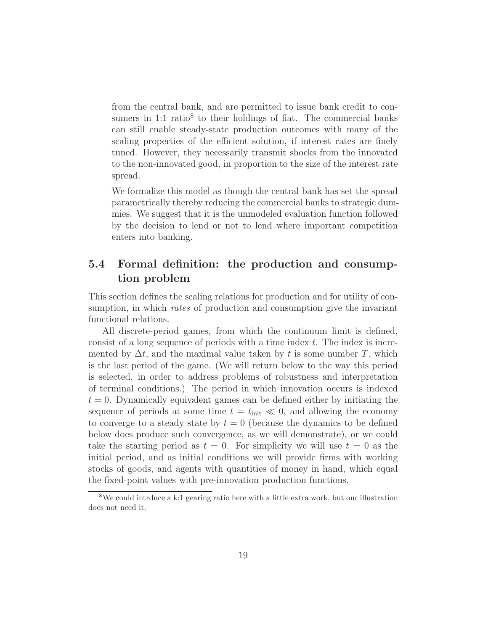from the central bank, and are permitted to issue bank credit to consumers in  $1:1$  ratio<sup>8</sup> to their holdings of fiat. The commercial banks can still enable steady-state production outcomes with many of the scaling properties of the efficient solution, if interest rates are finely tuned. However, they necessarily transmit shocks from the innovated to the non-innovated good, in proportion to the size of the interest rate spread.

We formalize this model as though the central bank has set the spread parametrically thereby reducing the commercial banks to strategic dummies. We suggest that it is the unmodeled evaluation function followed by the decision to lend or not to lend where important competition enters into banking.

## **5.4 Formal definition: the production and consumption problem**

This section defines the scaling relations for production and for utility of consumption, in which *rates* of production and consumption give the invariant functional relations.

All discrete-period games, from which the continuum limit is defined, consist of a long sequence of periods with a time index  $t$ . The index is incremented by  $\Delta t$ , and the maximal value taken by t is some number T, which is the last period of the game. (We will return below to the way this period is selected, in order to address problems of robustness and interpretation of terminal conditions.) The period in which innovation occurs is indexed  $t = 0$ . Dynamically equivalent games can be defined either by initiating the sequence of periods at some time  $t = t_{\text{init}} \ll 0$ , and allowing the economy to converge to a steady state by  $t = 0$  (because the dynamics to be defined below does produce such convergence, as we will demonstrate), or we could take the starting period as  $t = 0$ . For simplicity we will use  $t = 0$  as the initial period, and as initial conditions we will provide firms with working stocks of goods, and agents with quantities of money in hand, which equal the fixed-point values with pre-innovation production functions.

<sup>8</sup>We could intrduce a k:1 gearing ratio here with a little extra work, but our illustration does not need it.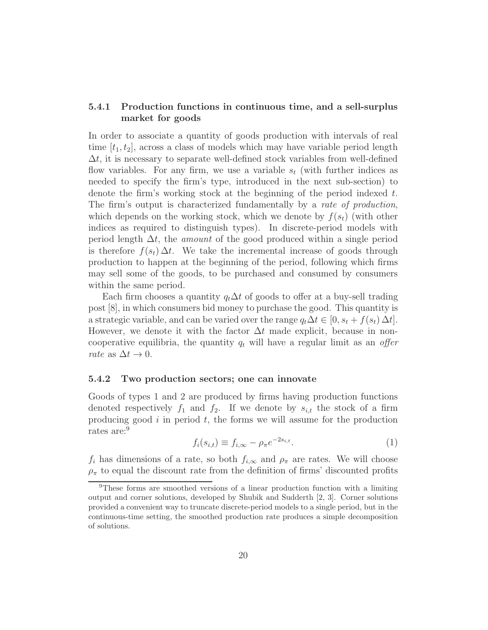### **5.4.1 Production functions in continuous time, and a sell-surplus market for goods**

In order to associate a quantity of goods production with intervals of real time  $[t_1, t_2]$ , across a class of models which may have variable period length  $\Delta t$ , it is necessary to separate well-defined stock variables from well-defined flow variables. For any firm, we use a variable  $s_t$  (with further indices as needed to specify the firm's type, introduced in the next sub-section) to denote the firm's working stock at the beginning of the period indexed  $t$ . The firm's output is characterized fundamentally by a rate of production, which depends on the working stock, which we denote by  $f(s_t)$  (with other indices as required to distinguish types). In discrete-period models with period length  $\Delta t$ , the *amount* of the good produced within a single period is therefore  $f(s_t) \Delta t$ . We take the incremental increase of goods through production to happen at the beginning of the period, following which firms may sell some of the goods, to be purchased and consumed by consumers within the same period.

Each firm chooses a quantity  $q_t\Delta t$  of goods to offer at a buy-sell trading post [8], in which consumers bid money to purchase the good. This quantity is a strategic variable, and can be varied over the range  $q_t\Delta t \in [0, s_t + f(s_t) \Delta t]$ . However, we denote it with the factor  $\Delta t$  made explicit, because in noncooperative equilibria, the quantity  $q_t$  will have a regular limit as an *offer* rate as  $\Delta t \rightarrow 0$ .

### **5.4.2 Two production sectors; one can innovate**

Goods of types 1 and 2 are produced by firms having production functions denoted respectively  $f_1$  and  $f_2$ . If we denote by  $s_{i,t}$  the stock of a firm producing good  $i$  in period  $t$ , the forms we will assume for the production rates are:<sup>9</sup>

$$
f_i(s_{i,t}) \equiv f_{i,\infty} - \rho_{\pi} e^{-2s_{i,t}}.
$$
\n(1)

 $f_i$  has dimensions of a rate, so both  $f_{i,\infty}$  and  $\rho_{\pi}$  are rates. We will choose  $\rho_{\pi}$  to equal the discount rate from the definition of firms' discounted profits

<sup>9</sup>These forms are smoothed versions of a linear production function with a limiting output and corner solutions, developed by Shubik and Sudderth [2, 3]. Corner solutions provided a convenient way to truncate discrete-period models to a single period, but in the continuous-time setting, the smoothed production rate produces a simple decomposition of solutions.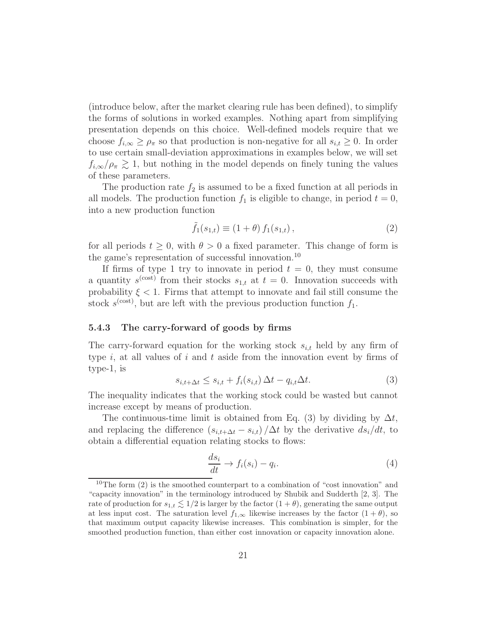(introduce below, after the market clearing rule has been defined), to simplify the forms of solutions in worked examples. Nothing apart from simplifying presentation depends on this choice. Well-defined models require that we choose  $f_{i,\infty} \geq \rho_{\pi}$  so that production is non-negative for all  $s_{i,t} \geq 0$ . In order to use certain small-deviation approximations in examples below, we will set  $f_{i,\infty}/\rho_{\pi} \gtrsim 1$ , but nothing in the model depends on finely tuning the values of these parameters.

The production rate  $f_2$  is assumed to be a fixed function at all periods in all models. The production function  $f_1$  is eligible to change, in period  $t = 0$ , into a new production function

$$
\tilde{f}_1(s_{1,t}) \equiv (1+\theta) \, f_1(s_{1,t}) \,, \tag{2}
$$

for all periods  $t > 0$ , with  $\theta > 0$  a fixed parameter. This change of form is the game's representation of successful innovation.<sup>10</sup>

If firms of type 1 try to innovate in period  $t = 0$ , they must consume a quantity  $s^{(\text{cost})}$  from their stocks  $s_{1,t}$  at  $t = 0$ . Innovation succeeds with probability  $\xi < 1$ . Firms that attempt to innovate and fail still consume the stock  $s^{(\text{cost})}$ , but are left with the previous production function  $f_1$ .

#### **5.4.3 The carry-forward of goods by firms**

The carry-forward equation for the working stock  $s_{i,t}$  held by any firm of type i, at all values of i and t aside from the innovation event by firms of type-1, is

$$
s_{i,t+\Delta t} \le s_{i,t} + f_i(s_{i,t}) \Delta t - q_{i,t} \Delta t.
$$
 (3)

The inequality indicates that the working stock could be wasted but cannot increase except by means of production.

The continuous-time limit is obtained from Eq. (3) by dividing by  $\Delta t$ , and replacing the difference  $(s_{i,t+\Delta t} - s_{i,t})/\Delta t$  by the derivative  $ds_i/dt$ , to obtain a differential equation relating stocks to flows:

$$
\frac{ds_i}{dt} \to f_i(s_i) - q_i. \tag{4}
$$

 $10$ The form  $(2)$  is the smoothed counterpart to a combination of "cost innovation" and "capacity innovation" in the terminology introduced by Shubik and Sudderth [2, 3]. The rate of production for  $s_{1,t} \lesssim 1/2$  is larger by the factor  $(1 + \theta)$ , generating the same output at less input cost. The saturation level  $f_{1,\infty}$  likewise increases by the factor  $(1 + \theta)$ , so that maximum output capacity likewise increases. This combination is simpler, for the smoothed production function, than either cost innovation or capacity innovation alone.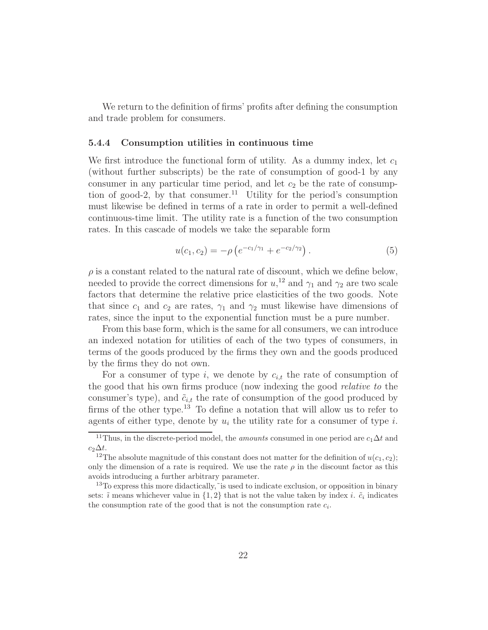We return to the definition of firms' profits after defining the consumption and trade problem for consumers.

#### **5.4.4 Consumption utilities in continuous time**

We first introduce the functional form of utility. As a dummy index, let  $c_1$ (without further subscripts) be the rate of consumption of good-1 by any consumer in any particular time period, and let  $c_2$  be the rate of consumption of good-2, by that consumer.<sup>11</sup> Utility for the period's consumption must likewise be defined in terms of a rate in order to permit a well-defined continuous-time limit. The utility rate is a function of the two consumption rates. In this cascade of models we take the separable form

$$
u(c_1, c_2) = -\rho \left( e^{-c_1/\gamma_1} + e^{-c_2/\gamma_2} \right).
$$
 (5)

 $\rho$  is a constant related to the natural rate of discount, which we define below, needed to provide the correct dimensions for  $u,^{12}$  and  $\gamma_1$  and  $\gamma_2$  are two scale factors that determine the relative price elasticities of the two goods. Note that since  $c_1$  and  $c_2$  are rates,  $\gamma_1$  and  $\gamma_2$  must likewise have dimensions of rates, since the input to the exponential function must be a pure number.

From this base form, which is the same for all consumers, we can introduce an indexed notation for utilities of each of the two types of consumers, in terms of the goods produced by the firms they own and the goods produced by the firms they do not own.

For a consumer of type i, we denote by  $c_{i,t}$  the rate of consumption of the good that his own firms produce (now indexing the good relative to the consumer's type), and  $\tilde{c}_{i,t}$  the rate of consumption of the good produced by firms of the other type.<sup>13</sup> To define a notation that will allow us to refer to agents of either type, denote by  $u_i$  the utility rate for a consumer of type i.

<sup>&</sup>lt;sup>11</sup>Thus, in the discrete-period model, the *amounts* consumed in one period are  $c_1\Delta t$  and

 $c_2\Delta t$ .<br><sup>12</sup>The absolute magnitude of this constant does not matter for the definition of  $u(c_1, c_2)$ ; only the dimension of a rate is required. We use the rate  $\rho$  in the discount factor as this avoids introducing a further arbitrary parameter.

<sup>&</sup>lt;sup>13</sup>To express this more didactically, is used to indicate exclusion, or opposition in binary sets:  $\tilde{i}$  means whichever value in  $\{1,2\}$  that is not the value taken by index i.  $\tilde{c}_i$  indicates the consumption rate of the good that is not the consumption rate  $c_i$ .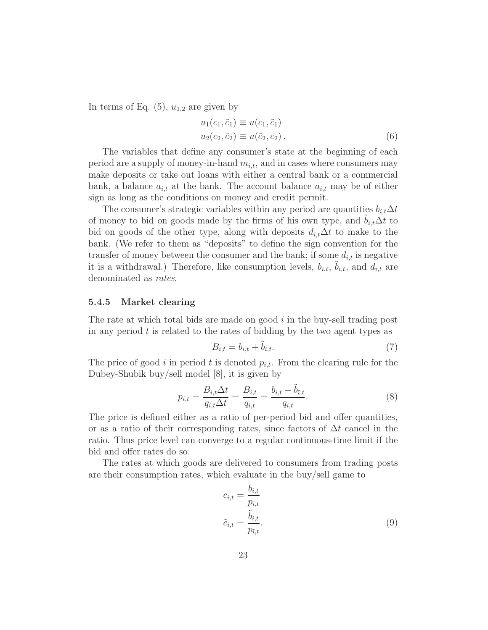In terms of Eq.  $(5)$ ,  $u_{1,2}$  are given by

$$
u_1(c_1, \tilde{c}_1) \equiv u(c_1, \tilde{c}_1) u_2(c_2, \tilde{c}_2) \equiv u(\tilde{c}_2, c_2).
$$
 (6)

The variables that define any consumer's state at the beginning of each period are a supply of money-in-hand  $m_{i,t}$ , and in cases where consumers may make deposits or take out loans with either a central bank or a commercial bank, a balance  $a_{i,t}$  at the bank. The account balance  $a_{i,t}$  may be of either sign as long as the conditions on money and credit permit.

The consumer's strategic variables within any period are quantities  $b_{i,t}\Delta t$ of money to bid on goods made by the firms of his own type, and  $b_{i,t}\Delta t$  to bid on goods of the other type, along with deposits  $d_{i,t}\Delta t$  to make to the bank. (We refer to them as "deposits" to define the sign convention for the transfer of money between the consumer and the bank; if some  $d_{i,t}$  is negative it is a withdrawal.) Therefore, like consumption levels,  $b_{i,t}$ ,  $b_{i,t}$ , and  $d_{i,t}$  are denominated as rates.

#### **5.4.5 Market clearing**

The rate at which total bids are made on good i in the buy-sell trading post in any period  $t$  is related to the rates of bidding by the two agent types as

$$
B_{i,t} = b_{i,t} + \tilde{b}_{\tilde{i},t}.\tag{7}
$$

The price of good i in period t is denoted  $p_{i,t}$ . From the clearing rule for the Dubey-Shubik buy/sell model [8], it is given by

$$
p_{i,t} = \frac{B_{i,t}\Delta t}{q_{i,t}\Delta t} = \frac{B_{i,t}}{q_{i,t}} = \frac{b_{i,t} + \tilde{b}_{\tilde{i},t}}{q_{i,t}}.
$$
 (8)

The price is defined either as a ratio of per-period bid and offer quantities, or as a ratio of their corresponding rates, since factors of  $\Delta t$  cancel in the ratio. Thus price level can converge to a regular continuous-time limit if the bid and offer rates do so.

The rates at which goods are delivered to consumers from trading posts are their consumption rates, which evaluate in the buy/sell game to

$$
c_{i,t} = \frac{b_{i,t}}{p_{i,t}}
$$
  

$$
\tilde{c}_{i,t} = \frac{\tilde{b}_{i,t}}{p_{\tilde{i},t}}.
$$
 (9)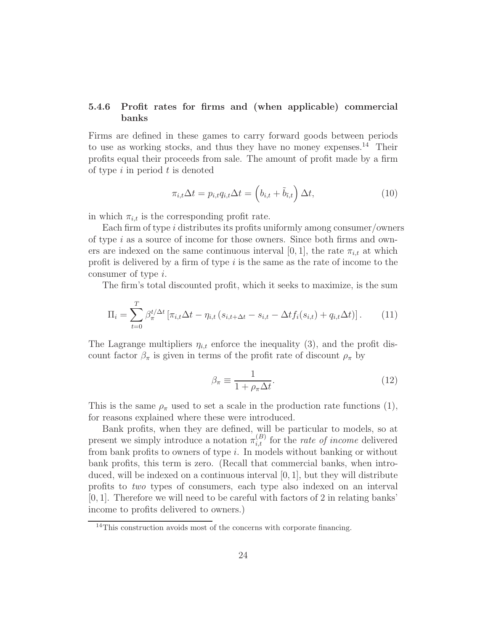### **5.4.6 Profit rates for firms and (when applicable) commercial banks**

Firms are defined in these games to carry forward goods between periods to use as working stocks, and thus they have no money expenses.<sup>14</sup> Their profits equal their proceeds from sale. The amount of profit made by a firm of type  $i$  in period  $t$  is denoted

$$
\pi_{i,t}\Delta t = p_{i,t}q_{i,t}\Delta t = \left(b_{i,t} + \tilde{b}_{i,t}\right)\Delta t,\tag{10}
$$

in which  $\pi_{i,t}$  is the corresponding profit rate.

Each firm of type  $i$  distributes its profits uniformly among consumer/owners of type i as a source of income for those owners. Since both firms and owners are indexed on the same continuous interval [0, 1], the rate  $\pi_{i,t}$  at which profit is delivered by a firm of type i is the same as the rate of income to the consumer of type i.

The firm's total discounted profit, which it seeks to maximize, is the sum

$$
\Pi_{i} = \sum_{t=0}^{T} \beta_{\pi}^{t/\Delta t} \left[ \pi_{i,t} \Delta t - \eta_{i,t} \left( s_{i,t+\Delta t} - s_{i,t} - \Delta t f_{i}(s_{i,t}) + q_{i,t} \Delta t \right) \right]. \tag{11}
$$

The Lagrange multipliers  $\eta_{i,t}$  enforce the inequality (3), and the profit discount factor  $\beta_{\pi}$  is given in terms of the profit rate of discount  $\rho_{\pi}$  by

$$
\beta_{\pi} \equiv \frac{1}{1 + \rho_{\pi} \Delta t}.
$$
\n(12)

This is the same  $\rho_{\pi}$  used to set a scale in the production rate functions (1), for reasons explained where these were introduced.

Bank profits, when they are defined, will be particular to models, so at present we simply introduce a notation  $\pi_{i,t}^{(B)}$  for the rate of income delivered from bank profits to owners of type i. In models without banking or without bank profits, this term is zero. (Recall that commercial banks, when introduced, will be indexed on a continuous interval [0, 1], but they will distribute profits to two types of consumers, each type also indexed on an interval  $[0, 1]$ . Therefore we will need to be careful with factors of 2 in relating banks' income to profits delivered to owners.)

<sup>&</sup>lt;sup>14</sup>This construction avoids most of the concerns with corporate financing.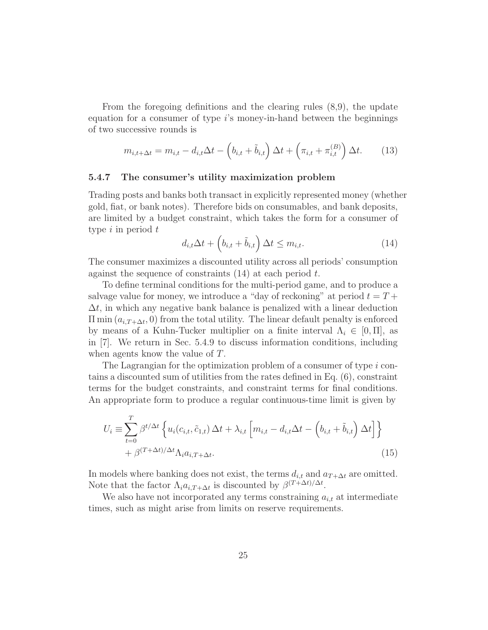From the foregoing definitions and the clearing rules (8,9), the update equation for a consumer of type  $i$ 's money-in-hand between the beginnings of two successive rounds is

$$
m_{i,t+\Delta t} = m_{i,t} - d_{i,t}\Delta t - \left(b_{i,t} + \tilde{b}_{i,t}\right)\Delta t + \left(\pi_{i,t} + \pi_{i,t}^{(B)}\right)\Delta t. \tag{13}
$$

#### **5.4.7 The consumer's utility maximization problem**

Trading posts and banks both transact in explicitly represented money (whether gold, fiat, or bank notes). Therefore bids on consumables, and bank deposits, are limited by a budget constraint, which takes the form for a consumer of type  $i$  in period  $t$ 

$$
d_{i,t}\Delta t + \left(b_{i,t} + \tilde{b}_{i,t}\right)\Delta t \le m_{i,t}.\tag{14}
$$

The consumer maximizes a discounted utility across all periods' consumption against the sequence of constraints (14) at each period t.

To define terminal conditions for the multi-period game, and to produce a salvage value for money, we introduce a "day of reckoning" at period  $t = T +$  $\Delta t$ , in which any negative bank balance is penalized with a linear deduction  $\Pi$  min  $(a_{i,T+\Delta t}, 0)$  from the total utility. The linear default penalty is enforced by means of a Kuhn-Tucker multiplier on a finite interval  $\Lambda_i \in [0, \Pi]$ , as in [7]. We return in Sec. 5.4.9 to discuss information conditions, including when agents know the value of T.

The Lagrangian for the optimization problem of a consumer of type  $i$  contains a discounted sum of utilities from the rates defined in Eq. (6), constraint terms for the budget constraints, and constraint terms for final conditions. An appropriate form to produce a regular continuous-time limit is given by

$$
U_i \equiv \sum_{t=0}^{T} \beta^{t/\Delta t} \left\{ u_i(c_{i,t}, \tilde{c}_{1,t}) \Delta t + \lambda_{i,t} \left[ m_{i,t} - d_{i,t} \Delta t - \left( b_{i,t} + \tilde{b}_{i,t} \right) \Delta t \right] \right\} + \beta^{(T + \Delta t)/\Delta t} \Lambda_i a_{i,T + \Delta t}.
$$
\n(15)

In models where banking does not exist, the terms  $d_{i,t}$  and  $a_{T+\Delta t}$  are omitted. Note that the factor  $\Lambda_i a_{i,T+\Delta t}$  is discounted by  $\beta^{(T+\Delta t)/\Delta t}$ .

We also have not incorporated any terms constraining  $a_{i,t}$  at intermediate times, such as might arise from limits on reserve requirements.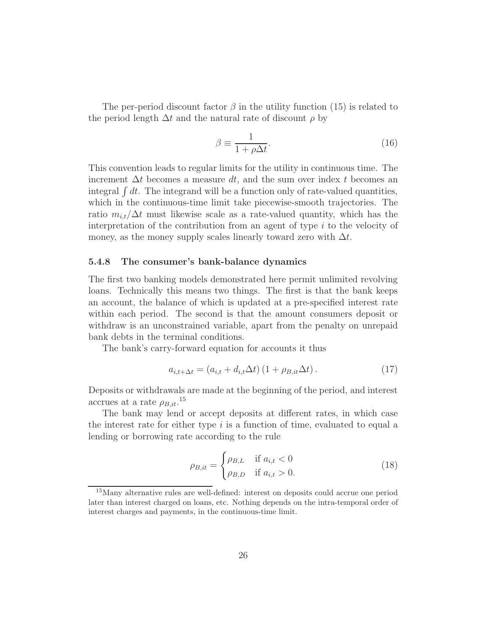The per-period discount factor  $\beta$  in the utility function (15) is related to the period length  $\Delta t$  and the natural rate of discount  $\rho$  by

$$
\beta \equiv \frac{1}{1 + \rho \Delta t}.\tag{16}
$$

This convention leads to regular limits for the utility in continuous time. The increment  $\Delta t$  becomes a measure dt, and the sum over index t becomes an integral  $\int dt$ . The integrand will be a function only of rate-valued quantities, which in the continuous-time limit take piecewise-smooth trajectories. The ratio  $m_{i,t}/\Delta t$  must likewise scale as a rate-valued quantity, which has the interpretation of the contribution from an agent of type i to the velocity of money, as the money supply scales linearly toward zero with  $\Delta t$ .

#### **5.4.8 The consumer's bank-balance dynamics**

The first two banking models demonstrated here permit unlimited revolving loans. Technically this means two things. The first is that the bank keeps an account, the balance of which is updated at a pre-specified interest rate within each period. The second is that the amount consumers deposit or withdraw is an unconstrained variable, apart from the penalty on unrepaid bank debts in the terminal conditions.

The bank's carry-forward equation for accounts it thus

$$
a_{i,t+\Delta t} = (a_{i,t} + d_{i,t}\Delta t) (1 + \rho_{B,it}\Delta t).
$$
 (17)

Deposits or withdrawals are made at the beginning of the period, and interest accrues at a rate  $\rho_{B,it}$ .<sup>15</sup>

The bank may lend or accept deposits at different rates, in which case the interest rate for either type  $i$  is a function of time, evaluated to equal a lending or borrowing rate according to the rule

$$
\rho_{B,it} = \begin{cases} \rho_{B,L} & \text{if } a_{i,t} < 0\\ \rho_{B,D} & \text{if } a_{i,t} > 0. \end{cases}
$$
\n(18)

<sup>15</sup>Many alternative rules are well-defined: interest on deposits could accrue one period later than interest charged on loans, etc. Nothing depends on the intra-temporal order of interest charges and payments, in the continuous-time limit.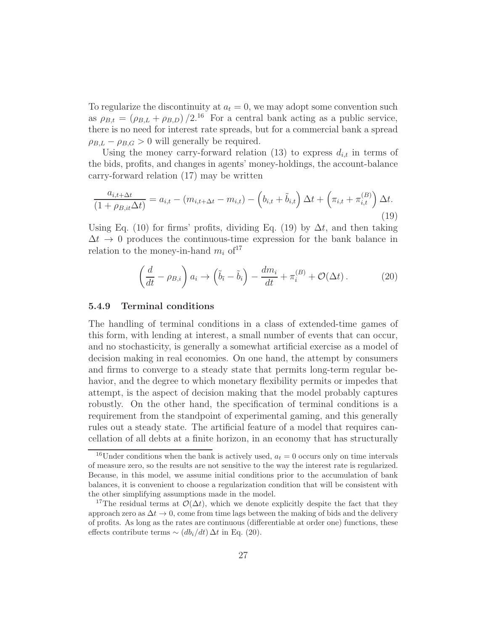To regularize the discontinuity at  $a_t = 0$ , we may adopt some convention such as  $\rho_{B,t} = (\rho_{B,L} + \rho_{B,D})/2^{16}$  For a central bank acting as a public service, there is no need for interest rate spreads, but for a commercial bank a spread  $\rho_{B,L} - \rho_{B,G} > 0$  will generally be required.

Using the money carry-forward relation (13) to express  $d_{i,t}$  in terms of the bids, profits, and changes in agents' money-holdings, the account-balance carry-forward relation (17) may be written

$$
\frac{a_{i,t+\Delta t}}{(1+\rho_{B,it}\Delta t)} = a_{i,t} - (m_{i,t+\Delta t} - m_{i,t}) - \left(b_{i,t} + \tilde{b}_{i,t}\right)\Delta t + \left(\pi_{i,t} + \pi_{i,t}^{(B)}\right)\Delta t.
$$
\n(19)

Using Eq. (10) for firms' profits, dividing Eq. (19) by  $\Delta t$ , and then taking  $\Delta t \rightarrow 0$  produces the continuous-time expression for the bank balance in relation to the money-in-hand  $m_i$  of  $17$ 

$$
\left(\frac{d}{dt} - \rho_{B,i}\right) a_i \to \left(\tilde{b}_i - \tilde{b}_i\right) - \frac{dm_i}{dt} + \pi_i^{(B)} + \mathcal{O}(\Delta t) \,. \tag{20}
$$

#### **5.4.9 Terminal conditions**

The handling of terminal conditions in a class of extended-time games of this form, with lending at interest, a small number of events that can occur, and no stochasticity, is generally a somewhat artificial exercise as a model of decision making in real economies. On one hand, the attempt by consumers and firms to converge to a steady state that permits long-term regular behavior, and the degree to which monetary flexibility permits or impedes that attempt, is the aspect of decision making that the model probably captures robustly. On the other hand, the specification of terminal conditions is a requirement from the standpoint of experimental gaming, and this generally rules out a steady state. The artificial feature of a model that requires cancellation of all debts at a finite horizon, in an economy that has structurally

<sup>&</sup>lt;sup>16</sup>Under conditions when the bank is actively used,  $a_t = 0$  occurs only on time intervals of measure zero, so the results are not sensitive to the way the interest rate is regularized. Because, in this model, we assume initial conditions prior to the accumulation of bank balances, it is convenient to choose a regularization condition that will be consistent with the other simplifying assumptions made in the model.

<sup>&</sup>lt;sup>17</sup>The residual terms at  $\mathcal{O}(\Delta t)$ , which we denote explicitly despite the fact that they approach zero as  $\Delta t \rightarrow 0$ , come from time lags between the making of bids and the delivery of profits. As long as the rates are continuous (differentiable at order one) functions, these effects contribute terms  $\sim (db_i/dt) \Delta t$  in Eq. (20).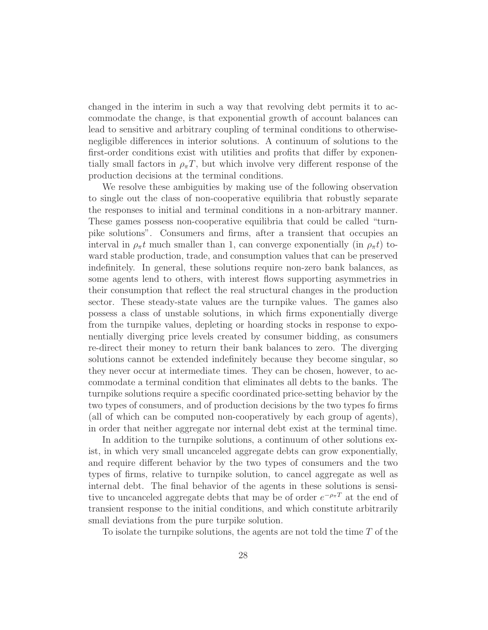changed in the interim in such a way that revolving debt permits it to accommodate the change, is that exponential growth of account balances can lead to sensitive and arbitrary coupling of terminal conditions to otherwisenegligible differences in interior solutions. A continuum of solutions to the first-order conditions exist with utilities and profits that differ by exponentially small factors in  $\rho_{\pi}T$ , but which involve very different response of the production decisions at the terminal conditions.

We resolve these ambiguities by making use of the following observation to single out the class of non-cooperative equilibria that robustly separate the responses to initial and terminal conditions in a non-arbitrary manner. These games possess non-cooperative equilibria that could be called "turnpike solutions". Consumers and firms, after a transient that occupies an interval in  $\rho_{\pi}t$  much smaller than 1, can converge exponentially (in  $\rho_{\pi}t$ ) toward stable production, trade, and consumption values that can be preserved indefinitely. In general, these solutions require non-zero bank balances, as some agents lend to others, with interest flows supporting asymmetries in their consumption that reflect the real structural changes in the production sector. These steady-state values are the turnpike values. The games also possess a class of unstable solutions, in which firms exponentially diverge from the turnpike values, depleting or hoarding stocks in response to exponentially diverging price levels created by consumer bidding, as consumers re-direct their money to return their bank balances to zero. The diverging solutions cannot be extended indefinitely because they become singular, so they never occur at intermediate times. They can be chosen, however, to accommodate a terminal condition that eliminates all debts to the banks. The turnpike solutions require a specific coordinated price-setting behavior by the two types of consumers, and of production decisions by the two types fo firms (all of which can be computed non-cooperatively by each group of agents), in order that neither aggregate nor internal debt exist at the terminal time.

In addition to the turnpike solutions, a continuum of other solutions exist, in which very small uncanceled aggregate debts can grow exponentially, and require different behavior by the two types of consumers and the two types of firms, relative to turnpike solution, to cancel aggregate as well as internal debt. The final behavior of the agents in these solutions is sensitive to uncanceled aggregate debts that may be of order  $e^{-\rho_{\pi}T}$  at the end of transient response to the initial conditions, and which constitute arbitrarily small deviations from the pure turpike solution.

To isolate the turnpike solutions, the agents are not told the time  $T$  of the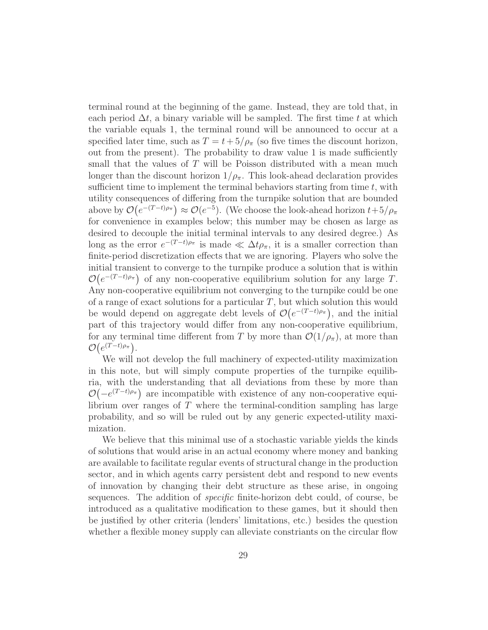terminal round at the beginning of the game. Instead, they are told that, in each period  $\Delta t$ , a binary variable will be sampled. The first time t at which the variable equals 1, the terminal round will be announced to occur at a specified later time, such as  $T = t + 5/\rho_{\pi}$  (so five times the discount horizon, out from the present). The probability to draw value 1 is made sufficiently small that the values of  $T$  will be Poisson distributed with a mean much longer than the discount horizon  $1/\rho_{\pi}$ . This look-ahead declaration provides sufficient time to implement the terminal behaviors starting from time  $t$ , with utility consequences of differing from the turnpike solution that are bounded above by  $\mathcal{O}(e^{-(T-t)\rho_{\pi}}) \approx \mathcal{O}(e^{-5})$ . (We choose the look-ahead horizon  $t+5/\rho_{\pi}$ for convenience in examples below; this number may be chosen as large as desired to decouple the initial terminal intervals to any desired degree.) As long as the error  $e^{-(T-t)\rho_{\pi}}$  is made  $\ll \Delta t \rho_{\pi}$ , it is a smaller correction than finite-period discretization effects that we are ignoring. Players who solve the initial transient to converge to the turnpike produce a solution that is within  $\mathcal{O}(e^{-(T-t)\rho_{\pi}})$  of any non-cooperative equilibrium solution for any large T. Any non-cooperative equilibrium not converging to the turnpike could be one of a range of exact solutions for a particular  $T$ , but which solution this would be would depend on aggregate debt levels of  $\mathcal{O}(e^{-(T-t)\rho_{\pi}})$ , and the initial part of this trajectory would differ from any non-cooperative equilibrium, for any terminal time different from T by more than  $\mathcal{O}(1/\rho_\pi)$ , at more than  $\mathcal{O}\big(e^{(T-t)\rho_{\pi}}\big).$ 

We will not develop the full machinery of expected-utility maximization in this note, but will simply compute properties of the turnpike equilibria, with the understanding that all deviations from these by more than  $\mathcal{O}(-e^{(T-t)\rho_{\pi}})$  are incompatible with existence of any non-cooperative equilibrium over ranges of  $T$  where the terminal-condition sampling has large probability, and so will be ruled out by any generic expected-utility maximization.

We believe that this minimal use of a stochastic variable yields the kinds of solutions that would arise in an actual economy where money and banking are available to facilitate regular events of structural change in the production sector, and in which agents carry persistent debt and respond to new events of innovation by changing their debt structure as these arise, in ongoing sequences. The addition of specific finite-horizon debt could, of course, be introduced as a qualitative modification to these games, but it should then be justified by other criteria (lenders' limitations, etc.) besides the question whether a flexible money supply can alleviate constriants on the circular flow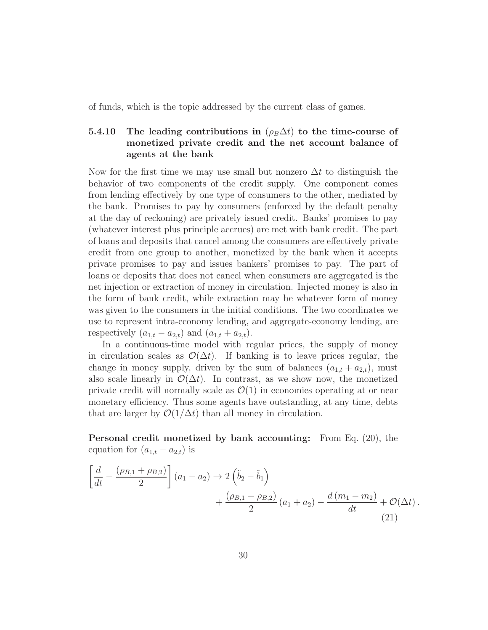of funds, which is the topic addressed by the current class of games.

## **5.4.10** The leading contributions in  $(\rho_B \Delta t)$  to the time-course of **monetized private credit and the net account balance of agents at the bank**

Now for the first time we may use small but nonzero  $\Delta t$  to distinguish the behavior of two components of the credit supply. One component comes from lending effectively by one type of consumers to the other, mediated by the bank. Promises to pay by consumers (enforced by the default penalty at the day of reckoning) are privately issued credit. Banks' promises to pay (whatever interest plus principle accrues) are met with bank credit. The part of loans and deposits that cancel among the consumers are effectively private credit from one group to another, monetized by the bank when it accepts private promises to pay and issues bankers' promises to pay. The part of loans or deposits that does not cancel when consumers are aggregated is the net injection or extraction of money in circulation. Injected money is also in the form of bank credit, while extraction may be whatever form of money was given to the consumers in the initial conditions. The two coordinates we use to represent intra-economy lending, and aggregate-economy lending, are respectively  $(a_{1,t} - a_{2,t})$  and  $(a_{1,t} + a_{2,t})$ .

In a continuous-time model with regular prices, the supply of money in circulation scales as  $\mathcal{O}(\Delta t)$ . If banking is to leave prices regular, the change in money supply, driven by the sum of balances  $(a_{1,t} + a_{2,t})$ , must also scale linearly in  $\mathcal{O}(\Delta t)$ . In contrast, as we show now, the monetized private credit will normally scale as  $\mathcal{O}(1)$  in economies operating at or near monetary efficiency. Thus some agents have outstanding, at any time, debts that are larger by  $\mathcal{O}(1/\Delta t)$  than all money in circulation.

**Personal credit monetized by bank accounting:** From Eq. (20), the equation for  $(a_{1,t} - a_{2,t})$  is

$$
\left[\frac{d}{dt} - \frac{(\rho_{B,1} + \rho_{B,2})}{2}\right](a_1 - a_2) \to 2\left(\tilde{b}_2 - \tilde{b}_1\right) + \frac{(\rho_{B,1} - \rho_{B,2})}{2}(a_1 + a_2) - \frac{d(m_1 - m_2)}{dt} + \mathcal{O}(\Delta t).
$$
\n(21)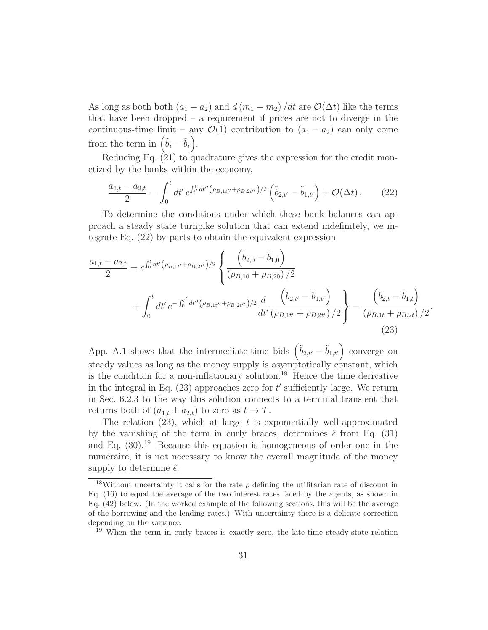As long as both both  $(a_1 + a_2)$  and  $d (m_1 - m_2) / dt$  are  $\mathcal{O}(\Delta t)$  like the terms that have been dropped – a requirement if prices are not to diverge in the continuous-time limit – any  $\mathcal{O}(1)$  contribution to  $(a_1 - a_2)$  can only come from the term in  $(\tilde{b}_{\tilde{i}} - \tilde{b}_{i})$ .

Reducing Eq. (21) to quadrature gives the expression for the credit monetized by the banks within the economy,

$$
\frac{a_{1,t} - a_{2,t}}{2} = \int_0^t dt' e^{\int_{t'}^t dt'' \left(\rho_{B,1t''} + \rho_{B,2t''}\right)/2} \left(\tilde{b}_{2,t'} - \tilde{b}_{1,t'}\right) + \mathcal{O}(\Delta t) \,. \tag{22}
$$

To determine the conditions under which these bank balances can approach a steady state turnpike solution that can extend indefinitely, we integrate Eq. (22) by parts to obtain the equivalent expression

$$
\frac{a_{1,t} - a_{2,t}}{2} = e^{\int_0^t dt' (\rho_{B,1t'} + \rho_{B,2t'})/2} \left\{ \frac{\left(\tilde{b}_{2,0} - \tilde{b}_{1,0}\right)}{(\rho_{B,10} + \rho_{B,20})/2} + \int_0^t dt' e^{-\int_0^{t'} dt'' (\rho_{B,1t''} + \rho_{B,2t''})/2} \frac{d}{dt'} \frac{\left(\tilde{b}_{2,t'} - \tilde{b}_{1,t'}\right)}{\left(\rho_{B,1t'} + \rho_{B,2t'}\right)/2} \right\} - \frac{\left(\tilde{b}_{2,t} - \tilde{b}_{1,t}\right)}{\left(\rho_{B,1t} + \rho_{B,2t}\right)/2}
$$
\n(23)

.

App. A.1 shows that the intermediate-time bids  $(\tilde{b}_{2,t'} - \tilde{b}_{1,t'})$  converge on steady values as long as the money supply is asymptotically constant, which is the condition for a non-inflationary solution.<sup>18</sup> Hence the time derivative in the integral in Eq.  $(23)$  approaches zero for  $t'$  sufficiently large. We return in Sec. 6.2.3 to the way this solution connects to a terminal transient that returns both of  $(a_{1,t} \pm a_{2,t})$  to zero as  $t \to T$ .

The relation  $(23)$ , which at large t is exponentially well-approximated by the vanishing of the term in curly braces, determines  $\hat{\epsilon}$  from Eq. (31) and Eq.  $(30)^{19}$  Because this equation is homogeneous of order one in the numéraire, it is not necessary to know the overall magnitude of the money supply to determine  $\hat{\epsilon}$ .

<sup>&</sup>lt;sup>18</sup>Without uncertainty it calls for the rate  $\rho$  defining the utilitarian rate of discount in Eq. (16) to equal the average of the two interest rates faced by the agents, as shown in Eq. (42) below. (In the worked example of the following sections, this will be the average of the borrowing and the lending rates.) With uncertainty there is a delicate correction depending on the variance.

<sup>&</sup>lt;sup>19</sup> When the term in curly braces is exactly zero, the late-time steady-state relation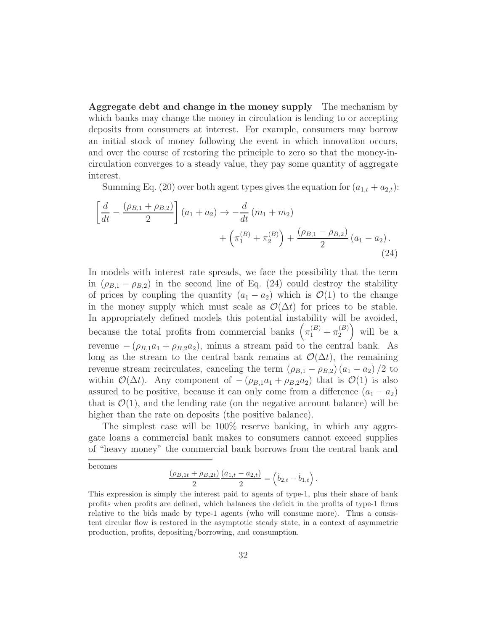**Aggregate debt and change in the money supply** The mechanism by which banks may change the money in circulation is lending to or accepting deposits from consumers at interest. For example, consumers may borrow an initial stock of money following the event in which innovation occurs, and over the course of restoring the principle to zero so that the money-incirculation converges to a steady value, they pay some quantity of aggregate interest.

Summing Eq. (20) over both agent types gives the equation for  $(a_{1,t} + a_{2,t})$ :

$$
\left[\frac{d}{dt} - \frac{(\rho_{B,1} + \rho_{B,2})}{2}\right](a_1 + a_2) \to -\frac{d}{dt}(m_1 + m_2) + \left(\pi_1^{(B)} + \pi_2^{(B)}\right) + \frac{(\rho_{B,1} - \rho_{B,2})}{2}(a_1 - a_2).
$$
\n(24)

In models with interest rate spreads, we face the possibility that the term in  $(\rho_{B,1} - \rho_{B,2})$  in the second line of Eq. (24) could destroy the stability of prices by coupling the quantity  $(a_1 - a_2)$  which is  $\mathcal{O}(1)$  to the change in the money supply which must scale as  $\mathcal{O}(\Delta t)$  for prices to be stable. In appropriately defined models this potential instability will be avoided, because the total profits from commercial banks  $(\pi_1^{(B)} + \pi_2^{(B)})$  will be a revenue  $-(\rho_{B,1}a_1+\rho_{B,2}a_2)$ , minus a stream paid to the central bank. As long as the stream to the central bank remains at  $\mathcal{O}(\Delta t)$ , the remaining revenue stream recirculates, canceling the term  $(\rho_{B,1} - \rho_{B,2}) (a_1 - a_2)/2$  to within  $\mathcal{O}(\Delta t)$ . Any component of  $-(\rho_{B,1}a_1 + \rho_{B,2}a_2)$  that is  $\mathcal{O}(1)$  is also assured to be positive, because it can only come from a difference  $(a_1 - a_2)$ that is  $\mathcal{O}(1)$ , and the lending rate (on the negative account balance) will be higher than the rate on deposits (the positive balance).

The simplest case will be 100% reserve banking, in which any aggregate loans a commercial bank makes to consumers cannot exceed supplies of "heavy money" the commercial bank borrows from the central bank and

becomes

$$
\frac{(\rho_{B,1t} + \rho_{B,2t})}{2} \frac{(a_{1,t} - a_{2,t})}{2} = \left(\tilde{b}_{2,t} - \tilde{b}_{1,t}\right).
$$

This expression is simply the interest paid to agents of type-1, plus their share of bank profits when profits are defined, which balances the deficit in the profits of type-1 firms relative to the bids made by type-1 agents (who will consume more). Thus a consistent circular flow is restored in the asymptotic steady state, in a context of asymmetric production, profits, depositing/borrowing, and consumption.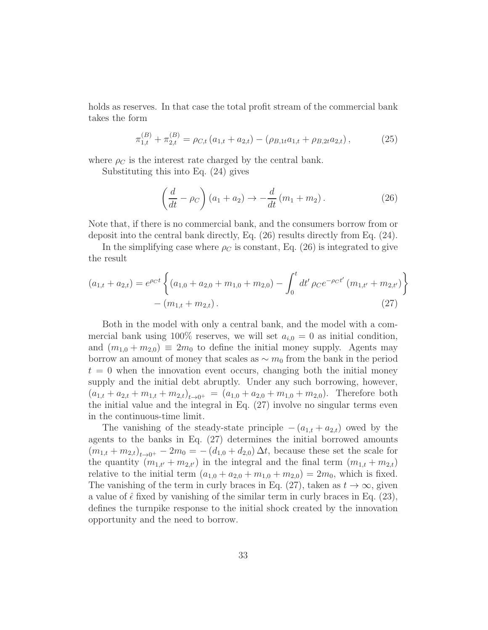holds as reserves. In that case the total profit stream of the commercial bank takes the form

$$
\pi_{1,t}^{(B)} + \pi_{2,t}^{(B)} = \rho_{C,t} \left( a_{1,t} + a_{2,t} \right) - \left( \rho_{B,1,t} a_{1,t} + \rho_{B,2t} a_{2,t} \right),\tag{25}
$$

where  $\rho_C$  is the interest rate charged by the central bank.

Substituting this into Eq. (24) gives

$$
\left(\frac{d}{dt} - \rho_C\right)(a_1 + a_2) \to -\frac{d}{dt}(m_1 + m_2).
$$
\n(26)

Note that, if there is no commercial bank, and the consumers borrow from or deposit into the central bank directly, Eq. (26) results directly from Eq. (24).

In the simplifying case where  $\rho_C$  is constant, Eq. (26) is integrated to give the result

$$
(a_{1,t} + a_{2,t}) = e^{\rho_C t} \left\{ (a_{1,0} + a_{2,0} + m_{1,0} + m_{2,0}) - \int_0^t dt' \rho_C e^{-\rho_C t'} (m_{1,t'} + m_{2,t'}) \right\}
$$
  
-  $(m_{1,t} + m_{2,t}).$  (27)

Both in the model with only a central bank, and the model with a commercial bank using 100% reserves, we will set  $a_{i,0} = 0$  as initial condition, and  $(m_{1,0} + m_{2,0}) \equiv 2m_0$  to define the initial money supply. Agents may borrow an amount of money that scales as  $\sim m_0$  from the bank in the period  $t = 0$  when the innovation event occurs, changing both the initial money supply and the initial debt abruptly. Under any such borrowing, however,  $(a_{1,t} + a_{2,t} + m_{1,t} + m_{2,t})_{t\to 0^+} = (a_{1,0} + a_{2,0} + m_{1,0} + m_{2,0}).$  Therefore both the initial value and the integral in Eq. (27) involve no singular terms even in the continuous-time limit.

The vanishing of the steady-state principle  $-(a_{1,t} + a_{2,t})$  owed by the agents to the banks in Eq. (27) determines the initial borrowed amounts  $(m_{1,t} + m_{2,t})_{t\to 0^+} - 2m_0 = -(d_{1,0} + d_{2,0})\Delta t$ , because these set the scale for the quantity  $(m_{1,t'} + m_{2,t'})$  in the integral and the final term  $(m_{1,t} + m_{2,t})$ relative to the initial term  $(a_{1,0} + a_{2,0} + m_{1,0} + m_{2,0}) = 2m_0$ , which is fixed. The vanishing of the term in curly braces in Eq. (27), taken as  $t \to \infty$ , given a value of  $\hat{\epsilon}$  fixed by vanishing of the similar term in curly braces in Eq. (23), defines the turnpike response to the initial shock created by the innovation opportunity and the need to borrow.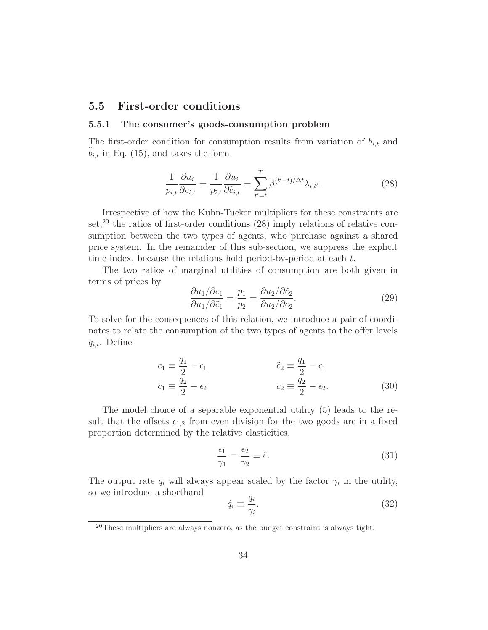## **5.5 First-order conditions**

#### **5.5.1 The consumer's goods-consumption problem**

The first-order condition for consumption results from variation of  $b_{i,t}$  and  $\tilde{b}_{i,t}$  in Eq. (15), and takes the form

$$
\frac{1}{p_{i,t}} \frac{\partial u_i}{\partial c_{i,t}} = \frac{1}{p_{\tilde{i},t}} \frac{\partial u_i}{\partial \tilde{c}_{i,t}} = \sum_{t'=t}^T \beta^{(t'-t)/\Delta t} \lambda_{i,t'}.
$$
\n(28)

Irrespective of how the Kuhn-Tucker multipliers for these constraints are set,<sup>20</sup> the ratios of first-order conditions  $(28)$  imply relations of relative consumption between the two types of agents, who purchase against a shared price system. In the remainder of this sub-section, we suppress the explicit time index, because the relations hold period-by-period at each t.

The two ratios of marginal utilities of consumption are both given in terms of prices by

$$
\frac{\partial u_1/\partial c_1}{\partial u_1/\partial \tilde{c}_1} = \frac{p_1}{p_2} = \frac{\partial u_2/\partial \tilde{c}_2}{\partial u_2/\partial c_2}.
$$
\n(29)

To solve for the consequences of this relation, we introduce a pair of coordinates to relate the consumption of the two types of agents to the offer levels  $q_{i,t}$ . Define

$$
c_1 \equiv \frac{q_1}{2} + \epsilon_1
$$
  
\n
$$
\tilde{c}_1 \equiv \frac{q_2}{2} + \epsilon_2
$$
  
\n
$$
\tilde{c}_2 \equiv \frac{q_1}{2} - \epsilon_1
$$
  
\n
$$
c_2 \equiv \frac{q_2}{2} - \epsilon_2.
$$
  
\n(30)

The model choice of a separable exponential utility (5) leads to the result that the offsets  $\epsilon_{1,2}$  from even division for the two goods are in a fixed proportion determined by the relative elasticities,

$$
\frac{\epsilon_1}{\gamma_1} = \frac{\epsilon_2}{\gamma_2} \equiv \hat{\epsilon}.\tag{31}
$$

The output rate  $q_i$  will always appear scaled by the factor  $\gamma_i$  in the utility, so we introduce a shorthand  $q_i$ 

$$
\hat{q}_i \equiv \frac{q_i}{\gamma_i}.\tag{32}
$$

 $20$ These multipliers are always nonzero, as the budget constraint is always tight.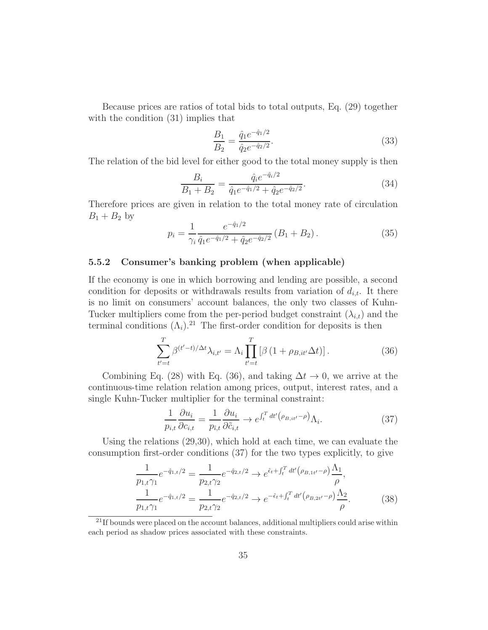Because prices are ratios of total bids to total outputs, Eq. (29) together with the condition  $(31)$  implies that

$$
\frac{B_1}{B_2} = \frac{\hat{q}_1 e^{-\hat{q}_1/2}}{\hat{q}_2 e^{-\hat{q}_2/2}}.
$$
\n(33)

The relation of the bid level for either good to the total money supply is then

$$
\frac{B_i}{B_1 + B_2} = \frac{\hat{q}_i e^{-\hat{q}_i/2}}{\hat{q}_1 e^{-\hat{q}_1/2} + \hat{q}_2 e^{-\hat{q}_2/2}}.
$$
(34)

Therefore prices are given in relation to the total money rate of circulation  $B_1 + B_2$  by

$$
p_i = \frac{1}{\gamma_i} \frac{e^{-\hat{q}_1/2}}{\hat{q}_1 e^{-\hat{q}_1/2} + \hat{q}_2 e^{-\hat{q}_2/2}} \left(B_1 + B_2\right).
$$
 (35)

#### **5.5.2 Consumer's banking problem (when applicable)**

If the economy is one in which borrowing and lending are possible, a second condition for deposits or withdrawals results from variation of  $d_{i,t}$ . It there is no limit on consumers' account balances, the only two classes of Kuhn-Tucker multipliers come from the per-period budget constraint  $(\lambda_{i,t})$  and the terminal conditions  $(\Lambda_i)^{21}$ . The first-order condition for deposits is then

$$
\sum_{t'=t}^{T} \beta^{(t'-t)/\Delta t} \lambda_{i,t'} = \Lambda_i \prod_{t'=t}^{T} \left[ \beta \left( 1 + \rho_{B,it'} \Delta t \right) \right]. \tag{36}
$$

Combining Eq. (28) with Eq. (36), and taking  $\Delta t \rightarrow 0$ , we arrive at the continuous-time relation relation among prices, output, interest rates, and a single Kuhn-Tucker multiplier for the terminal constraint:

$$
\frac{1}{p_{i,t}} \frac{\partial u_i}{\partial c_{i,t}} = \frac{1}{p_{\tilde{i},t}} \frac{\partial u_i}{\partial \tilde{c}_{i,t}} \to e^{\int_t^T dt' \left(\rho_{B,it'} - \rho\right)} \Lambda_i.
$$
\n(37)

Using the relations (29,30), which hold at each time, we can evaluate the consumption first-order conditions (37) for the two types explicitly, to give

$$
\frac{1}{p_{1,t}\gamma_1}e^{-\hat{q}_{1,t}/2} = \frac{1}{p_{2,t}\gamma_2}e^{-\hat{q}_{2,t}/2} \to e^{\hat{\epsilon}_t + \int_t^T dt'(\rho_{B,1t'}-\rho)}\frac{\Lambda_1}{\rho},
$$
\n
$$
\frac{1}{p_{1,t}\gamma_1}e^{-\hat{q}_{1,t}/2} = \frac{1}{p_{2,t}\gamma_2}e^{-\hat{q}_{2,t}/2} \to e^{-\hat{\epsilon}_t + \int_t^T dt'(\rho_{B,2t'}-\rho)}\frac{\Lambda_2}{\rho}.
$$
\n(38)

 $2<sup>21</sup>$ If bounds were placed on the account balances, additional multipliers could arise within each period as shadow prices associated with these constraints.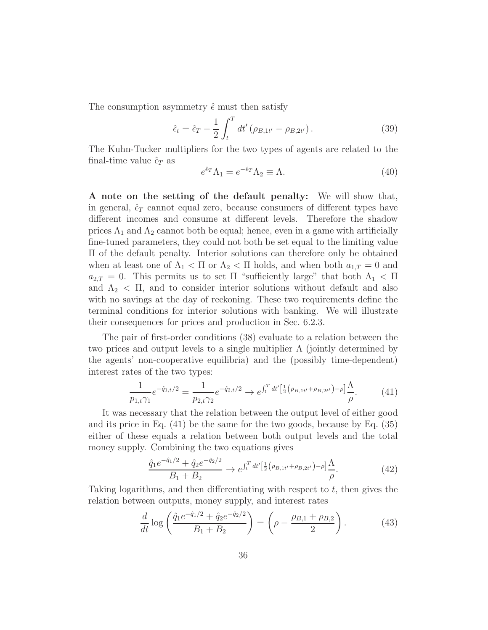The consumption asymmetry  $\hat{\epsilon}$  must then satisfy

$$
\hat{\epsilon}_t = \hat{\epsilon}_T - \frac{1}{2} \int_t^T dt' \left( \rho_{B,1t'} - \rho_{B,2t'} \right). \tag{39}
$$

The Kuhn-Tucker multipliers for the two types of agents are related to the final-time value  $\hat{\epsilon}_T$  as

$$
e^{\hat{\epsilon}_T} \Lambda_1 = e^{-\hat{\epsilon}_T} \Lambda_2 \equiv \Lambda. \tag{40}
$$

**A note on the setting of the default penalty:** We will show that, in general,  $\hat{\epsilon}_T$  cannot equal zero, because consumers of different types have different incomes and consume at different levels. Therefore the shadow prices  $\Lambda_1$  and  $\Lambda_2$  cannot both be equal; hence, even in a game with artificially fine-tuned parameters, they could not both be set equal to the limiting value Π of the default penalty. Interior solutions can therefore only be obtained when at least one of  $\Lambda_1 < \Pi$  or  $\Lambda_2 < \Pi$  holds, and when both  $a_{1,T} = 0$  and  $a_{2,T} = 0$ . This permits us to set  $\Pi$  "sufficiently large" that both  $\Lambda_1 < \Pi$ and  $\Lambda_2$  <  $\Pi$ , and to consider interior solutions without default and also with no savings at the day of reckoning. These two requirements define the terminal conditions for interior solutions with banking. We will illustrate their consequences for prices and production in Sec. 6.2.3.

The pair of first-order conditions (38) evaluate to a relation between the two prices and output levels to a single multiplier  $\Lambda$  (jointly determined by the agents' non-cooperative equilibria) and the (possibly time-dependent) interest rates of the two types:

$$
\frac{1}{p_{1,t}\gamma_1}e^{-\hat{q}_{1,t}/2} = \frac{1}{p_{2,t}\gamma_2}e^{-\hat{q}_{2,t}/2} \to e^{\int_t^T dt' \left[\frac{1}{2}(\rho_{B,1t'} + \rho_{B,2t'}) - \rho\right]}\frac{\Lambda}{\rho}.
$$
(41)

It was necessary that the relation between the output level of either good and its price in Eq. (41) be the same for the two goods, because by Eq. (35) either of these equals a relation between both output levels and the total money supply. Combining the two equations gives

$$
\frac{\hat{q}_1 e^{-\hat{q}_1/2} + \hat{q}_2 e^{-\hat{q}_2/2}}{B_1 + B_2} \to e^{\int_t^T dt' \left[\frac{1}{2} (\rho_{B,1t'} + \rho_{B,2t'}) - \rho\right] \frac{\Lambda}{\rho}}.
$$
\n(42)

Taking logarithms, and then differentiating with respect to  $t$ , then gives the relation between outputs, money supply, and interest rates

$$
\frac{d}{dt}\log\left(\frac{\hat{q}_1e^{-\hat{q}_1/2} + \hat{q}_2e^{-\hat{q}_2/2}}{B_1 + B_2}\right) = \left(\rho - \frac{\rho_{B,1} + \rho_{B,2}}{2}\right). \tag{43}
$$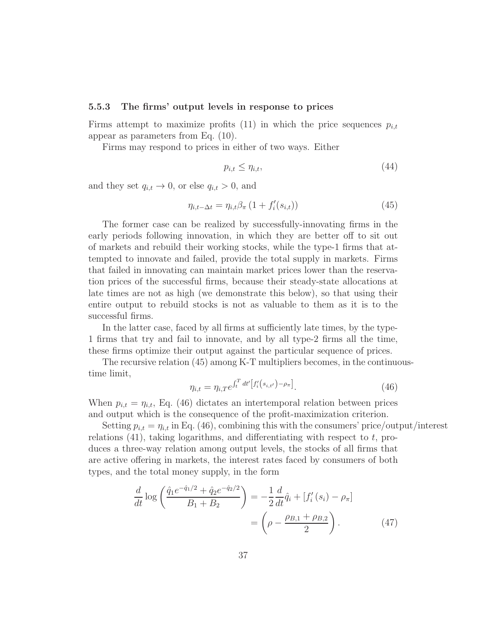#### **5.5.3 The firms' output levels in response to prices**

Firms attempt to maximize profits (11) in which the price sequences  $p_{i,t}$ appear as parameters from Eq. (10).

Firms may respond to prices in either of two ways. Either

$$
p_{i,t} \le \eta_{i,t},\tag{44}
$$

and they set  $q_{i,t} \to 0$ , or else  $q_{i,t} > 0$ , and

$$
\eta_{i,t-\Delta t} = \eta_{i,t} \beta_\pi \left( 1 + f'_i(s_{i,t}) \right) \tag{45}
$$

The former case can be realized by successfully-innovating firms in the early periods following innovation, in which they are better off to sit out of markets and rebuild their working stocks, while the type-1 firms that attempted to innovate and failed, provide the total supply in markets. Firms that failed in innovating can maintain market prices lower than the reservation prices of the successful firms, because their steady-state allocations at late times are not as high (we demonstrate this below), so that using their entire output to rebuild stocks is not as valuable to them as it is to the successful firms.

In the latter case, faced by all firms at sufficiently late times, by the type-1 firms that try and fail to innovate, and by all type-2 firms all the time, these firms optimize their output against the particular sequence of prices.

The recursive relation (45) among K-T multipliers becomes, in the continuoustime limit,

$$
\eta_{i,t} = \eta_{i,T} e^{\int_t^T dt'} [f_i'(s_{i,t'}) - \rho_\pi]. \tag{46}
$$

When  $p_{i,t} = \eta_{i,t}$ , Eq. (46) dictates an intertemporal relation between prices and output which is the consequence of the profit-maximization criterion.

Setting  $p_{i,t} = \eta_{i,t}$  in Eq. (46), combining this with the consumers' price/output/interest relations (41), taking logarithms, and differentiating with respect to t, produces a three-way relation among output levels, the stocks of all firms that are active offering in markets, the interest rates faced by consumers of both types, and the total money supply, in the form

$$
\frac{d}{dt}\log\left(\frac{\hat{q}_1e^{-\hat{q}_1/2} + \hat{q}_2e^{-\hat{q}_2/2}}{B_1 + B_2}\right) = -\frac{1}{2}\frac{d}{dt}\hat{q}_i + [f'_i(s_i) - \rho_\pi]
$$
\n
$$
= \left(\rho - \frac{\rho_{B,1} + \rho_{B,2}}{2}\right). \tag{47}
$$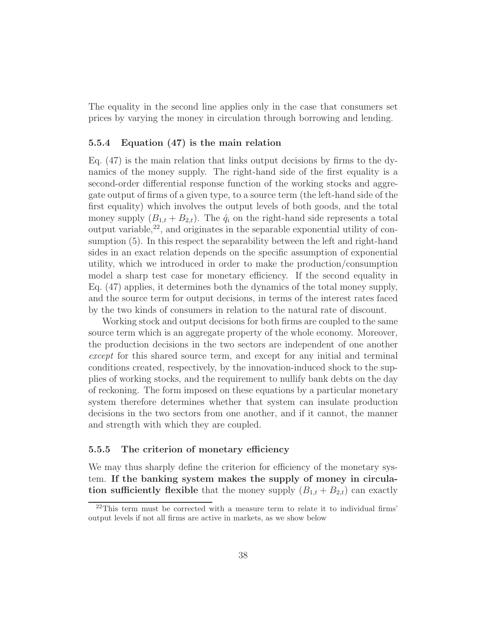The equality in the second line applies only in the case that consumers set prices by varying the money in circulation through borrowing and lending.

#### **5.5.4 Equation (47) is the main relation**

Eq. (47) is the main relation that links output decisions by firms to the dynamics of the money supply. The right-hand side of the first equality is a second-order differential response function of the working stocks and aggregate output of firms of a given type, to a source term (the left-hand side of the first equality) which involves the output levels of both goods, and the total money supply  $(B_{1,t} + B_{2,t})$ . The  $\hat{q}_i$  on the right-hand side represents a total output variable, $2^2$ , and originates in the separable exponential utility of consumption (5). In this respect the separability between the left and right-hand sides in an exact relation depends on the specific assumption of exponential utility, which we introduced in order to make the production/consumption model a sharp test case for monetary efficiency. If the second equality in Eq. (47) applies, it determines both the dynamics of the total money supply, and the source term for output decisions, in terms of the interest rates faced by the two kinds of consumers in relation to the natural rate of discount.

Working stock and output decisions for both firms are coupled to the same source term which is an aggregate property of the whole economy. Moreover, the production decisions in the two sectors are independent of one another except for this shared source term, and except for any initial and terminal conditions created, respectively, by the innovation-induced shock to the supplies of working stocks, and the requirement to nullify bank debts on the day of reckoning. The form imposed on these equations by a particular monetary system therefore determines whether that system can insulate production decisions in the two sectors from one another, and if it cannot, the manner and strength with which they are coupled.

### **5.5.5 The criterion of monetary efficiency**

We may thus sharply define the criterion for efficiency of the monetary system. **If the banking system makes the supply of money in circulation sufficiently flexible** that the money supply  $(B_{1,t} + B_{2,t})$  can exactly

 $22$ This term must be corrected with a measure term to relate it to individual firms' output levels if not all firms are active in markets, as we show below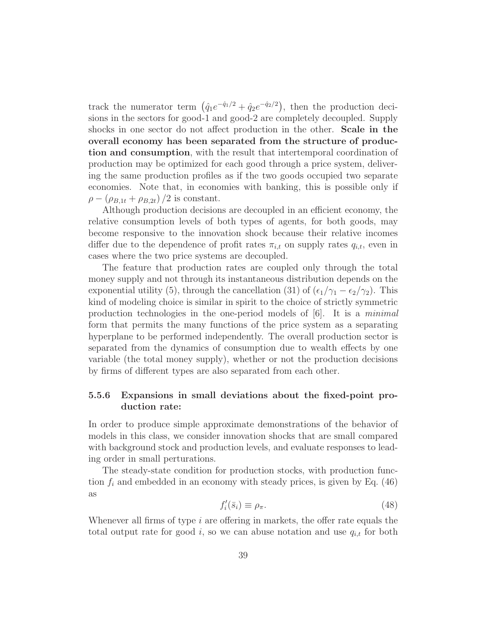track the numerator term  $(\hat{q}_1e^{-\hat{q}_1/2} + \hat{q}_2e^{-\hat{q}_2/2})$ , then the production decisions in the sectors for good-1 and good-2 are completely decoupled. Supply shocks in one sector do not affect production in the other. **Scale in the overall economy has been separated from the structure of production and consumption**, with the result that intertemporal coordination of production may be optimized for each good through a price system, delivering the same production profiles as if the two goods occupied two separate economies. Note that, in economies with banking, this is possible only if  $\rho - (\rho_{B,1t} + \rho_{B,2t})/2$  is constant.

Although production decisions are decoupled in an efficient economy, the relative consumption levels of both types of agents, for both goods, may become responsive to the innovation shock because their relative incomes differ due to the dependence of profit rates  $\pi_{i,t}$  on supply rates  $q_{i,t}$ , even in cases where the two price systems are decoupled.

The feature that production rates are coupled only through the total money supply and not through its instantaneous distribution depends on the exponential utility (5), through the cancellation (31) of  $(\epsilon_1/\gamma_1 - \epsilon_2/\gamma_2)$ . This kind of modeling choice is similar in spirit to the choice of strictly symmetric production technologies in the one-period models of  $[6]$ . It is a *minimal* form that permits the many functions of the price system as a separating hyperplane to be performed independently. The overall production sector is separated from the dynamics of consumption due to wealth effects by one variable (the total money supply), whether or not the production decisions by firms of different types are also separated from each other.

### **5.5.6 Expansions in small deviations about the fixed-point production rate:**

In order to produce simple approximate demonstrations of the behavior of models in this class, we consider innovation shocks that are small compared with background stock and production levels, and evaluate responses to leading order in small perturations.

The steady-state condition for production stocks, with production function  $f_i$  and embedded in an economy with steady prices, is given by Eq. (46) as

$$
f_i'(\bar{s}_i) \equiv \rho_\pi. \tag{48}
$$

Whenever all firms of type  $i$  are offering in markets, the offer rate equals the total output rate for good i, so we can abuse notation and use  $q_{i,t}$  for both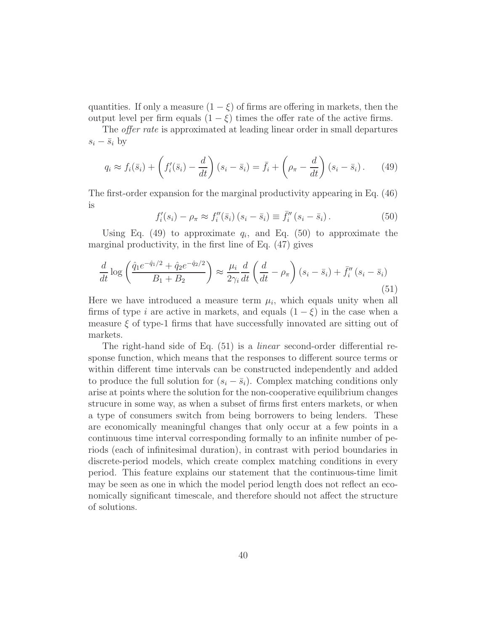quantities. If only a measure  $(1 - \xi)$  of firms are offering in markets, then the output level per firm equals  $(1 - \xi)$  times the offer rate of the active firms.

The offer rate is approximated at leading linear order in small departures  $s_i - \bar{s}_i$  by

$$
q_i \approx f_i(\bar{s}_i) + \left(f'_i(\bar{s}_i) - \frac{d}{dt}\right)(s_i - \bar{s}_i) = \bar{f}_i + \left(\rho_\pi - \frac{d}{dt}\right)(s_i - \bar{s}_i). \tag{49}
$$

The first-order expansion for the marginal productivity appearing in Eq. (46) is

$$
f'_{i}(s_{i}) - \rho_{\pi} \approx f''_{i}(\bar{s}_{i}) (s_{i} - \bar{s}_{i}) \equiv \bar{f}''_{i} (s_{i} - \bar{s}_{i}). \tag{50}
$$

Using Eq. (49) to approximate  $q_i$ , and Eq. (50) to approximate the marginal productivity, in the first line of Eq. (47) gives

$$
\frac{d}{dt}\log\left(\frac{\hat{q}_1e^{-\hat{q}_1/2}+\hat{q}_2e^{-\hat{q}_2/2}}{B_1+B_2}\right) \approx \frac{\mu_i}{2\gamma_i}\frac{d}{dt}\left(\frac{d}{dt}-\rho_\pi\right)(s_i-\bar{s}_i)+\bar{f}_i''(s_i-\bar{s}_i)
$$
\n(51)

Here we have introduced a measure term  $\mu_i$ , which equals unity when all firms of type i are active in markets, and equals  $(1 - \xi)$  in the case when a measure  $\xi$  of type-1 firms that have successfully innovated are sitting out of markets.

The right-hand side of Eq.  $(51)$  is a *linear* second-order differential response function, which means that the responses to different source terms or within different time intervals can be constructed independently and added to produce the full solution for  $(s_i - \bar{s}_i)$ . Complex matching conditions only arise at points where the solution for the non-cooperative equilibrium changes strucure in some way, as when a subset of firms first enters markets, or when a type of consumers switch from being borrowers to being lenders. These are economically meaningful changes that only occur at a few points in a continuous time interval corresponding formally to an infinite number of periods (each of infinitesimal duration), in contrast with period boundaries in discrete-period models, which create complex matching conditions in every period. This feature explains our statement that the continuous-time limit may be seen as one in which the model period length does not reflect an economically significant timescale, and therefore should not affect the structure of solutions.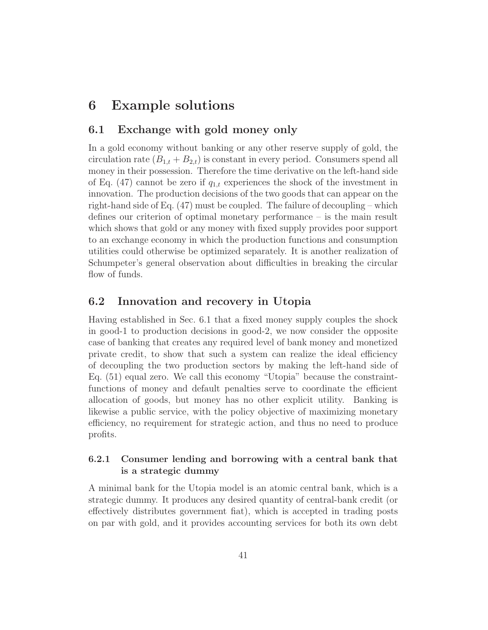## **6 Example solutions**

## **6.1 Exchange with gold money only**

In a gold economy without banking or any other reserve supply of gold, the circulation rate  $(B_{1,t} + B_{2,t})$  is constant in every period. Consumers spend all money in their possession. Therefore the time derivative on the left-hand side of Eq. (47) cannot be zero if  $q_{1,t}$  experiences the shock of the investment in innovation. The production decisions of the two goods that can appear on the right-hand side of Eq. (47) must be coupled. The failure of decoupling – which defines our criterion of optimal monetary performance – is the main result which shows that gold or any money with fixed supply provides poor support to an exchange economy in which the production functions and consumption utilities could otherwise be optimized separately. It is another realization of Schumpeter's general observation about difficulties in breaking the circular flow of funds.

## **6.2 Innovation and recovery in Utopia**

Having established in Sec. 6.1 that a fixed money supply couples the shock in good-1 to production decisions in good-2, we now consider the opposite case of banking that creates any required level of bank money and monetized private credit, to show that such a system can realize the ideal efficiency of decoupling the two production sectors by making the left-hand side of Eq. (51) equal zero. We call this economy "Utopia" because the constraintfunctions of money and default penalties serve to coordinate the efficient allocation of goods, but money has no other explicit utility. Banking is likewise a public service, with the policy objective of maximizing monetary efficiency, no requirement for strategic action, and thus no need to produce profits.

### **6.2.1 Consumer lending and borrowing with a central bank that is a strategic dummy**

A minimal bank for the Utopia model is an atomic central bank, which is a strategic dummy. It produces any desired quantity of central-bank credit (or effectively distributes government fiat), which is accepted in trading posts on par with gold, and it provides accounting services for both its own debt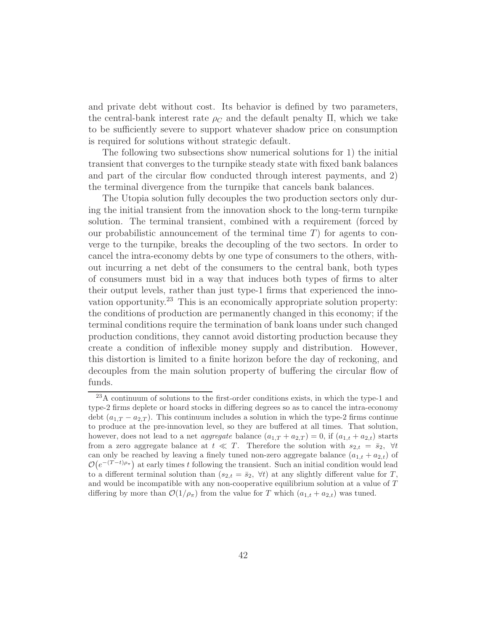and private debt without cost. Its behavior is defined by two parameters, the central-bank interest rate  $\rho_C$  and the default penalty  $\Pi$ , which we take to be sufficiently severe to support whatever shadow price on consumption is required for solutions without strategic default.

The following two subsections show numerical solutions for 1) the initial transient that converges to the turnpike steady state with fixed bank balances and part of the circular flow conducted through interest payments, and 2) the terminal divergence from the turnpike that cancels bank balances.

The Utopia solution fully decouples the two production sectors only during the initial transient from the innovation shock to the long-term turnpike solution. The terminal transient, combined with a requirement (forced by our probabilistic announcement of the terminal time  $T$ ) for agents to converge to the turnpike, breaks the decoupling of the two sectors. In order to cancel the intra-economy debts by one type of consumers to the others, without incurring a net debt of the consumers to the central bank, both types of consumers must bid in a way that induces both types of firms to alter their output levels, rather than just type-1 firms that experienced the innovation opportunity.<sup>23</sup> This is an economically appropriate solution property: the conditions of production are permanently changed in this economy; if the terminal conditions require the termination of bank loans under such changed production conditions, they cannot avoid distorting production because they create a condition of inflexible money supply and distribution. However, this distortion is limited to a finite horizon before the day of reckoning, and decouples from the main solution property of buffering the circular flow of funds.

<sup>23</sup>A continuum of solutions to the first-order conditions exists, in which the type-1 and type-2 firms deplete or hoard stocks in differing degrees so as to cancel the intra-economy debt  $(a_{1,T} - a_{2,T})$ . This continuum includes a solution in which the type-2 firms continue to produce at the pre-innovation level, so they are buffered at all times. That solution, however, does not lead to a net *aggregate* balance  $(a_{1,T} + a_{2,T}) = 0$ , if  $(a_{1,t} + a_{2,t})$  starts from a zero aggregate balance at  $t \ll T$ . Therefore the solution with  $s_{2,t} = \bar{s}_2$ ,  $\forall t$ can only be reached by leaving a finely tuned non-zero aggregate balance  $(a_{1,t} + a_{2,t})$  of  $\mathcal{O}(e^{-(T-t)\rho_{\pi}})$  at early times t following the transient. Such an initial condition would lead to a different terminal solution than  $(s_{2,t} = \bar{s}_2, \forall t)$  at any slightly different value for T, and would be incompatible with any non-cooperative equilibrium solution at a value of T differing by more than  $\mathcal{O}(1/\rho_{\pi})$  from the value for T which  $(a_{1,t} + a_{2,t})$  was tuned.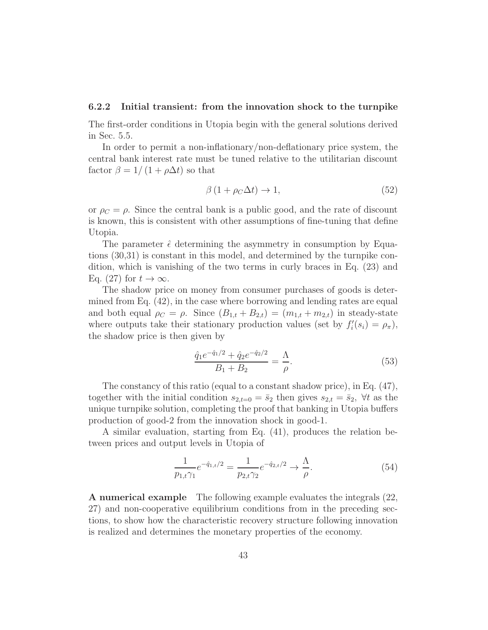### **6.2.2 Initial transient: from the innovation shock to the turnpike**

The first-order conditions in Utopia begin with the general solutions derived in Sec. 5.5.

In order to permit a non-inflationary/non-deflationary price system, the central bank interest rate must be tuned relative to the utilitarian discount factor  $\beta = 1/(1 + \rho \Delta t)$  so that

$$
\beta (1 + \rho_C \Delta t) \to 1, \tag{52}
$$

or  $\rho_C = \rho$ . Since the central bank is a public good, and the rate of discount is known, this is consistent with other assumptions of fine-tuning that define Utopia.

The parameter  $\hat{\epsilon}$  determining the asymmetry in consumption by Equations (30,31) is constant in this model, and determined by the turnpike condition, which is vanishing of the two terms in curly braces in Eq. (23) and Eq. (27) for  $t \to \infty$ .

The shadow price on money from consumer purchases of goods is determined from Eq. (42), in the case where borrowing and lending rates are equal and both equal  $\rho_C = \rho$ . Since  $(B_{1,t} + B_{2,t}) = (m_{1,t} + m_{2,t})$  in steady-state where outputs take their stationary production values (set by  $f_i'(s_i) = \rho_\pi$ ), the shadow price is then given by

$$
\frac{\hat{q}_1 e^{-\hat{q}_1/2} + \hat{q}_2 e^{-\hat{q}_2/2}}{B_1 + B_2} = \frac{\Lambda}{\rho}.
$$
\n(53)

The constancy of this ratio (equal to a constant shadow price), in Eq. (47), together with the initial condition  $s_{2,t=0} = \bar{s}_2$  then gives  $s_{2,t} = \bar{s}_2$ ,  $\forall t$  as the unique turnpike solution, completing the proof that banking in Utopia buffers production of good-2 from the innovation shock in good-1.

A similar evaluation, starting from Eq. (41), produces the relation between prices and output levels in Utopia of

$$
\frac{1}{p_{1,t}\gamma_1}e^{-\hat{q}_{1,t}/2} = \frac{1}{p_{2,t}\gamma_2}e^{-\hat{q}_{2,t}/2} \to \frac{\Lambda}{\rho}.
$$
 (54)

**A numerical example** The following example evaluates the integrals (22, 27) and non-cooperative equilibrium conditions from in the preceding sections, to show how the characteristic recovery structure following innovation is realized and determines the monetary properties of the economy.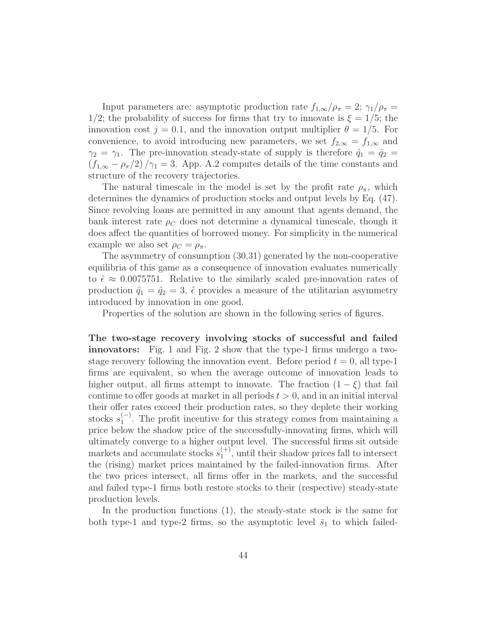Input parameters are: asymptotic production rate  $f_{1,\infty}/\rho_{\pi} = 2$ ;  $\gamma_1/\rho_{\pi} =$ 1/2; the probability of success for firms that try to innovate is  $\xi = 1/5$ ; the innovation cost  $j = 0.1$ , and the innovation output multiplier  $\theta = 1/5$ . For convenience, to avoid introducing new parameters, we set  $f_{2,\infty} = f_{1,\infty}$  and  $\gamma_2 = \gamma_1$ . The pre-innovation steady-state of supply is therefore  $\hat{q}_1 = \hat{q}_2$  $(f_{1,\infty} - \rho_{\pi}/2)/\gamma_1 = 3$ . App. A.2 computes details of the time constants and structure of the recovery trajectories.

The natural timescale in the model is set by the profit rate  $\rho_{\pi}$ , which determines the dynamics of production stocks and output levels by Eq. (47). Since revolving loans are permitted in any amount that agents demand, the bank interest rate  $\rho_C$  does not determine a dynamical timescale, though it does affect the quantities of borrowed money. For simplicity in the numerical example we also set  $\rho_C = \rho_{\pi}$ .

The asymmetry of consumption (30,31) generated by the non-cooperative equilibria of this game as a consequence of innovation evaluates numerically to  $\hat{\epsilon} \approx 0.0075751$ . Relative to the similarly scaled pre-innovation rates of production  $\hat{q}_1 = \hat{q}_2 = 3$ ,  $\hat{\epsilon}$  provides a measure of the utilitarian asymmetry introduced by innovation in one good.

Properties of the solution are shown in the following series of figures.

**The two-stage recovery involving stocks of successful and failed innovators:** Fig. 1 and Fig. 2 show that the type-1 firms undergo a twostage recovery following the innovation event. Before period  $t = 0$ , all type-1 firms are equivalent, so when the average outcome of innovation leads to higher output, all firms attempt to innovate. The fraction  $(1 - \xi)$  that fail continue to offer goods at market in all periods  $t > 0$ , and in an initial interval their offer rates exceed their production rates, so they deplete their working stocks  $s_1^{(-)}$ . The profit incentive for this strategy comes from maintaining a price below the shadow price of the successfully-innovating firms, which will ultimately converge to a higher output level. The successful firms sit outside markets and accumulate stocks  $s_1^{(+)}$ , until their shadow prices fall to intersect the (rising) market prices maintained by the failed-innovation firms. After the two prices intersect, all firms offer in the markets, and the successful and failed type-1 firms both restore stocks to their (respective) steady-state production levels.

In the production functions (1), the steady-state stock is the same for both type-1 and type-2 firms, so the asymptotic level  $\bar{s}_1$  to which failed-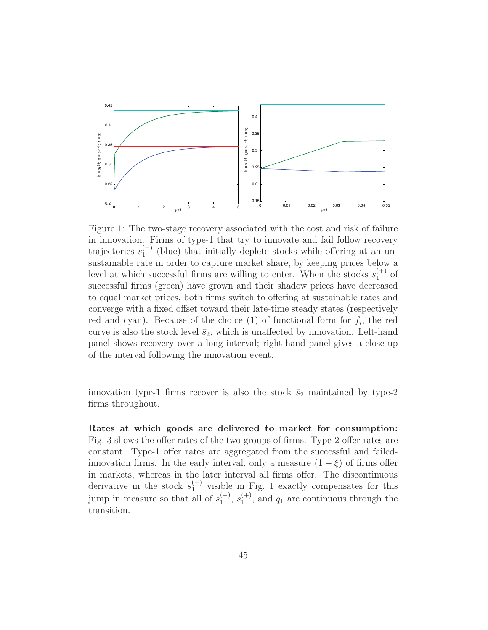

Figure 1: The two-stage recovery associated with the cost and risk of failure in innovation. Firms of type-1 that try to innovate and fail follow recovery trajectories  $s_1^{(-)}$  (blue) that initially deplete stocks while offering at an unsustainable rate in order to capture market share, by keeping prices below a level at which successful firms are willing to enter. When the stocks  $s_1^{(+)}$  of successful firms (green) have grown and their shadow prices have decreased to equal market prices, both firms switch to offering at sustainable rates and converge with a fixed offset toward their late-time steady states (respectively red and cyan). Because of the choice  $(1)$  of functional form for  $f_i$ , the red curve is also the stock level  $\bar{s}_2$ , which is unaffected by innovation. Left-hand panel shows recovery over a long interval; right-hand panel gives a close-up of the interval following the innovation event.

innovation type-1 firms recover is also the stock  $\bar{s}_2$  maintained by type-2 firms throughout.

**Rates at which goods are delivered to market for consumption:** Fig. 3 shows the offer rates of the two groups of firms. Type-2 offer rates are constant. Type-1 offer rates are aggregated from the successful and failedinnovation firms. In the early interval, only a measure  $(1 - \xi)$  of firms offer in markets, whereas in the later interval all firms offer. The discontinuous derivative in the stock  $s_1^{(-)}$  visible in Fig. 1 exactly compensates for this jump in measure so that all of  $s_1^{(-)}$ ,  $s_1^{(+)}$ , and  $q_1$  are continuous through the transition.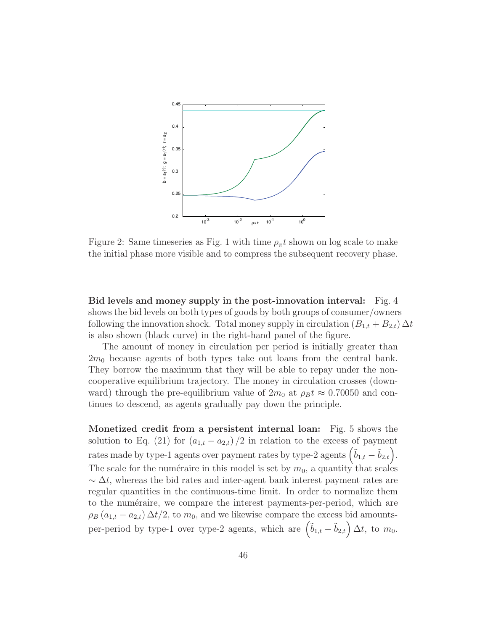

Figure 2: Same timeseries as Fig. 1 with time  $\rho_{\pi}t$  shown on log scale to make the initial phase more visible and to compress the subsequent recovery phase.

**Bid levels and money supply in the post-innovation interval:** Fig. 4 shows the bid levels on both types of goods by both groups of consumer/owners following the innovation shock. Total money supply in circulation  $(B_{1,t} + B_{2,t}) \Delta t$ is also shown (black curve) in the right-hand panel of the figure.

The amount of money in circulation per period is initially greater than  $2m_0$  because agents of both types take out loans from the central bank. They borrow the maximum that they will be able to repay under the noncooperative equilibrium trajectory. The money in circulation crosses (downward) through the pre-equilibrium value of  $2m_0$  at  $\rho_B t \approx 0.70050$  and continues to descend, as agents gradually pay down the principle.

**Monetized credit from a persistent internal loan:** Fig. 5 shows the solution to Eq. (21) for  $(a_{1,t} - a_{2,t})/2$  in relation to the excess of payment rates made by type-1 agents over payment rates by type-2 agents  $(\tilde{b}_{1,t} - \tilde{b}_{2,t})$ . The scale for the numéraire in this model is set by  $m_0$ , a quantity that scales  $\sim \Delta t$ , whereas the bid rates and inter-agent bank interest payment rates are regular quantities in the continuous-time limit. In order to normalize them to the numéraire, we compare the interest payments-per-period, which are  $\rho_B$  ( $a_{1,t}$  –  $a_{2,t}$ )  $\Delta t/2$ , to  $m_0$ , and we likewise compare the excess bid amountsper-period by type-1 over type-2 agents, which are  $(\tilde{b}_{1,t} - \tilde{b}_{2,t}) \Delta t$ , to  $m_0$ .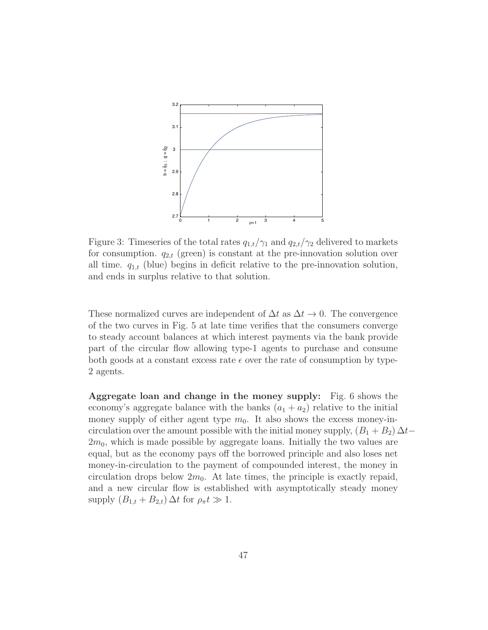

Figure 3: Timeseries of the total rates  $q_{1,t}/\gamma_1$  and  $q_{2,t}/\gamma_2$  delivered to markets for consumption.  $q_{2,t}$  (green) is constant at the pre-innovation solution over all time.  $q_{1,t}$  (blue) begins in deficit relative to the pre-innovation solution, and ends in surplus relative to that solution.

These normalized curves are independent of  $\Delta t$  as  $\Delta t \rightarrow 0$ . The convergence of the two curves in Fig. 5 at late time verifies that the consumers converge to steady account balances at which interest payments via the bank provide part of the circular flow allowing type-1 agents to purchase and consume both goods at a constant excess rate  $\epsilon$  over the rate of consumption by type-2 agents.

**Aggregate loan and change in the money supply:** Fig. 6 shows the economy's aggregate balance with the banks  $(a_1 + a_2)$  relative to the initial money supply of either agent type  $m_0$ . It also shows the excess money-incirculation over the amount possible with the initial money supply,  $(B_1 + B_2) \Delta t$  $2m_0$ , which is made possible by aggregate loans. Initially the two values are equal, but as the economy pays off the borrowed principle and also loses net money-in-circulation to the payment of compounded interest, the money in circulation drops below  $2m_0$ . At late times, the principle is exactly repaid, and a new circular flow is established with asymptotically steady money supply  $(B_{1,t} + B_{2,t}) \Delta t$  for  $\rho_{\pi} t \gg 1$ .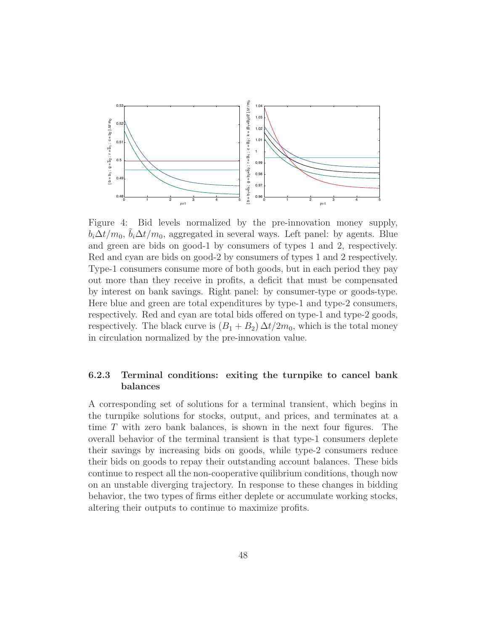

Figure 4: Bid levels normalized by the pre-innovation money supply,  $b_i\Delta t/m_0$ ,  $b_i\Delta t/m_0$ , aggregated in several ways. Left panel: by agents. Blue and green are bids on good-1 by consumers of types 1 and 2, respectively. Red and cyan are bids on good-2 by consumers of types 1 and 2 respectively. Type-1 consumers consume more of both goods, but in each period they pay out more than they receive in profits, a deficit that must be compensated by interest on bank savings. Right panel: by consumer-type or goods-type. Here blue and green are total expenditures by type-1 and type-2 consumers, respectively. Red and cyan are total bids offered on type-1 and type-2 goods, respectively. The black curve is  $(B_1 + B_2) \Delta t / 2m_0$ , which is the total money in circulation normalized by the pre-innovation value.

## **6.2.3 Terminal conditions: exiting the turnpike to cancel bank balances**

A corresponding set of solutions for a terminal transient, which begins in the turnpike solutions for stocks, output, and prices, and terminates at a time T with zero bank balances, is shown in the next four figures. The overall behavior of the terminal transient is that type-1 consumers deplete their savings by increasing bids on goods, while type-2 consumers reduce their bids on goods to repay their outstanding account balances. These bids continue to respect all the non-cooperative quilibrium conditions, though now on an unstable diverging trajectory. In response to these changes in bidding behavior, the two types of firms either deplete or accumulate working stocks, altering their outputs to continue to maximize profits.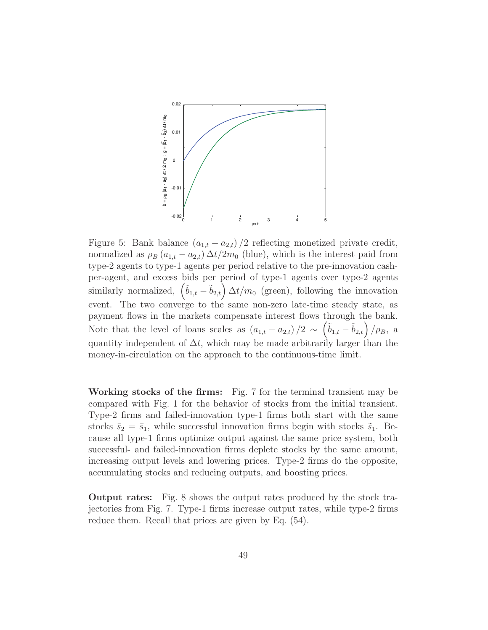

Figure 5: Bank balance  $(a_{1,t} - a_{2,t})/2$  reflecting monetized private credit, normalized as  $\rho_B$  ( $a_{1,t} - a_{2,t}$ )  $\Delta t/2m_0$  (blue), which is the interest paid from type-2 agents to type-1 agents per period relative to the pre-innovation cashper-agent, and excess bids per period of type-1 agents over type-2 agents similarly normalized,  $(\tilde{b}_{1,t} - \tilde{b}_{2,t}) \Delta t/m_0$  (green), following the innovation event. The two converge to the same non-zero late-time steady state, as payment flows in the markets compensate interest flows through the bank. Note that the level of loans scales as  $(a_{1,t} - a_{2,t})/2 \sim (\tilde{b}_{1,t} - \tilde{b}_{2,t})/\rho_B$ , a quantity independent of  $\Delta t$ , which may be made arbitrarily larger than the money-in-circulation on the approach to the continuous-time limit.

**Working stocks of the firms:** Fig. 7 for the terminal transient may be compared with Fig. 1 for the behavior of stocks from the initial transient. Type-2 firms and failed-innovation type-1 firms both start with the same stocks  $\bar{s}_2 = \bar{s}_1$ , while successful innovation firms begin with stocks  $\tilde{s}_1$ . Because all type-1 firms optimize output against the same price system, both successful- and failed-innovation firms deplete stocks by the same amount, increasing output levels and lowering prices. Type-2 firms do the opposite, accumulating stocks and reducing outputs, and boosting prices.

**Output rates:** Fig. 8 shows the output rates produced by the stock trajectories from Fig. 7. Type-1 firms increase output rates, while type-2 firms reduce them. Recall that prices are given by Eq. (54).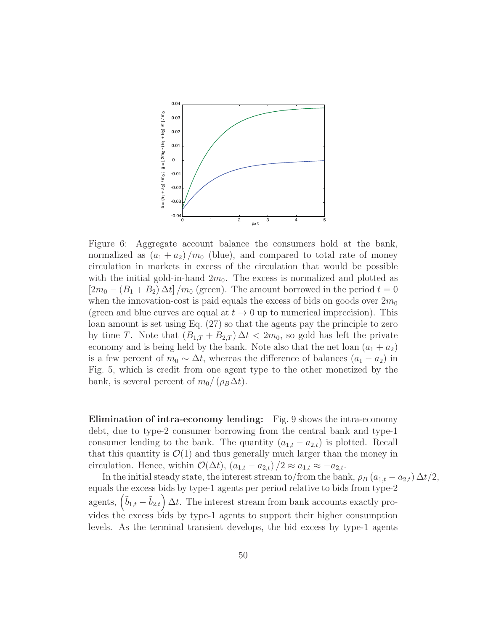

Figure 6: Aggregate account balance the consumers hold at the bank, normalized as  $(a_1 + a_2) / m_0$  (blue), and compared to total rate of money circulation in markets in excess of the circulation that would be possible with the initial gold-in-hand  $2m_0$ . The excess is normalized and plotted as  $[2m_0 - (B_1 + B_2) \Delta t] / m_0$  (green). The amount borrowed in the period  $t = 0$ when the innovation-cost is paid equals the excess of bids on goods over  $2m_0$ (green and blue curves are equal at  $t \to 0$  up to numerical imprecision). This loan amount is set using Eq. (27) so that the agents pay the principle to zero by time T. Note that  $(B_{1,T} + B_{2,T}) \Delta t < 2m_0$ , so gold has left the private economy and is being held by the bank. Note also that the net loan  $(a_1 + a_2)$ is a few percent of  $m_0 \sim \Delta t$ , whereas the difference of balances  $(a_1 - a_2)$  in Fig. 5, which is credit from one agent type to the other monetized by the bank, is several percent of  $m_0/(\rho_B\Delta t)$ .

**Elimination of intra-economy lending:** Fig. 9 shows the intra-economy debt, due to type-2 consumer borrowing from the central bank and type-1 consumer lending to the bank. The quantity  $(a_{1,t} - a_{2,t})$  is plotted. Recall that this quantity is  $\mathcal{O}(1)$  and thus generally much larger than the money in circulation. Hence, within  $\mathcal{O}(\Delta t)$ ,  $(a_{1,t} - a_{2,t})/2 \approx a_{1,t} \approx -a_{2,t}$ .

In the initial steady state, the interest stream to/from the bank,  $\rho_B$   $(a_{1,t} - a_{2,t}) \Delta t/2$ , equals the excess bids by type-1 agents per period relative to bids from type-2 agents,  $(\tilde{b}_{1,t} - \tilde{b}_{2,t}) \Delta t$ . The interest stream from bank accounts exactly provides the excess bids by type-1 agents to support their higher consumption levels. As the terminal transient develops, the bid excess by type-1 agents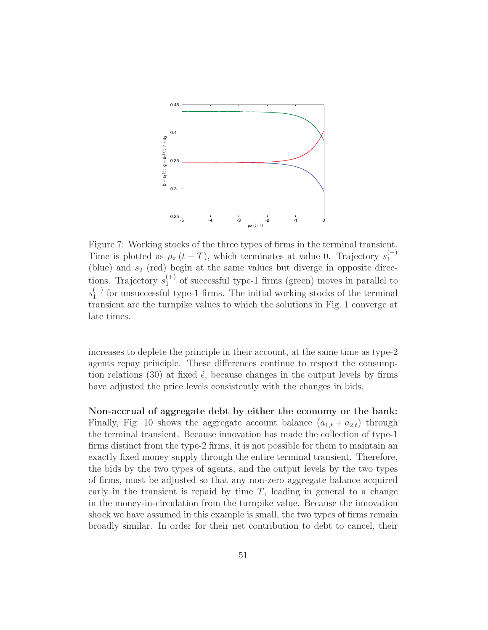

Figure 7: Working stocks of the three types of firms in the terminal transient. Time is plotted as  $\rho_{\pi} (t - T)$ , which terminates at value 0. Trajectory  $s_1^{(-)}$ (blue) and  $s_2$  (red) begin at the same values but diverge in opposite directions. Trajectory  $s_1^{(+)}$  of successful type-1 firms (green) moves in parallel to  $s_1^{(-)}$  for unsuccessful type-1 firms. The initial working stocks of the terminal transient are the turnpike values to which the solutions in Fig. 1 converge at late times.

increases to deplete the principle in their account, at the same time as type-2 agents repay principle. These differences continue to respect the consumption relations (30) at fixed  $\hat{\epsilon}$ , because changes in the output levels by firms have adjusted the price levels consistently with the changes in bids.

**Non-accrual of aggregate debt by either the economy or the bank:** Finally, Fig. 10 shows the aggregate account balance  $(a_{1,t} + a_{2,t})$  through the terminal transient. Because innovation has made the collection of type-1 firms distinct from the type-2 firms, it is not possible for them to maintain an exactly fixed money supply through the entire terminal transient. Therefore, the bids by the two types of agents, and the output levels by the two types of firms, must be adjusted so that any non-zero aggregate balance acquired early in the transient is repaid by time  $T$ , leading in general to a change in the money-in-circulation from the turnpike value. Because the innovation shock we have assumed in this example is small, the two types of firms remain broadly similar. In order for their net contribution to debt to cancel, their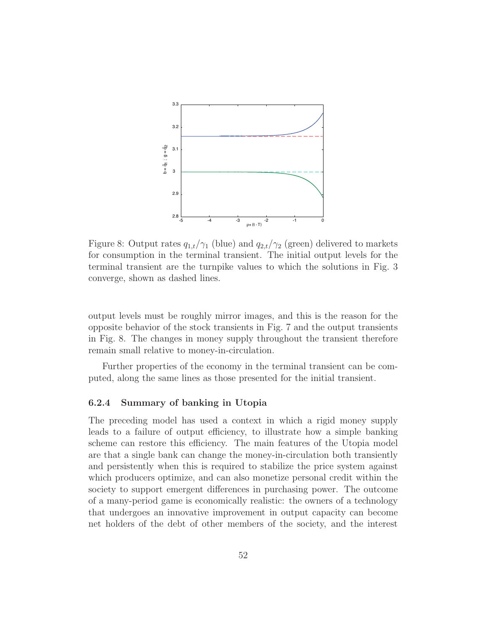

Figure 8: Output rates  $q_{1,t}/\gamma_1$  (blue) and  $q_{2,t}/\gamma_2$  (green) delivered to markets for consumption in the terminal transient. The initial output levels for the terminal transient are the turnpike values to which the solutions in Fig. 3 converge, shown as dashed lines.

output levels must be roughly mirror images, and this is the reason for the opposite behavior of the stock transients in Fig. 7 and the output transients in Fig. 8. The changes in money supply throughout the transient therefore remain small relative to money-in-circulation.

Further properties of the economy in the terminal transient can be computed, along the same lines as those presented for the initial transient.

### **6.2.4 Summary of banking in Utopia**

The preceding model has used a context in which a rigid money supply leads to a failure of output efficiency, to illustrate how a simple banking scheme can restore this efficiency. The main features of the Utopia model are that a single bank can change the money-in-circulation both transiently and persistently when this is required to stabilize the price system against which producers optimize, and can also monetize personal credit within the society to support emergent differences in purchasing power. The outcome of a many-period game is economically realistic: the owners of a technology that undergoes an innovative improvement in output capacity can become net holders of the debt of other members of the society, and the interest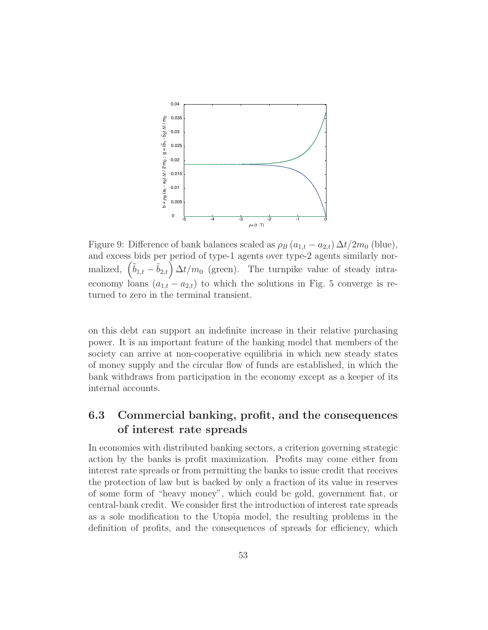

Figure 9: Difference of bank balances scaled as  $\rho_B (a_{1,t} - a_{2,t}) \Delta t / 2m_0$  (blue), and excess bids per period of type-1 agents over type-2 agents similarly normalized,  $(\tilde{b}_{1,t} - \tilde{b}_{2,t}) \Delta t/m_0$  (green). The turnpike value of steady intraeconomy loans  $(a_{1,t} - a_{2,t})$  to which the solutions in Fig. 5 converge is returned to zero in the terminal transient.

on this debt can support an indefinite increase in their relative purchasing power. It is an important feature of the banking model that members of the society can arrive at non-cooperative equilibria in which new steady states of money supply and the circular flow of funds are established, in which the bank withdraws from participation in the economy except as a keeper of its internal accounts.

## **6.3 Commercial banking, profit, and the consequences of interest rate spreads**

In economies with distributed banking sectors, a criterion governing strategic action by the banks is profit maximization. Profits may come either from interest rate spreads or from permitting the banks to issue credit that receives the protection of law but is backed by only a fraction of its value in reserves of some form of "heavy money", which could be gold, government fiat, or central-bank credit. We consider first the introduction of interest rate spreads as a sole modification to the Utopia model, the resulting problems in the definition of profits, and the consequences of spreads for efficiency, which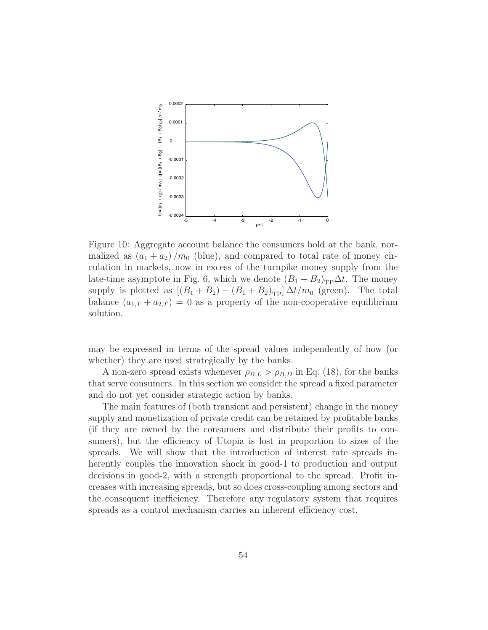

Figure 10: Aggregate account balance the consumers hold at the bank, normalized as  $(a_1 + a_2) / m_0$  (blue), and compared to total rate of money circulation in markets, now in excess of the turnpike money supply from the late-time asymptote in Fig. 6, which we denote  $(B_1 + B_2)_{\text{TP}}\Delta t$ . The money supply is plotted as  $[(B_1 + B_2) - (B_1 + B_2)_{\text{TP}}] \Delta t/m_0$  (green). The total balance  $(a_{1,T} + a_{2,T}) = 0$  as a property of the non-cooperative equilibrium solution.

may be expressed in terms of the spread values independently of how (or whether) they are used strategically by the banks.

A non-zero spread exists whenever  $\rho_{B,L} > \rho_{B,D}$  in Eq. (18), for the banks that serve consumers. In this section we consider the spread a fixed parameter and do not yet consider strategic action by banks.

The main features of (both transient and persistent) change in the money supply and monetization of private credit can be retained by profitable banks (if they are owned by the consumers and distribute their profits to consumers), but the efficiency of Utopia is lost in proportion to sizes of the spreads. We will show that the introduction of interest rate spreads inherently couples the innovation shock in good-1 to production and output decisions in good-2, with a strength proportional to the spread. Profit increases with increasing spreads, but so does cross-coupling among sectors and the consequent inefficiency. Therefore any regulatory system that requires spreads as a control mechanism carries an inherent efficiency cost.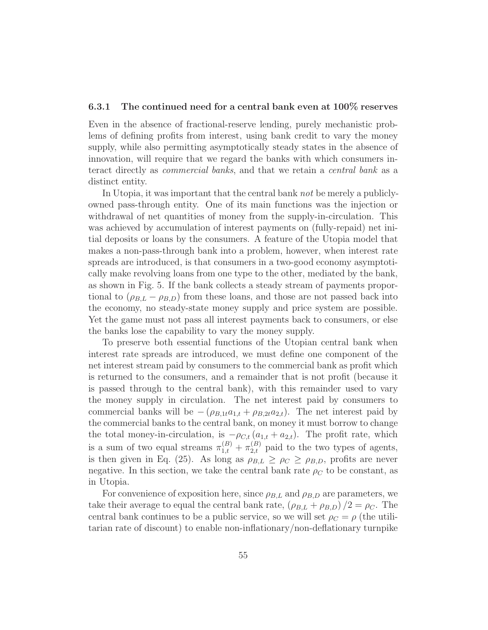#### **6.3.1 The continued need for a central bank even at 100% reserves**

Even in the absence of fractional-reserve lending, purely mechanistic problems of defining profits from interest, using bank credit to vary the money supply, while also permitting asymptotically steady states in the absence of innovation, will require that we regard the banks with which consumers interact directly as commercial banks, and that we retain a central bank as a distinct entity.

In Utopia, it was important that the central bank not be merely a publiclyowned pass-through entity. One of its main functions was the injection or withdrawal of net quantities of money from the supply-in-circulation. This was achieved by accumulation of interest payments on (fully-repaid) net initial deposits or loans by the consumers. A feature of the Utopia model that makes a non-pass-through bank into a problem, however, when interest rate spreads are introduced, is that consumers in a two-good economy asymptotically make revolving loans from one type to the other, mediated by the bank, as shown in Fig. 5. If the bank collects a steady stream of payments proportional to  $(\rho_{B,L} - \rho_{B,D})$  from these loans, and those are not passed back into the economy, no steady-state money supply and price system are possible. Yet the game must not pass all interest payments back to consumers, or else the banks lose the capability to vary the money supply.

To preserve both essential functions of the Utopian central bank when interest rate spreads are introduced, we must define one component of the net interest stream paid by consumers to the commercial bank as profit which is returned to the consumers, and a remainder that is not profit (because it is passed through to the central bank), with this remainder used to vary the money supply in circulation. The net interest paid by consumers to commercial banks will be  $-(\rho_{B,1t}a_{1,t} + \rho_{B,2t}a_{2,t})$ . The net interest paid by the commercial banks to the central bank, on money it must borrow to change the total money-in-circulation, is  $-\rho_{C,t} (a_{1,t} + a_{2,t})$ . The profit rate, which is a sum of two equal streams  $\pi_{1,t}^{(B)} + \pi_{2,t}^{(B)}$  paid to the two types of agents, is then given in Eq. (25). As long as  $\rho_{B,L} \geq \rho_C \geq \rho_{B,D}$ , profits are never negative. In this section, we take the central bank rate  $\rho_C$  to be constant, as in Utopia.

For convenience of exposition here, since  $\rho_{B,L}$  and  $\rho_{B,D}$  are parameters, we take their average to equal the central bank rate,  $(\rho_{B,L} + \rho_{B,D})/2 = \rho_C$ . The central bank continues to be a public service, so we will set  $\rho_C = \rho$  (the utilitarian rate of discount) to enable non-inflationary/non-deflationary turnpike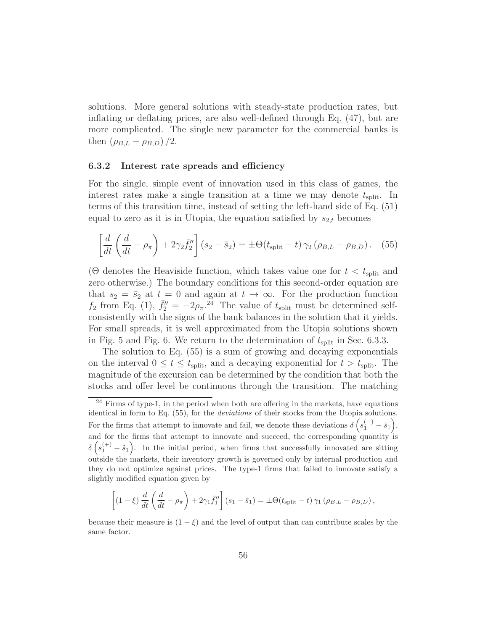solutions. More general solutions with steady-state production rates, but inflating or deflating prices, are also well-defined through Eq. (47), but are more complicated. The single new parameter for the commercial banks is then  $(\rho_{B,L} - \rho_{B,D})/2$ .

#### **6.3.2 Interest rate spreads and efficiency**

For the single, simple event of innovation used in this class of games, the interest rates make a single transition at a time we may denote  $t_{split}$ . In terms of this transition time, instead of setting the left-hand side of Eq. (51) equal to zero as it is in Utopia, the equation satisfied by  $s_{2,t}$  becomes

$$
\left[\frac{d}{dt}\left(\frac{d}{dt}-\rho_{\pi}\right)+2\gamma_{2}\bar{f}_{2}''\right](s_{2}-\bar{s}_{2})=\pm\Theta(t_{\text{split}}-t)\,\gamma_{2}\left(\rho_{B,L}-\rho_{B,D}\right). \tag{55}
$$

(Θ denotes the Heaviside function, which takes value one for  $t < t_{split}$  and zero otherwise.) The boundary conditions for this second-order equation are that  $s_2 = \bar{s}_2$  at  $t = 0$  and again at  $t \to \infty$ . For the production function  $f_2$  from Eq. (1),  $\bar{f}_2'' = -2\rho_\pi^{24}$  The value of  $t_{\text{split}}$  must be determined selfconsistently with the signs of the bank balances in the solution that it yields. For small spreads, it is well approximated from the Utopia solutions shown in Fig. 5 and Fig. 6. We return to the determination of  $t_{split}$  in Sec. 6.3.3.

The solution to Eq. (55) is a sum of growing and decaying exponentials on the interval  $0 \le t \le t_{split}$ , and a decaying exponential for  $t > t_{split}$ . The magnitude of the excursion can be determined by the condition that both the stocks and offer level be continuous through the transition. The matching

$$
\left[ (1-\xi) \frac{d}{dt} \left( \frac{d}{dt} - \rho_\pi \right) + 2\gamma_1 \bar{f}_1'' \right] (s_1 - \bar{s}_1) = \pm \Theta(t_{split} - t) \gamma_1 \left( \rho_{B,L} - \rho_{B,D} \right),
$$

 $24$  Firms of type-1, in the period when both are offering in the markets, have equations identical in form to Eq. (55), for the deviations of their stocks from the Utopia solutions. For the firms that attempt to innovate and fail, we denote these deviations  $\delta \left( s_1^{(-)} - \bar{s}_1 \right)$ , and for the firms that attempt to innovate and succeed, the corresponding quantity is  $\delta\left(s_1^{(+)} - \tilde{s}_1\right)$ . In the initial period, when firms that successfully innovated are sitting outside the markets, their inventory growth is governed only by internal production and they do not optimize against prices. The type-1 firms that failed to innovate satisfy a slightly modified equation given by

because their measure is  $(1 - \xi)$  and the level of output than can contribute scales by the same factor.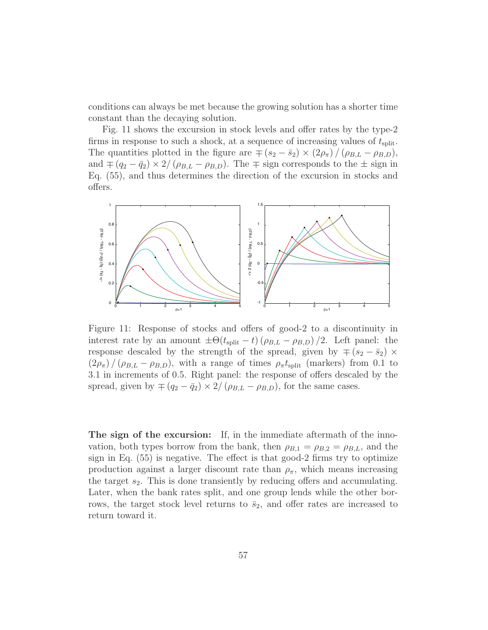conditions can always be met because the growing solution has a shorter time constant than the decaying solution.

Fig. 11 shows the excursion in stock levels and offer rates by the type-2 firms in response to such a shock, at a sequence of increasing values of  $t_{split}$ . The quantities plotted in the figure are  $\mp (s_2 - \bar{s}_2) \times (2\rho_{\pi})/(\rho_{B,L} - \rho_{B,D}),$ and  $\mp (q_2 - \bar{q}_2) \times 2/(\rho_{B,L} - \rho_{B,D})$ . The  $\mp$  sign corresponds to the  $\pm$  sign in Eq. (55), and thus determines the direction of the excursion in stocks and offers.



Figure 11: Response of stocks and offers of good-2 to a discontinuity in interest rate by an amount  $\pm\Theta(t_{split} - t)(\rho_{B,L} - \rho_{B,D})/2$ . Left panel: the response descaled by the strength of the spread, given by  $\mp (s_2 - \bar{s}_2) \times$  $(2\rho_{\pi})/(\rho_{B,L}-\rho_{B,D})$ , with a range of times  $\rho_{\pi}t_{split}$  (markers) from 0.1 to 3.1 in increments of 0.5. Right panel: the response of offers descaled by the spread, given by  $\mp (q_2 - \bar{q}_2) \times 2/(\rho_{B,L} - \rho_{B,D})$ , for the same cases.

**The sign of the excursion:** If, in the immediate aftermath of the innovation, both types borrow from the bank, then  $\rho_{B,1} = \rho_{B,2} = \rho_{B,L}$ , and the sign in Eq. (55) is negative. The effect is that good-2 firms try to optimize production against a larger discount rate than  $\rho_{\pi}$ , which means increasing the target  $s_2$ . This is done transiently by reducing offers and accumulating. Later, when the bank rates split, and one group lends while the other borrows, the target stock level returns to  $\bar{s}_2$ , and offer rates are increased to return toward it.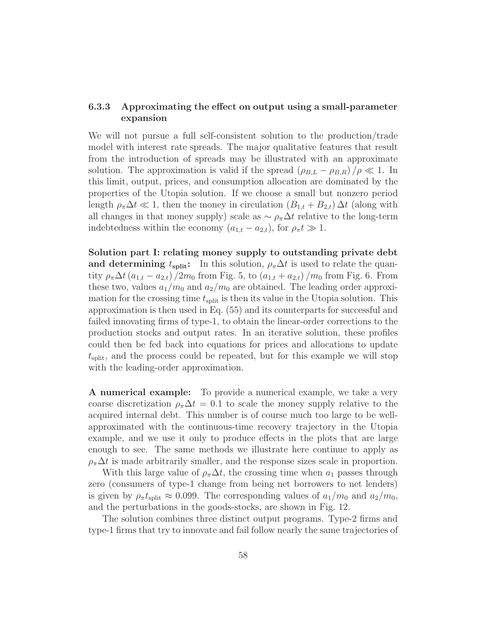### **6.3.3 Approximating the effect on output using a small-parameter expansion**

We will not pursue a full self-consistent solution to the production/trade model with interest rate spreads. The major qualitative features that result from the introduction of spreads may be illustrated with an approximate solution. The approximation is valid if the spread  $(\rho_{BL} - \rho_{BR})/\rho \ll 1$ . In this limit, output, prices, and consumption allocation are dominated by the properties of the Utopia solution. If we choose a small but nonzero period length  $\rho_{\pi} \Delta t \ll 1$ , then the money in circulation  $(B_{1,t} + B_{2,t}) \Delta t$  (along with all changes in that money supply) scale as  $\sim \rho_{\pi} \Delta t$  relative to the long-term indebtedness within the economy  $(a_{1,t} - a_{2,t})$ , for  $\rho_{\pi} t \gg 1$ .

**Solution part I: relating money supply to outstanding private debt and determining**  $t_{split}$ : In this solution,  $\rho_{\pi}\Delta t$  is used to relate the quantity  $\rho_{\pi} \Delta t (a_{1,t} - a_{2,t}) / 2m_0$  from Fig. 5, to  $(a_{1,t} + a_{2,t}) / m_0$  from Fig. 6. From these two, values  $a_1/m_0$  and  $a_2/m_0$  are obtained. The leading order approximation for the crossing time  $t_{\text{split}}$  is then its value in the Utopia solution. This approximation is then used in Eq. (55) and its counterparts for successful and failed innovating firms of type-1, to obtain the linear-order corrections to the production stocks and output rates. In an iterative solution, these profiles could then be fed back into equations for prices and allocations to update  $t_{split}$ , and the process could be repeated, but for this example we will stop with the leading-order approximation.

**A numerical example:** To provide a numerical example, we take a very coarse discretization  $\rho_{\pi}\Delta t = 0.1$  to scale the money supply relative to the acquired internal debt. This number is of course much too large to be wellapproximated with the continuous-time recovery trajectory in the Utopia example, and we use it only to produce effects in the plots that are large enough to see. The same methods we illustrate here continue to apply as  $\rho_{\pi}\Delta t$  is made arbitrarily smaller, and the response sizes scale in proportion.

With this large value of  $\rho_{\pi}\Delta t$ , the crossing time when  $a_1$  passes through zero (consumers of type-1 change from being net borrowers to net lenders) is given by  $\rho_{\pi}t_{\text{split}} \approx 0.099$ . The corresponding values of  $a_1/m_0$  and  $a_2/m_0$ , and the perturbations in the goods-stocks, are shown in Fig. 12.

The solution combines three distinct output programs. Type-2 firms and type-1 firms that try to innovate and fail follow nearly the same trajectories of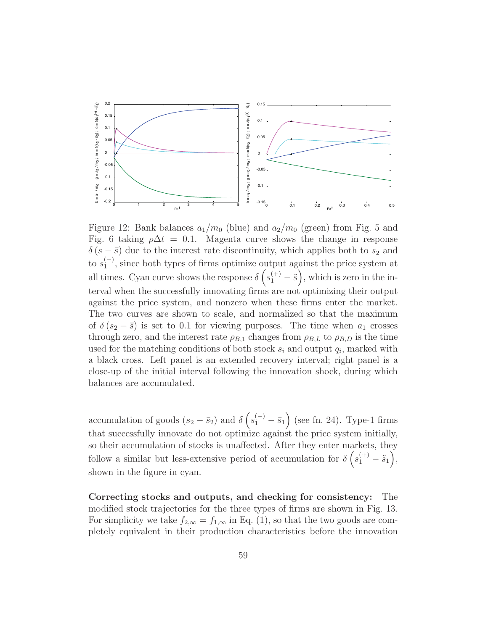

Figure 12: Bank balances  $a_1/m_0$  (blue) and  $a_2/m_0$  (green) from Fig. 5 and Fig. 6 taking  $\rho \Delta t = 0.1$ . Magenta curve shows the change in response  $\delta (s - \bar{s})$  due to the interest rate discontinuity, which applies both to  $s_2$  and to  $s_1^{(-)}$ , since both types of firms optimize output against the price system at all times. Cyan curve shows the response  $\delta\left(s_1^{(+)} - \tilde{s}\right)$ , which is zero in the interval when the successfully innovating firms are not optimizing their output against the price system, and nonzero when these firms enter the market. The two curves are shown to scale, and normalized so that the maximum of  $\delta (s_2 - \bar{s})$  is set to 0.1 for viewing purposes. The time when  $a_1$  crosses through zero, and the interest rate  $\rho_{B,1}$  changes from  $\rho_{B,L}$  to  $\rho_{B,D}$  is the time used for the matching conditions of both stock  $s_i$  and output  $q_i$ , marked with a black cross. Left panel is an extended recovery interval; right panel is a close-up of the initial interval following the innovation shock, during which balances are accumulated.

accumulation of goods  $(s_2 - \bar{s}_2)$  and  $\delta\left(s_1^{(-)} - \bar{s}_1\right)$  (see fn. 24). Type-1 firms that successfully innovate do not optimize against the price system initially, so their accumulation of stocks is unaffected. After they enter markets, they follow a similar but less-extensive period of accumulation for  $\delta \left( s_1^{(+)} - \tilde{s}_1 \right)$ , shown in the figure in cyan.

**Correcting stocks and outputs, and checking for consistency:** The modified stock trajectories for the three types of firms are shown in Fig. 13. For simplicity we take  $f_{2,\infty} = f_{1,\infty}$  in Eq. (1), so that the two goods are completely equivalent in their production characteristics before the innovation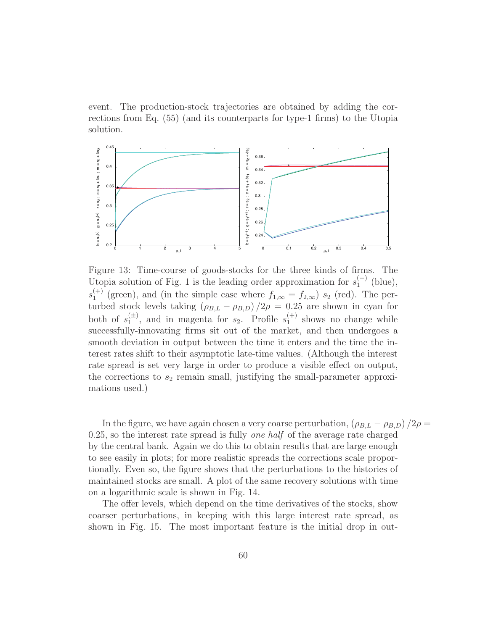event. The production-stock trajectories are obtained by adding the corrections from Eq. (55) (and its counterparts for type-1 firms) to the Utopia solution.



Figure 13: Time-course of goods-stocks for the three kinds of firms. The Utopia solution of Fig. 1 is the leading order approximation for  $s_1^{(-)}$  (blue),  $s_1^{(+)}$  (green), and (in the simple case where  $f_{1,\infty} = f_{2,\infty}$ )  $s_2$  (red). The perturbed stock levels taking  $(\rho_{B,L} - \rho_{B,D})/2\rho = 0.25$  are shown in cyan for both of  $s_1^{(\pm)}$ , and in magenta for  $s_2$ . Profile  $s_1^{(+)}$  shows no change while successfully-innovating firms sit out of the market, and then undergoes a smooth deviation in output between the time it enters and the time the interest rates shift to their asymptotic late-time values. (Although the interest rate spread is set very large in order to produce a visible effect on output, the corrections to  $s_2$  remain small, justifying the small-parameter approximations used.)

In the figure, we have again chosen a very coarse perturbation,  $(\rho_{B,L} - \rho_{B,D})/2\rho =$  $0.25$ , so the interest rate spread is fully *one half* of the average rate charged by the central bank. Again we do this to obtain results that are large enough to see easily in plots; for more realistic spreads the corrections scale proportionally. Even so, the figure shows that the perturbations to the histories of maintained stocks are small. A plot of the same recovery solutions with time on a logarithmic scale is shown in Fig. 14.

The offer levels, which depend on the time derivatives of the stocks, show coarser perturbations, in keeping with this large interest rate spread, as shown in Fig. 15. The most important feature is the initial drop in out-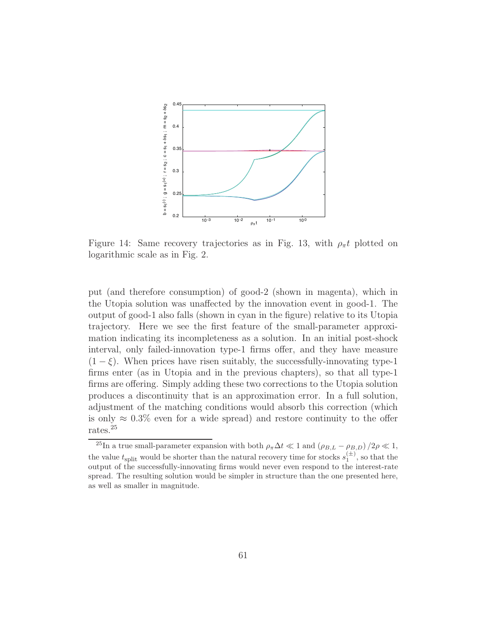

Figure 14: Same recovery trajectories as in Fig. 13, with  $\rho_{\pi}t$  plotted on logarithmic scale as in Fig. 2.

put (and therefore consumption) of good-2 (shown in magenta), which in the Utopia solution was unaffected by the innovation event in good-1. The output of good-1 also falls (shown in cyan in the figure) relative to its Utopia trajectory. Here we see the first feature of the small-parameter approximation indicating its incompleteness as a solution. In an initial post-shock interval, only failed-innovation type-1 firms offer, and they have measure  $(1 - \xi)$ . When prices have risen suitably, the successfully-innovating type-1 firms enter (as in Utopia and in the previous chapters), so that all type-1 firms are offering. Simply adding these two corrections to the Utopia solution produces a discontinuity that is an approximation error. In a full solution, adjustment of the matching conditions would absorb this correction (which is only  $\approx 0.3\%$  even for a wide spread) and restore continuity to the offer rates.<sup>25</sup>

<sup>&</sup>lt;sup>25</sup>In a true small-parameter expansion with both  $\rho_{\pi}\Delta t \ll 1$  and  $(\rho_{B,L} - \rho_{B,D})/2\rho \ll 1$ , the value  $t_{\text{split}}$  would be shorter than the natural recovery time for stocks  $s_1^{(\pm)}$ , so that the output of the successfully-innovating firms would never even respond to the interest-rate spread. The resulting solution would be simpler in structure than the one presented here, as well as smaller in magnitude.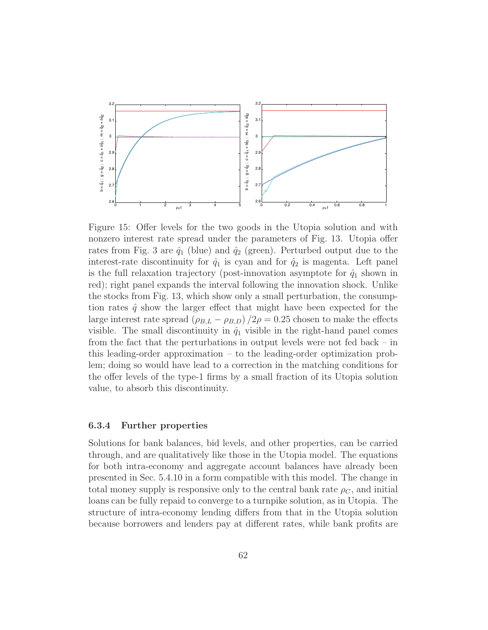

Figure 15: Offer levels for the two goods in the Utopia solution and with nonzero interest rate spread under the parameters of Fig. 13. Utopia offer rates from Fig. 3 are  $\hat{q}_1$  (blue) and  $\hat{q}_2$  (green). Perturbed output due to the interest-rate discontinuity for  $\hat{q}_1$  is cyan and for  $\hat{q}_2$  is magenta. Left panel is the full relaxation trajectory (post-innovation asymptote for  $\hat{q}_1$  shown in red); right panel expands the interval following the innovation shock. Unlike the stocks from Fig. 13, which show only a small perturbation, the consumption rates  $\hat{q}$  show the larger effect that might have been expected for the large interest rate spread  $(\rho_{B,L} - \rho_{B,D})/2\rho = 0.25$  chosen to make the effects visible. The small discontinuity in  $\hat{q}_1$  visible in the right-hand panel comes from the fact that the perturbations in output levels were not fed back – in this leading-order approximation – to the leading-order optimization problem; doing so would have lead to a correction in the matching conditions for the offer levels of the type-1 firms by a small fraction of its Utopia solution value, to absorb this discontinuity.

#### **6.3.4 Further properties**

Solutions for bank balances, bid levels, and other properties, can be carried through, and are qualitatively like those in the Utopia model. The equations for both intra-economy and aggregate account balances have already been presented in Sec. 5.4.10 in a form compatible with this model. The change in total money supply is responsive only to the central bank rate  $\rho_C$ , and initial loans can be fully repaid to converge to a turnpike solution, as in Utopia. The structure of intra-economy lending differs from that in the Utopia solution because borrowers and lenders pay at different rates, while bank profits are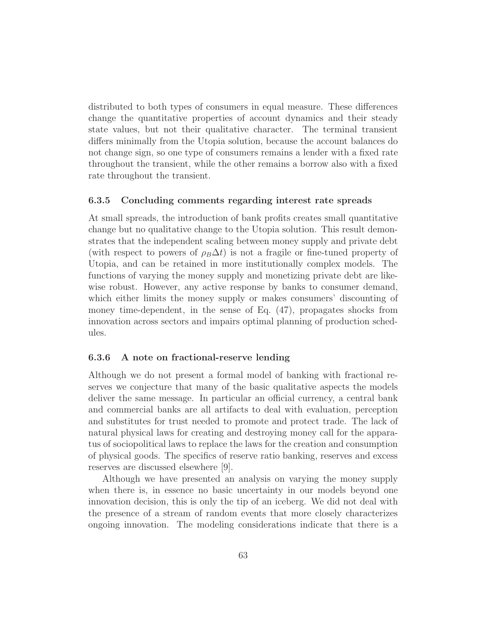distributed to both types of consumers in equal measure. These differences change the quantitative properties of account dynamics and their steady state values, but not their qualitative character. The terminal transient differs minimally from the Utopia solution, because the account balances do not change sign, so one type of consumers remains a lender with a fixed rate throughout the transient, while the other remains a borrow also with a fixed rate throughout the transient.

#### **6.3.5 Concluding comments regarding interest rate spreads**

At small spreads, the introduction of bank profits creates small quantitative change but no qualitative change to the Utopia solution. This result demonstrates that the independent scaling between money supply and private debt (with respect to powers of  $\rho_B\Delta t$ ) is not a fragile or fine-tuned property of Utopia, and can be retained in more institutionally complex models. The functions of varying the money supply and monetizing private debt are likewise robust. However, any active response by banks to consumer demand, which either limits the money supply or makes consumers' discounting of money time-dependent, in the sense of Eq.  $(47)$ , propagates shocks from innovation across sectors and impairs optimal planning of production schedules.

#### **6.3.6 A note on fractional-reserve lending**

Although we do not present a formal model of banking with fractional reserves we conjecture that many of the basic qualitative aspects the models deliver the same message. In particular an official currency, a central bank and commercial banks are all artifacts to deal with evaluation, perception and substitutes for trust needed to promote and protect trade. The lack of natural physical laws for creating and destroying money call for the apparatus of sociopolitical laws to replace the laws for the creation and consumption of physical goods. The specifics of reserve ratio banking, reserves and excess reserves are discussed elsewhere [9].

Although we have presented an analysis on varying the money supply when there is, in essence no basic uncertainty in our models beyond one innovation decision, this is only the tip of an iceberg. We did not deal with the presence of a stream of random events that more closely characterizes ongoing innovation. The modeling considerations indicate that there is a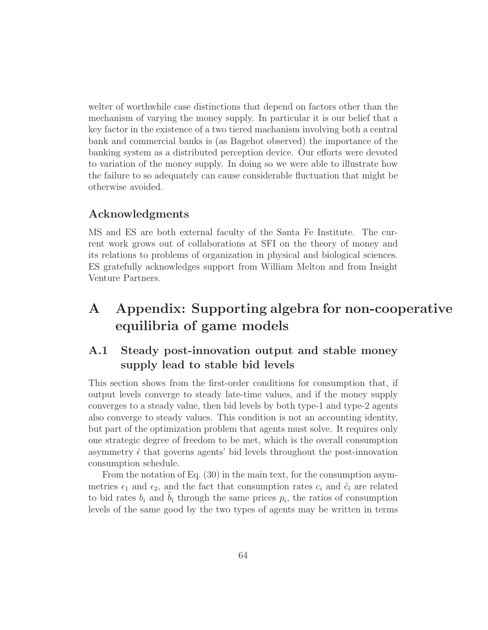welter of worthwhile case distinctions that depend on factors other than the mechanism of varying the money supply. In particular it is our belief that a key factor in the existence of a two tiered machanism involving both a central bank and commercial banks is (as Bagehot observed) the importance of the banking system as a distributed perception device. Our efforts were devoted to variation of the money supply. In doing so we were able to illustrate how the failure to so adequately can cause considerable fluctuation that might be otherwise avoided.

## **Acknowledgments**

MS and ES are both external faculty of the Santa Fe Institute. The current work grows out of collaborations at SFI on the theory of money and its relations to problems of organization in physical and biological sciences. ES gratefully acknowledges support from William Melton and from Insight Venture Partners.

# **A Appendix: Supporting algebra for non-cooperative equilibria of game models**

## **A.1 Steady post-innovation output and stable money supply lead to stable bid levels**

This section shows from the first-order conditions for consumption that, if output levels converge to steady late-time values, and if the money supply converges to a steady value, then bid levels by both type-1 and type-2 agents also converge to steady values. This condition is not an accounting identity, but part of the optimization problem that agents must solve. It requires only one strategic degree of freedom to be met, which is the overall consumption asymmetry  $\hat{\epsilon}$  that governs agents' bid levels throughout the post-innovation consumption schedule.

From the notation of Eq. (30) in the main text, for the consumption asymmetries  $\epsilon_1$  and  $\epsilon_2$ , and the fact that consumption rates  $c_i$  and  $\tilde{c}_i$  are related to bid rates  $b_i$  and  $b_{\tilde{i}}$  through the same prices  $p_i$ , the ratios of consumption levels of the same good by the two types of agents may be written in terms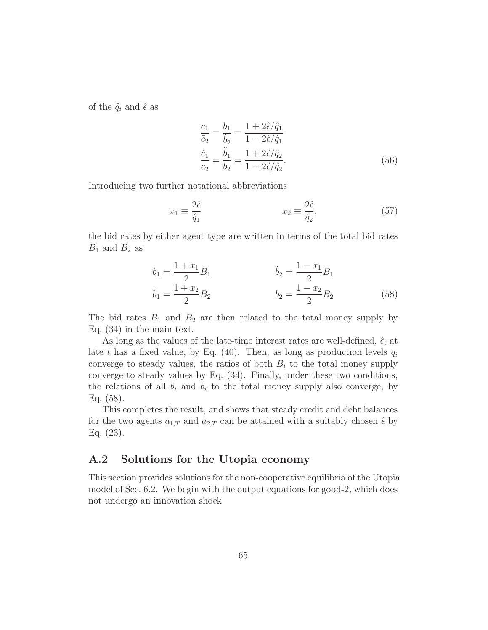of the  $\hat{q}_i$  and  $\hat{\epsilon}$  as

$$
\frac{c_1}{\tilde{c}_2} = \frac{b_1}{\tilde{b}_2} = \frac{1 + 2\hat{\epsilon}/\hat{q}_1}{1 - 2\hat{\epsilon}/\hat{q}_1} \n\frac{\tilde{c}_1}{c_2} = \frac{\tilde{b}_1}{b_2} = \frac{1 + 2\hat{\epsilon}/\hat{q}_2}{1 - 2\hat{\epsilon}/\hat{q}_2}.
$$
\n(56)

Introducing two further notational abbreviations

$$
x_1 \equiv \frac{2\hat{\epsilon}}{\hat{q}_1} \qquad \qquad x_2 \equiv \frac{2\hat{\epsilon}}{\hat{q}_2}, \qquad (57)
$$

the bid rates by either agent type are written in terms of the total bid rates  $B_1$  and  $B_2$  as

$$
b_1 = \frac{1 + x_1}{2} B_1
$$
  
\n
$$
\tilde{b}_1 = \frac{1 + x_2}{2} B_2
$$
  
\n
$$
\tilde{b}_2 = \frac{1 - x_1}{2} B_1
$$
  
\n
$$
b_2 = \frac{1 - x_2}{2} B_2
$$
  
\n(58)

The bid rates  $B_1$  and  $B_2$  are then related to the total money supply by Eq. (34) in the main text.

As long as the values of the late-time interest rates are well-defined,  $\hat{\epsilon}_t$  at late t has a fixed value, by Eq. (40). Then, as long as production levels  $q_i$ converge to steady values, the ratios of both  $B_i$  to the total money supply converge to steady values by Eq. (34). Finally, under these two conditions, the relations of all  $b_i$  and  $b_i$  to the total money supply also converge, by Eq. (58).

This completes the result, and shows that steady credit and debt balances for the two agents  $a_{1,T}$  and  $a_{2,T}$  can be attained with a suitably chosen  $\hat{\epsilon}$  by Eq. (23).

## **A.2 Solutions for the Utopia economy**

This section provides solutions for the non-cooperative equilibria of the Utopia model of Sec. 6.2. We begin with the output equations for good-2, which does not undergo an innovation shock.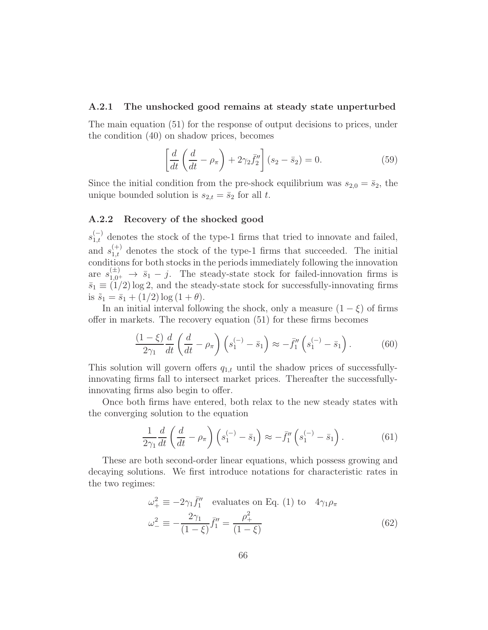#### **A.2.1 The unshocked good remains at steady state unperturbed**

The main equation (51) for the response of output decisions to prices, under the condition (40) on shadow prices, becomes

$$
\left[\frac{d}{dt}\left(\frac{d}{dt} - \rho_\pi\right) + 2\gamma_2 \bar{f}_2''\right](s_2 - \bar{s}_2) = 0.
$$
\n(59)

Since the initial condition from the pre-shock equilibrium was  $s_{2,0} = \bar{s}_2$ , the unique bounded solution is  $s_{2,t} = \bar{s}_2$  for all t.

### **A.2.2 Recovery of the shocked good**

 $s_{1,t}^{(-)}$  denotes the stock of the type-1 firms that tried to innovate and failed, and  $s_{1,t}^{(+)}$  denotes the stock of the type-1 firms that succeeded. The initial conditions for both stocks in the periods immediately following the innovation are  $s_{1,0^+}^{(\pm)} \rightarrow \bar{s}_1 - j$ . The steady-state stock for failed-innovation firms is  $\bar{s}_1 \equiv (1/2) \log 2$ , and the steady-state stock for successfully-innovating firms is  $\tilde{s}_1 = \bar{s}_1 + (1/2) \log (1 + \theta)$ .

In an initial interval following the shock, only a measure  $(1 - \xi)$  of firms offer in markets. The recovery equation (51) for these firms becomes

$$
\frac{(1-\xi)}{2\gamma_1}\frac{d}{dt}\left(\frac{d}{dt}-\rho_\pi\right)\left(s_1^{(-)}-\bar{s}_1\right) \approx -\bar{f}_1''\left(s_1^{(-)}-\bar{s}_1\right). \tag{60}
$$

This solution will govern offers  $q_{1,t}$  until the shadow prices of successfullyinnovating firms fall to intersect market prices. Thereafter the successfullyinnovating firms also begin to offer.

Once both firms have entered, both relax to the new steady states with the converging solution to the equation

$$
\frac{1}{2\gamma_1}\frac{d}{dt}\left(\frac{d}{dt}-\rho_\pi\right)\left(s_1^{(-)}-\bar{s}_1\right) \approx -\bar{f}_1''\left(s_1^{(-)}-\bar{s}_1\right). \tag{61}
$$

These are both second-order linear equations, which possess growing and decaying solutions. We first introduce notations for characteristic rates in the two regimes:

$$
\omega_{+}^{2} \equiv -2\gamma_{1}\bar{f}_{1}^{"} \text{ evaluates on Eq. (1) to } 4\gamma_{1}\rho_{\pi}
$$
  

$$
\omega_{-}^{2} \equiv -\frac{2\gamma_{1}}{(1-\xi)}\bar{f}_{1}^{"} = \frac{\rho_{+}^{2}}{(1-\xi)}
$$
(62)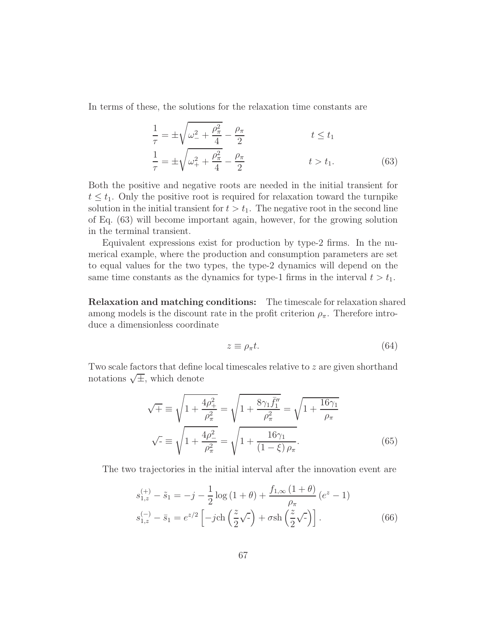In terms of these, the solutions for the relaxation time constants are

$$
\frac{1}{\tau} = \pm \sqrt{\omega_{-}^{2} + \frac{\rho_{\pi}^{2}}{4}} - \frac{\rho_{\pi}}{2}
$$
\n
$$
\frac{1}{\tau} = \pm \sqrt{\omega_{+}^{2} + \frac{\rho_{\pi}^{2}}{4}} - \frac{\rho_{\pi}}{2}
$$
\n
$$
t > t_{1}.
$$
\n(63)

Both the positive and negative roots are needed in the initial transient for  $t \leq t_1$ . Only the positive root is required for relaxation toward the turnpike solution in the initial transient for  $t>t_1$ . The negative root in the second line of Eq. (63) will become important again, however, for the growing solution in the terminal transient.

Equivalent expressions exist for production by type-2 firms. In the numerical example, where the production and consumption parameters are set to equal values for the two types, the type-2 dynamics will depend on the same time constants as the dynamics for type-1 firms in the interval  $t>t_1$ .

**Relaxation and matching conditions:** The timescale for relaxation shared among models is the discount rate in the profit criterion  $\rho_{\pi}$ . Therefore introduce a dimensionless coordinate

$$
z \equiv \rho_{\pi} t. \tag{64}
$$

Two scale factors that define local timescales relative to z are given shorthand notations  $\sqrt{\pm}$ , which denote

$$
\sqrt{+} \equiv \sqrt{1 + \frac{4\rho_+^2}{\rho_\pi^2}} = \sqrt{1 + \frac{8\gamma_1 \bar{f}_1^{\prime\prime}}{\rho_\pi^2}} = \sqrt{1 + \frac{16\gamma_1}{\rho_\pi}}
$$

$$
\sqrt{-} \equiv \sqrt{1 + \frac{4\rho_-^2}{\rho_\pi^2}} = \sqrt{1 + \frac{16\gamma_1}{(1 - \xi)\rho_\pi}}.
$$
(65)

The two trajectories in the initial interval after the innovation event are

$$
s_{1,z}^{(+)} - \tilde{s}_1 = -j - \frac{1}{2} \log (1 + \theta) + \frac{f_{1,\infty} (1 + \theta)}{\rho_{\pi}} (e^z - 1)
$$
  

$$
s_{1,z}^{(-)} - \bar{s}_1 = e^{z/2} \left[ -j \text{ch} \left( \frac{z}{2} \sqrt{z} \right) + \sigma \text{sh} \left( \frac{z}{2} \sqrt{z} \right) \right].
$$
 (66)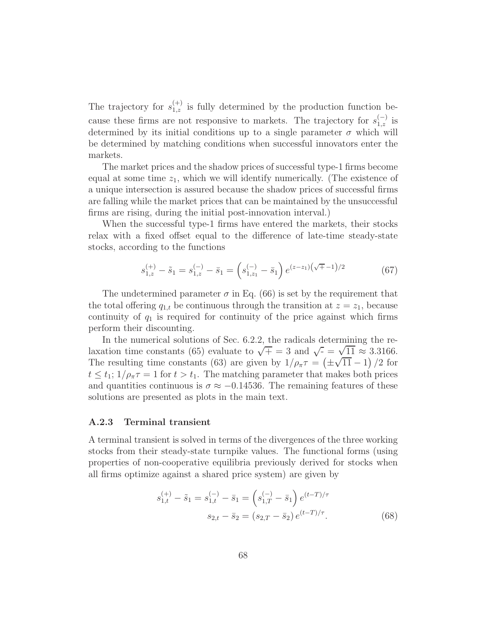The trajectory for  $s_{1,z}^{(+)}$  is fully determined by the production function because these firms are not responsive to markets. The trajectory for  $s_{1,z}^{(-)}$  is determined by its initial conditions up to a single parameter  $\sigma$  which will be determined by matching conditions when successful innovators enter the markets.

The market prices and the shadow prices of successful type-1 firms become equal at some time  $z_1$ , which we will identify numerically. (The existence of a unique intersection is assured because the shadow prices of successful firms are falling while the market prices that can be maintained by the unsuccessful firms are rising, during the initial post-innovation interval.)

When the successful type-1 firms have entered the markets, their stocks relax with a fixed offset equal to the difference of late-time steady-state stocks, according to the functions

$$
s_{1,z}^{(+)} - \tilde{s}_1 = s_{1,z}^{(-)} - \bar{s}_1 = \left(s_{1,z_1}^{(-)} - \bar{s}_1\right) e^{(z-z_1)\left(\sqrt{+}-1\right)/2} \tag{67}
$$

The undetermined parameter  $\sigma$  in Eq. (66) is set by the requirement that the total offering  $q_{1,t}$  be continuous through the transition at  $z = z_1$ , because continuity of  $q_1$  is required for continuity of the price against which firms perform their discounting.

In the numerical solutions of Sec. 6.2.2, the radicals determining the relaxation time constants (65) evaluate to  $\sqrt{+} = 3$  and  $\sqrt{-} = \sqrt{11} \approx 3.3166$ . The resulting time constants (63) are given by  $1/\rho_{\pi}\tau = (\pm\sqrt{11}-1)/2$  for  $t \leq t_1$ ;  $1/\rho_{\pi}\tau = 1$  for  $t > t_1$ . The matching parameter that makes both prices and quantities continuous is  $\sigma \approx -0.14536$ . The remaining features of these solutions are presented as plots in the main text.

#### **A.2.3 Terminal transient**

A terminal transient is solved in terms of the divergences of the three working stocks from their steady-state turnpike values. The functional forms (using properties of non-cooperative equilibria previously derived for stocks when all firms optimize against a shared price system) are given by

$$
s_{1,t}^{(+)} - \tilde{s}_1 = s_{1,t}^{(-)} - \bar{s}_1 = \left(s_{1,T}^{(-)} - \bar{s}_1\right) e^{(t-T)/\tau}
$$

$$
s_{2,t} - \bar{s}_2 = \left(s_{2,T} - \bar{s}_2\right) e^{(t-T)/\tau}.
$$
(68)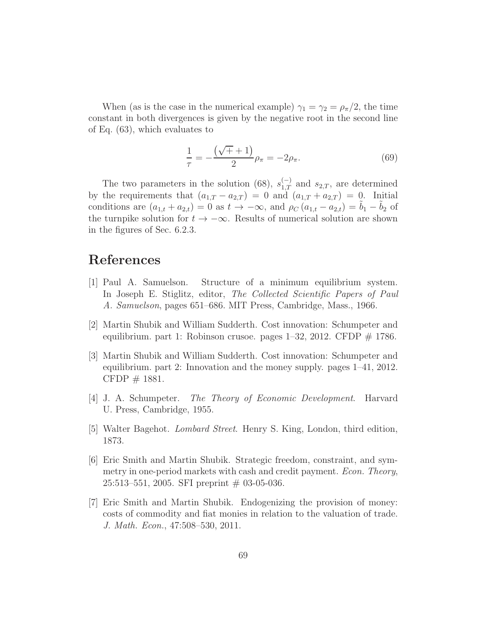When (as is the case in the numerical example)  $\gamma_1 = \gamma_2 = \rho_\pi/2$ , the time constant in both divergences is given by the negative root in the second line of Eq. (63), which evaluates to

$$
\frac{1}{\tau} = -\frac{(\sqrt{+}+1)}{2}\rho_{\pi} = -2\rho_{\pi}.\tag{69}
$$

The two parameters in the solution (68),  $s_{1,T}^{(-)}$  and  $s_{2,T}$ , are determined by the requirements that  $(a_{1,T} - a_{2,T}) = 0$  and  $(a_{1,T} + a_{2,T}) = 0$ . Initial conditions are  $(a_{1,t} + a_{2,t}) = 0$  as  $t \to -\infty$ , and  $\rho_C(a_{1,t} - a_{2,t}) = \tilde{b}_1 - \tilde{b}_2$  of the turnpike solution for  $t \to -\infty$ . Results of numerical solution are shown in the figures of Sec. 6.2.3.

## **References**

- [1] Paul A. Samuelson. Structure of a minimum equilibrium system. In Joseph E. Stiglitz, editor, The Collected Scientific Papers of Paul A. Samuelson, pages 651–686. MIT Press, Cambridge, Mass., 1966.
- [2] Martin Shubik and William Sudderth. Cost innovation: Schumpeter and equilibrium. part 1: Robinson crusoe. pages  $1-32$ ,  $2012$ . CFDP  $\#$  1786.
- [3] Martin Shubik and William Sudderth. Cost innovation: Schumpeter and equilibrium. part 2: Innovation and the money supply. pages 1–41, 2012. CFDP  $# 1881.$
- [4] J. A. Schumpeter. The Theory of Economic Development. Harvard U. Press, Cambridge, 1955.
- [5] Walter Bagehot. Lombard Street. Henry S. King, London, third edition, 1873.
- [6] Eric Smith and Martin Shubik. Strategic freedom, constraint, and symmetry in one-period markets with cash and credit payment. Econ. Theory,  $25:513-551$ , 2005. SFI preprint  $\#$  03-05-036.
- [7] Eric Smith and Martin Shubik. Endogenizing the provision of money: costs of commodity and fiat monies in relation to the valuation of trade. J. Math. Econ., 47:508–530, 2011.